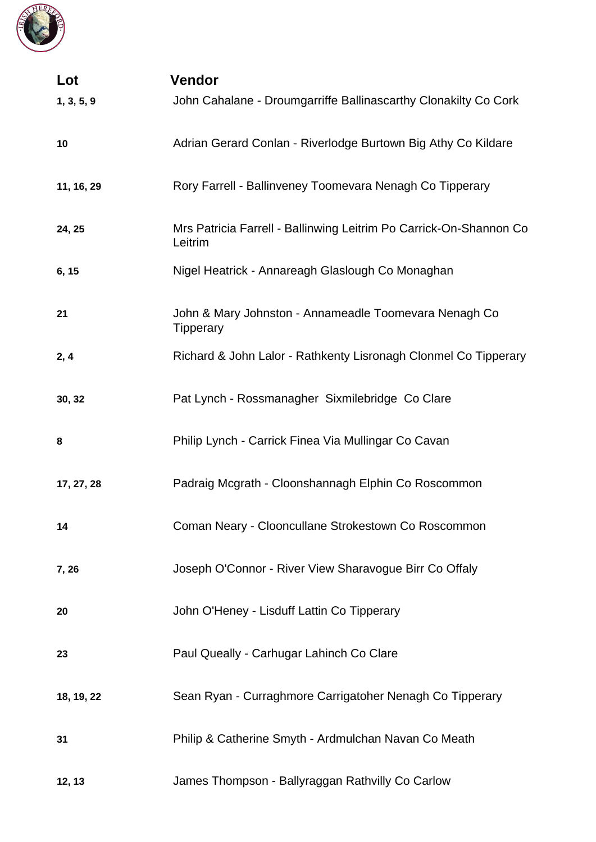

| Lot        | <b>Vendor</b>                                                                 |
|------------|-------------------------------------------------------------------------------|
| 1, 3, 5, 9 | John Cahalane - Droumgarriffe Ballinascarthy Clonakilty Co Cork               |
| 10         | Adrian Gerard Conlan - Riverlodge Burtown Big Athy Co Kildare                 |
| 11, 16, 29 | Rory Farrell - Ballinveney Toomevara Nenagh Co Tipperary                      |
| 24, 25     | Mrs Patricia Farrell - Ballinwing Leitrim Po Carrick-On-Shannon Co<br>Leitrim |
| 6, 15      | Nigel Heatrick - Annareagh Glaslough Co Monaghan                              |
| 21         | John & Mary Johnston - Annameadle Toomevara Nenagh Co<br><b>Tipperary</b>     |
| 2, 4       | Richard & John Lalor - Rathkenty Lisronagh Clonmel Co Tipperary               |
| 30, 32     | Pat Lynch - Rossmanagher Sixmilebridge Co Clare                               |
| 8          | Philip Lynch - Carrick Finea Via Mullingar Co Cavan                           |
| 17, 27, 28 | Padraig Mcgrath - Cloonshannagh Elphin Co Roscommon                           |
| 14         | Coman Neary - Clooncullane Strokestown Co Roscommon                           |
| 7,26       | Joseph O'Connor - River View Sharavogue Birr Co Offaly                        |
| 20         | John O'Heney - Lisduff Lattin Co Tipperary                                    |
| 23         | Paul Queally - Carhugar Lahinch Co Clare                                      |
| 18, 19, 22 | Sean Ryan - Curraghmore Carrigatoher Nenagh Co Tipperary                      |
| 31         | Philip & Catherine Smyth - Ardmulchan Navan Co Meath                          |
| 12, 13     | James Thompson - Ballyraggan Rathvilly Co Carlow                              |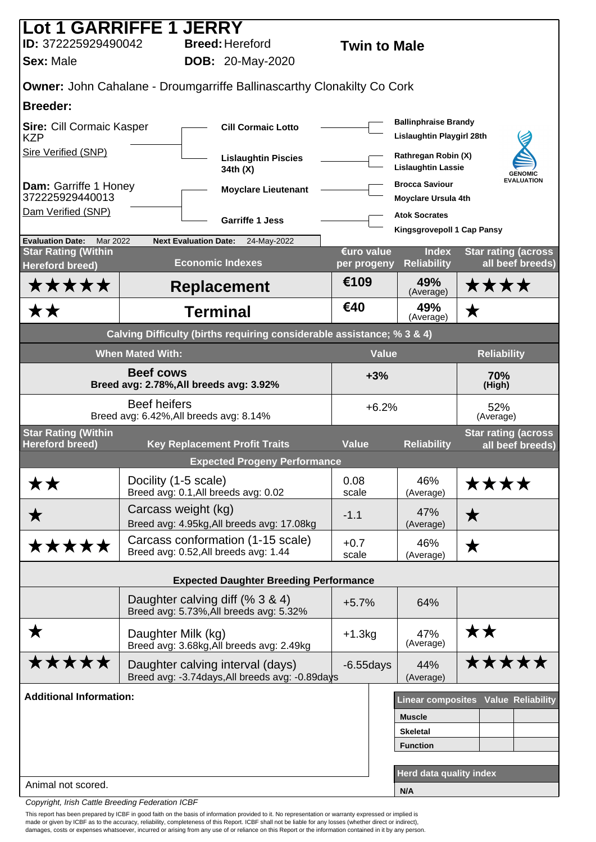| Lot 1 GARRIFFE 1 JERRY                                            |                         |                                                                                     |                     |              |                                                          |                    |                                                |
|-------------------------------------------------------------------|-------------------------|-------------------------------------------------------------------------------------|---------------------|--------------|----------------------------------------------------------|--------------------|------------------------------------------------|
| ID: 372225929490042                                               |                         | <b>Breed: Hereford</b>                                                              | <b>Twin to Male</b> |              |                                                          |                    |                                                |
| <b>Sex: Male</b>                                                  |                         | <b>DOB:</b> 20-May-2020                                                             |                     |              |                                                          |                    |                                                |
|                                                                   |                         | Owner: John Cahalane - Droumgarriffe Ballinascarthy Clonakilty Co Cork              |                     |              |                                                          |                    |                                                |
| <b>Breeder:</b>                                                   |                         |                                                                                     |                     |              |                                                          |                    |                                                |
| Sire: Cill Cormaic Kasper<br><b>KZP</b>                           |                         | <b>Cill Cormaic Lotto</b>                                                           |                     |              | <b>Ballinphraise Brandy</b><br>Lislaughtin Playgirl 28th |                    |                                                |
| Sire Verified (SNP)                                               |                         | <b>Lislaughtin Piscies</b><br>34th (X)                                              |                     |              | Rathregan Robin (X)<br><b>Lislaughtin Lassie</b>         |                    | <b>GENOMIC</b>                                 |
| Dam: Garriffe 1 Honey<br>372225929440013                          |                         | <b>Moyclare Lieutenant</b>                                                          |                     |              | <b>Brocca Saviour</b><br><b>Moyclare Ursula 4th</b>      |                    | <b>EVALUATION</b>                              |
| Dam Verified (SNP)                                                |                         | <b>Garriffe 1 Jess</b>                                                              |                     |              | <b>Atok Socrates</b><br>Kingsgrovepoll 1 Cap Pansy       |                    |                                                |
| <b>Evaluation Date:</b><br>Mar 2022<br><b>Star Rating (Within</b> |                         | <b>Next Evaluation Date:</b><br>24-May-2022                                         | €uro value          |              | <b>Index</b>                                             |                    | <b>Star rating (across</b>                     |
| <b>Hereford breed)</b>                                            |                         | <b>Economic Indexes</b>                                                             | per progeny         |              | <b>Reliability</b>                                       |                    | all beef breeds)                               |
| *****                                                             |                         | <b>Replacement</b>                                                                  | €109                |              | 49%<br>(Average)                                         | ****               |                                                |
| <b>**</b>                                                         |                         | <b>Terminal</b>                                                                     | €40                 |              | 49%<br>(Average)                                         | $\bigstar$         |                                                |
|                                                                   |                         | Calving Difficulty (births requiring considerable assistance; % 3 & 4)              |                     |              |                                                          |                    |                                                |
|                                                                   | <b>When Mated With:</b> |                                                                                     |                     | <b>Value</b> |                                                          | <b>Reliability</b> |                                                |
| <b>Beef cows</b><br>Breed avg: 2.78%, All breeds avg: 3.92%       |                         |                                                                                     |                     | $+3%$        |                                                          | 70%<br>(High)      |                                                |
|                                                                   | <b>Beef heifers</b>     | Breed avg: 6.42%, All breeds avg: 8.14%                                             |                     | $+6.2%$      |                                                          | 52%<br>(Average)   |                                                |
| <b>Star Rating (Within</b><br><b>Hereford breed)</b>              |                         | <b>Key Replacement Profit Traits</b>                                                | <b>Value</b>        |              | <b>Reliability</b>                                       |                    | <b>Star rating (across</b><br>all beef breeds) |
|                                                                   |                         | <b>Expected Progeny Performance</b>                                                 |                     |              |                                                          |                    |                                                |
| ★★                                                                | Docility (1-5 scale)    | Breed avg: 0.1, All breeds avg: 0.02                                                | 0.08<br>scale       |              | 46%<br>(Average)                                         | ****               |                                                |
| ★                                                                 | Carcass weight (kg)     | Breed avg: 4.95kg, All breeds avg: 17.08kg                                          | $-1.1$              |              | 47%<br>(Average)                                         | ★                  |                                                |
| *****                                                             |                         | Carcass conformation (1-15 scale)<br>Breed avg: 0.52, All breeds avg: 1.44          | $+0.7$<br>scale     |              | 46%<br>(Average)                                         | ★                  |                                                |
|                                                                   |                         | <b>Expected Daughter Breeding Performance</b>                                       |                     |              |                                                          |                    |                                                |
|                                                                   |                         | Daughter calving diff (% 3 & 4)<br>Breed avg: 5.73%, All breeds avg: 5.32%          | $+5.7%$             |              | 64%                                                      |                    |                                                |
| ★                                                                 | Daughter Milk (kg)      | Breed avg: 3.68kg, All breeds avg: 2.49kg                                           | $+1.3kg$            |              | 47%<br>(Average)                                         | ★★                 |                                                |
| *****                                                             |                         | Daughter calving interval (days)<br>Breed avg: -3.74days, All breeds avg: -0.89days | $-6.55$ days        |              | 44%<br>(Average)                                         |                    | *****                                          |
| <b>Additional Information:</b>                                    |                         |                                                                                     |                     |              | Linear composites Value Reliability                      |                    |                                                |
|                                                                   |                         |                                                                                     |                     |              | <b>Muscle</b>                                            |                    |                                                |
|                                                                   |                         |                                                                                     |                     |              | <b>Skeletal</b>                                          |                    |                                                |
|                                                                   |                         |                                                                                     |                     |              | <b>Function</b>                                          |                    |                                                |
|                                                                   |                         |                                                                                     |                     |              | <b>Herd data quality index</b>                           |                    |                                                |
| Animal not scored.                                                |                         |                                                                                     |                     |              | N/A                                                      |                    |                                                |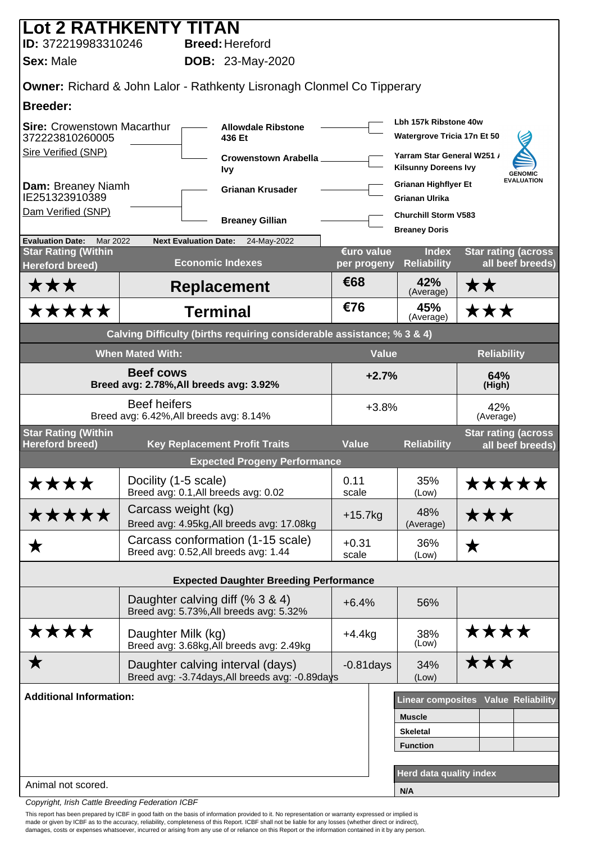| <b>Lot 2 RATHKENTY TITAN</b>                                |                                                                |                                                                                   |                           |                                                           |                                                 |  |
|-------------------------------------------------------------|----------------------------------------------------------------|-----------------------------------------------------------------------------------|---------------------------|-----------------------------------------------------------|-------------------------------------------------|--|
| ID: 372219983310246                                         |                                                                | <b>Breed: Hereford</b>                                                            |                           |                                                           |                                                 |  |
| <b>Sex: Male</b>                                            |                                                                | <b>DOB:</b> 23-May-2020                                                           |                           |                                                           |                                                 |  |
|                                                             |                                                                | <b>Owner: Richard &amp; John Lalor - Rathkenty Lisronagh Clonmel Co Tipperary</b> |                           |                                                           |                                                 |  |
| <b>Breeder:</b>                                             |                                                                |                                                                                   |                           |                                                           |                                                 |  |
| <b>Sire: Crowenstown Macarthur</b><br>372223810260005       |                                                                | <b>Allowdale Ribstone</b><br>436 Et                                               |                           | Lbh 157k Ribstone 40w<br>Watergrove Tricia 17n Et 50      |                                                 |  |
| Sire Verified (SNP)                                         |                                                                | Crowenstown Arabella_<br><b>Ivy</b>                                               |                           | Yarram Star General W251 /<br><b>Kilsunny Doreens Ivy</b> | <b>GENOMIC</b>                                  |  |
| Dam: Breaney Niamh<br>IE251323910389                        |                                                                | <b>Grianan Krusader</b>                                                           |                           | <b>Grianan Highflyer Et</b><br><b>Grianan Ulrika</b>      | <b>EVALUATION</b>                               |  |
| Dam Verified (SNP)                                          |                                                                | <b>Breaney Gillian</b>                                                            |                           | <b>Churchill Storm V583</b>                               |                                                 |  |
| <b>Evaluation Date:</b><br>Mar 2022                         | <b>Next Evaluation Date:</b>                                   | 24-May-2022                                                                       |                           | <b>Breaney Doris</b>                                      |                                                 |  |
| <b>Star Rating (Within</b><br><b>Hereford breed)</b>        |                                                                | <b>Economic Indexes</b>                                                           | €uro value<br>per progeny | <b>Index</b><br><b>Reliability</b>                        | <b>Star rating (across)</b><br>all beef breeds) |  |
| ★★★                                                         |                                                                | <b>Replacement</b>                                                                | €68                       | 42%<br>(Average)                                          | ★★                                              |  |
| <b>*****</b>                                                |                                                                | <b>Terminal</b>                                                                   | €76                       | 45%<br>(Average)                                          | ★★★                                             |  |
|                                                             |                                                                | Calving Difficulty (births requiring considerable assistance; % 3 & 4)            |                           |                                                           |                                                 |  |
|                                                             | <b>When Mated With:</b>                                        |                                                                                   | <b>Value</b>              |                                                           | <b>Reliability</b>                              |  |
| <b>Beef cows</b><br>Breed avg: 2.78%, All breeds avg: 3.92% |                                                                |                                                                                   | $+2.7%$                   |                                                           | 64%<br>(High)                                   |  |
|                                                             | <b>Beef heifers</b><br>Breed avg: 6.42%, All breeds avg: 8.14% |                                                                                   | $+3.8%$                   |                                                           | 42%<br>(Average)                                |  |
| <b>Star Rating (Within</b><br><b>Hereford breed)</b>        |                                                                | <b>Key Replacement Profit Traits</b>                                              | <b>Value</b>              | <b>Reliability</b>                                        | <b>Star rating (across</b><br>all beef breeds)  |  |
|                                                             |                                                                | <b>Expected Progeny Performance</b>                                               |                           |                                                           |                                                 |  |
| ****                                                        | Docility (1-5 scale)<br>Breed avg: 0.1, All breeds avg: 0.02   |                                                                                   | 0.11<br>scale             | 35%<br>(Low)                                              | *****                                           |  |
| *****                                                       | Carcass weight (kg)                                            | Breed avg: 4.95kg, All breeds avg: 17.08kg                                        | $+15.7kg$                 | 48%<br>(Average)                                          | ★★★                                             |  |
| ★                                                           | Breed avg: 0.52, All breeds avg: 1.44                          | Carcass conformation (1-15 scale)                                                 | $+0.31$<br>scale          | 36%<br>(Low)                                              | ★                                               |  |
|                                                             |                                                                |                                                                                   |                           |                                                           |                                                 |  |
|                                                             |                                                                | <b>Expected Daughter Breeding Performance</b>                                     |                           |                                                           |                                                 |  |
|                                                             | Daughter calving diff (% 3 & 4)                                | Breed avg: 5.73%, All breeds avg: 5.32%                                           | $+6.4%$                   | 56%                                                       |                                                 |  |
| ****                                                        | Daughter Milk (kg)                                             | Breed avg: 3.68kg, All breeds avg: 2.49kg                                         | $+4.4$ kg                 | 38%<br>(Low)                                              | ****                                            |  |
| $\bigstar$                                                  | Daughter calving interval (days)                               | Breed avg: -3.74days, All breeds avg: -0.89days                                   | $-0.81$ days              | 34%<br>(Low)                                              | ★★★                                             |  |
| <b>Additional Information:</b>                              |                                                                |                                                                                   |                           |                                                           | Linear composites Value Reliability             |  |
|                                                             |                                                                |                                                                                   |                           | <b>Muscle</b>                                             |                                                 |  |
|                                                             |                                                                |                                                                                   |                           | <b>Skeletal</b>                                           |                                                 |  |
|                                                             |                                                                |                                                                                   |                           | <b>Function</b>                                           |                                                 |  |
| Animal not scored.                                          |                                                                |                                                                                   |                           | Herd data quality index                                   |                                                 |  |
|                                                             |                                                                |                                                                                   |                           | N/A                                                       |                                                 |  |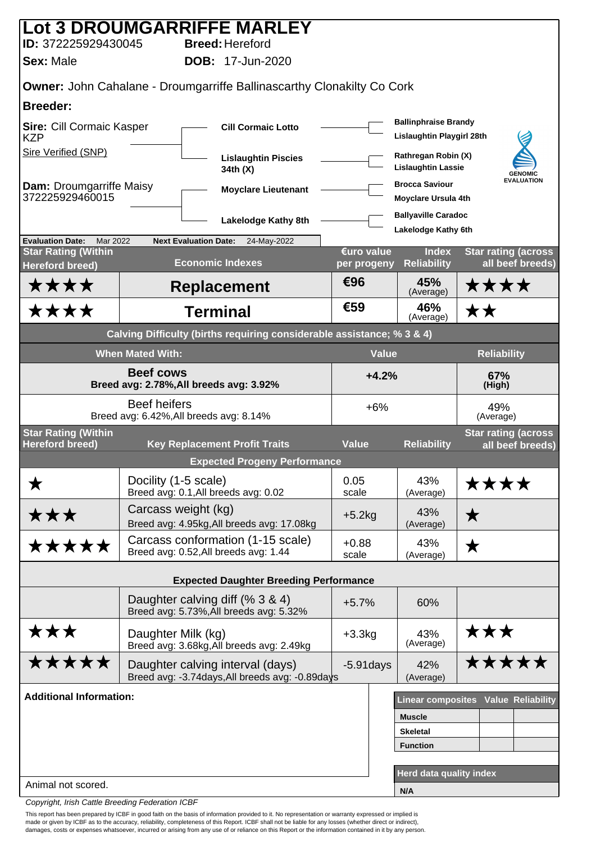| ID: 372225929430045                                                    |                         | Lot 3 DROUMGARRIFFE MARLEY<br><b>Breed: Hereford</b>                                |                                    |                                                                    |                                                |  |  |
|------------------------------------------------------------------------|-------------------------|-------------------------------------------------------------------------------------|------------------------------------|--------------------------------------------------------------------|------------------------------------------------|--|--|
| <b>Sex: Male</b>                                                       |                         | <b>DOB: 17-Jun-2020</b>                                                             |                                    |                                                                    |                                                |  |  |
| Owner: John Cahalane - Droumgarriffe Ballinascarthy Clonakilty Co Cork |                         |                                                                                     |                                    |                                                                    |                                                |  |  |
| <b>Breeder:</b>                                                        |                         |                                                                                     |                                    |                                                                    |                                                |  |  |
| <b>Sire: Cill Cormaic Kasper</b><br><b>KZP</b>                         |                         | <b>Cill Cormaic Lotto</b>                                                           |                                    | <b>Ballinphraise Brandy</b><br>Lislaughtin Playgirl 28th           |                                                |  |  |
| Sire Verified (SNP)                                                    |                         | <b>Lislaughtin Piscies</b><br>34th (X)                                              |                                    | Rathregan Robin (X)<br><b>Lislaughtin Lassie</b><br><b>GENOMIC</b> |                                                |  |  |
| <b>Dam: Droumgarriffe Maisy</b><br>372225929460015                     |                         | <b>Moyclare Lieutenant</b>                                                          |                                    | <b>Brocca Saviour</b><br><b>Moyclare Ursula 4th</b>                | <b>EVALUATION</b>                              |  |  |
|                                                                        |                         | <b>Lakelodge Kathy 8th</b>                                                          |                                    | <b>Ballyaville Caradoc</b><br>Lakelodge Kathy 6th                  |                                                |  |  |
| <b>Evaluation Date:</b><br>Mar 2022<br><b>Star Rating (Within</b>      |                         | <b>Next Evaluation Date:</b><br>24-May-2022                                         | €uro value                         | <b>Index</b>                                                       | <b>Star rating (across</b>                     |  |  |
| <b>Hereford breed)</b>                                                 |                         | <b>Economic Indexes</b>                                                             | per progeny                        | <b>Reliability</b>                                                 | all beef breeds)                               |  |  |
| ****                                                                   |                         | <b>Replacement</b>                                                                  | €96                                | 45%<br>(Average)                                                   | ****                                           |  |  |
| ****                                                                   |                         | <b>Terminal</b>                                                                     | €59                                | 46%<br>(Average)                                                   | ★★                                             |  |  |
|                                                                        |                         | Calving Difficulty (births requiring considerable assistance; % 3 & 4)              |                                    |                                                                    |                                                |  |  |
|                                                                        | <b>When Mated With:</b> |                                                                                     | <b>Value</b>                       |                                                                    | <b>Reliability</b>                             |  |  |
| <b>Beef cows</b>                                                       |                         | Breed avg: 2.78%, All breeds avg: 3.92%                                             | $+4.2%$                            |                                                                    | 67%<br>(High)                                  |  |  |
|                                                                        | <b>Beef heifers</b>     | Breed avg: 6.42%, All breeds avg: 8.14%                                             | $+6%$                              |                                                                    | 49%<br>(Average)                               |  |  |
| <b>Star Rating (Within</b><br><b>Hereford breed)</b>                   |                         | <b>Key Replacement Profit Traits</b>                                                | <b>Value</b><br><b>Reliability</b> |                                                                    | <b>Star rating (across</b><br>all beef breeds) |  |  |
|                                                                        |                         | <b>Expected Progeny Performance</b>                                                 |                                    |                                                                    |                                                |  |  |
| Х                                                                      | Docility (1-5 scale)    | Breed avg: 0.1, All breeds avg: 0.02                                                | 0.05<br>scale                      | 43%<br>(Average)                                                   | <b>****</b>                                    |  |  |
| ★★★                                                                    | Carcass weight (kg)     | Breed avg: 4.95kg, All breeds avg: 17.08kg                                          | $+5.2kg$                           | 43%<br>(Average)                                                   | ★                                              |  |  |
| *****                                                                  |                         | Carcass conformation (1-15 scale)<br>Breed avg: 0.52, All breeds avg: 1.44          | $+0.88$<br>scale                   | 43%<br>(Average)                                                   | ★                                              |  |  |
|                                                                        |                         | <b>Expected Daughter Breeding Performance</b>                                       |                                    |                                                                    |                                                |  |  |
|                                                                        |                         | Daughter calving diff (% 3 & 4)<br>Breed avg: 5.73%, All breeds avg: 5.32%          | $+5.7%$                            | 60%                                                                |                                                |  |  |
| ★★★                                                                    | Daughter Milk (kg)      | Breed avg: 3.68kg, All breeds avg: 2.49kg                                           | $+3.3kg$                           | 43%<br>(Average)                                                   | ★★★                                            |  |  |
| *****                                                                  |                         | Daughter calving interval (days)<br>Breed avg: -3.74days, All breeds avg: -0.89days | $-5.91$ days                       | 42%<br>(Average)                                                   | <b>*****</b>                                   |  |  |
| <b>Additional Information:</b>                                         |                         |                                                                                     |                                    |                                                                    | <b>Linear composites Value Reliability</b>     |  |  |
|                                                                        |                         |                                                                                     |                                    | <b>Muscle</b>                                                      |                                                |  |  |
|                                                                        |                         |                                                                                     |                                    | <b>Skeletal</b><br><b>Function</b>                                 |                                                |  |  |
|                                                                        |                         |                                                                                     |                                    |                                                                    |                                                |  |  |
| Animal not scored.                                                     |                         |                                                                                     |                                    | <b>Herd data quality index</b><br>N/A                              |                                                |  |  |
|                                                                        |                         |                                                                                     |                                    |                                                                    |                                                |  |  |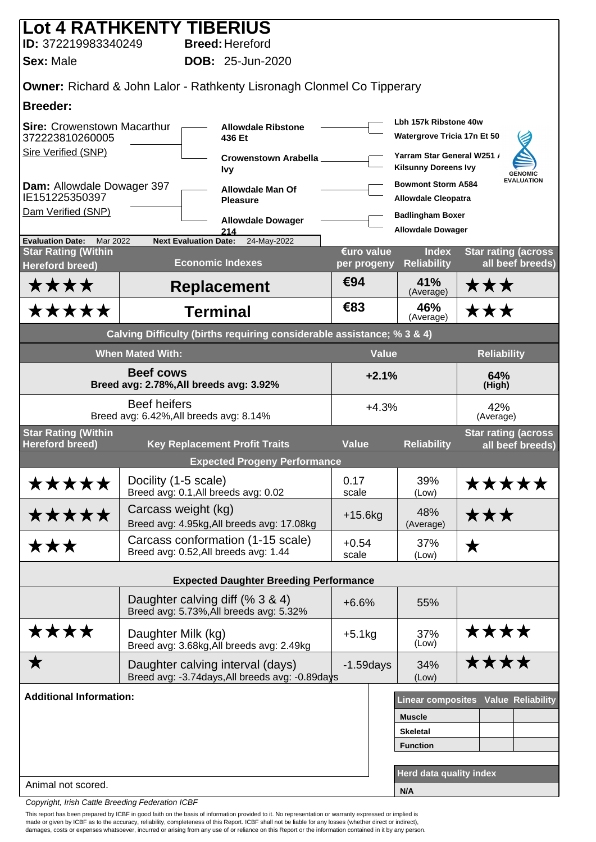| Lot 4 RATHKENTY TIBERIUS<br>ID: 372219983340249                                                          |                         | <b>Breed: Hereford</b>                                                            |                           |                                                                                    |                                                 |  |
|----------------------------------------------------------------------------------------------------------|-------------------------|-----------------------------------------------------------------------------------|---------------------------|------------------------------------------------------------------------------------|-------------------------------------------------|--|
| <b>Sex: Male</b>                                                                                         |                         | <b>DOB: 25-Jun-2020</b>                                                           |                           |                                                                                    |                                                 |  |
|                                                                                                          |                         |                                                                                   |                           |                                                                                    |                                                 |  |
| <b>Breeder:</b>                                                                                          |                         | <b>Owner: Richard &amp; John Lalor - Rathkenty Lisronagh Clonmel Co Tipperary</b> |                           |                                                                                    |                                                 |  |
| <b>Sire: Crowenstown Macarthur</b><br>372223810260005<br>Sire Verified (SNP)                             |                         | <b>Allowdale Ribstone</b><br>436 Et                                               |                           | Lbh 157k Ribstone 40w<br>Watergrove Tricia 17n Et 50<br>Yarram Star General W251 / |                                                 |  |
|                                                                                                          |                         | Crowenstown Arabella<br><b>Ivy</b>                                                |                           | <b>Kilsunny Doreens Ivy</b>                                                        | <b>GENOMIC</b>                                  |  |
| Dam: Allowdale Dowager 397<br>IE151225350397                                                             |                         | <b>Allowdale Man Of</b><br><b>Pleasure</b>                                        |                           | <b>Bowmont Storm A584</b><br><b>Allowdale Cleopatra</b>                            | <b>EVALUATION</b>                               |  |
| Dam Verified (SNP)                                                                                       |                         | <b>Allowdale Dowager</b>                                                          |                           | <b>Badlingham Boxer</b>                                                            |                                                 |  |
| <b>Evaluation Date:</b><br>Mar 2022                                                                      |                         | 214<br>24-May-2022<br><b>Next Evaluation Date:</b>                                |                           | <b>Allowdale Dowager</b>                                                           |                                                 |  |
| <b>Star Rating (Within</b><br><b>Hereford breed)</b>                                                     |                         | <b>Economic Indexes</b>                                                           | €uro value<br>per progeny | <b>Index</b><br><b>Reliability</b>                                                 | <b>Star rating (across)</b><br>all beef breeds) |  |
| ****                                                                                                     |                         | <b>Replacement</b>                                                                | €94                       | 41%<br>(Average)                                                                   | ★★★                                             |  |
| *****                                                                                                    |                         | <b>Terminal</b>                                                                   | €83                       | 46%<br>(Average)                                                                   | ★★★                                             |  |
|                                                                                                          |                         | Calving Difficulty (births requiring considerable assistance; % 3 & 4)            |                           |                                                                                    |                                                 |  |
|                                                                                                          | <b>When Mated With:</b> |                                                                                   | <b>Value</b>              |                                                                                    | <b>Reliability</b>                              |  |
|                                                                                                          | <b>Beef cows</b>        | Breed avg: 2.78%, All breeds avg: 3.92%                                           | $+2.1%$                   |                                                                                    | 64%<br>(High)                                   |  |
|                                                                                                          | <b>Beef heifers</b>     | Breed avg: 6.42%, All breeds avg: 8.14%                                           | $+4.3%$                   |                                                                                    | 42%<br>(Average)                                |  |
| <b>Star Rating (Within</b><br><b>Hereford breed)</b>                                                     |                         | <b>Key Replacement Profit Traits</b>                                              | <b>Value</b>              | <b>Reliability</b>                                                                 | <b>Star rating (across</b><br>all beef breeds)  |  |
|                                                                                                          |                         | <b>Expected Progeny Performance</b>                                               |                           |                                                                                    |                                                 |  |
| *****                                                                                                    | Docility (1-5 scale)    | Breed avg: 0.1, All breeds avg: 0.02                                              | 0.17<br>scale             | 39%<br>(Low)                                                                       | *****                                           |  |
| *****                                                                                                    | Carcass weight (kg)     | Breed avg: 4.95kg, All breeds avg: 17.08kg                                        | $+15.6$ kg                | 48%<br>(Average)                                                                   | ★★★                                             |  |
| ★★★                                                                                                      |                         | Carcass conformation (1-15 scale)<br>Breed avg: 0.52, All breeds avg: 1.44        | $+0.54$<br>scale          | 37%<br>(Low)                                                                       | ★                                               |  |
|                                                                                                          |                         | <b>Expected Daughter Breeding Performance</b>                                     |                           |                                                                                    |                                                 |  |
|                                                                                                          |                         | Daughter calving diff (% 3 & 4)<br>Breed avg: 5.73%, All breeds avg: 5.32%        | $+6.6%$                   | 55%                                                                                |                                                 |  |
| ****                                                                                                     | Daughter Milk (kg)      | Breed avg: 3.68kg, All breeds avg: 2.49kg                                         | $+5.1kg$                  | 37%<br>(Low)                                                                       | ****                                            |  |
| ★<br>Daughter calving interval (days)<br>$-1.59$ days<br>Breed avg: -3.74days, All breeds avg: -0.89days |                         |                                                                                   |                           | 34%<br>(Low)                                                                       | ****                                            |  |
| <b>Additional Information:</b>                                                                           |                         |                                                                                   |                           |                                                                                    | <b>Linear composites Value Reliability</b>      |  |
|                                                                                                          |                         |                                                                                   |                           | <b>Muscle</b>                                                                      |                                                 |  |
|                                                                                                          |                         |                                                                                   |                           | <b>Skeletal</b><br><b>Function</b>                                                 |                                                 |  |
|                                                                                                          |                         |                                                                                   |                           |                                                                                    |                                                 |  |
| Animal not scored.                                                                                       |                         |                                                                                   |                           | Herd data quality index                                                            |                                                 |  |
|                                                                                                          |                         |                                                                                   |                           | N/A                                                                                |                                                 |  |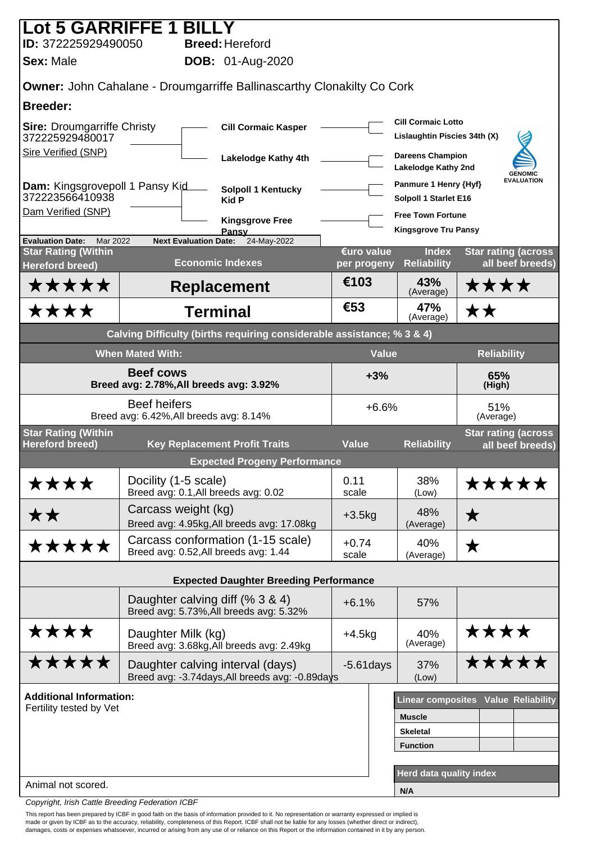| Lot 5 GARRIFFE 1 BILL                                       |                                                                |                                                                             |                           |                                                |                                                |  |  |
|-------------------------------------------------------------|----------------------------------------------------------------|-----------------------------------------------------------------------------|---------------------------|------------------------------------------------|------------------------------------------------|--|--|
| ID: 372225929490050<br>Sex: Male                            |                                                                | <b>Breed: Hereford</b>                                                      |                           |                                                |                                                |  |  |
| <b>DOB:</b> 01-Aug-2020                                     |                                                                |                                                                             |                           |                                                |                                                |  |  |
|                                                             |                                                                | Owner: John Cahalane - Droumgarriffe Ballinascarthy Clonakilty Co Cork      |                           |                                                |                                                |  |  |
| <b>Breeder:</b>                                             |                                                                |                                                                             |                           | <b>Cill Cormaic Lotto</b>                      |                                                |  |  |
| <b>Sire: Droumgarriffe Christy</b><br>372225929480017       |                                                                | <b>Cill Cormaic Kasper</b>                                                  |                           | Lislaughtin Piscies 34th (X)                   |                                                |  |  |
| <b>Sire Verified (SNP)</b>                                  |                                                                | Lakelodge Kathy 4th                                                         |                           | <b>Dareens Champion</b><br>Lakelodge Kathy 2nd | <b>GENOMIC</b>                                 |  |  |
| Dam: Kingsgrovepoll 1 Pansy Kid<br>372223566410938          |                                                                | Solpoll 1 Kentucky<br><b>Kid P</b>                                          |                           | Panmure 1 Henry {Hyf}<br>Solpoll 1 Starlet E16 | <b>EVALUATION</b>                              |  |  |
| Dam Verified (SNP)                                          |                                                                | <b>Kingsgrove Free</b>                                                      |                           | <b>Free Town Fortune</b>                       |                                                |  |  |
| <b>Evaluation Date:</b><br>Mar 2022                         | <b>Next Evaluation Date:</b>                                   | Pansy<br>24-May-2022                                                        |                           | <b>Kingsgrove Tru Pansy</b>                    |                                                |  |  |
| <b>Star Rating (Within</b><br><b>Hereford breed)</b>        |                                                                | <b>Economic Indexes</b>                                                     | €uro value<br>per progeny | <b>Index</b><br><b>Reliability</b>             | <b>Star rating (across</b><br>all beef breeds) |  |  |
| *****                                                       |                                                                | <b>Replacement</b>                                                          | €103                      | 43%<br>(Average)                               | ****                                           |  |  |
| ****                                                        |                                                                | <b>Terminal</b>                                                             | €53                       | 47%<br>(Average)                               | ★★                                             |  |  |
|                                                             |                                                                | Calving Difficulty (births requiring considerable assistance; % 3 & 4)      |                           |                                                |                                                |  |  |
|                                                             | <b>When Mated With:</b>                                        |                                                                             | <b>Value</b>              |                                                | <b>Reliability</b>                             |  |  |
| <b>Beef cows</b><br>Breed avg: 2.78%, All breeds avg: 3.92% |                                                                |                                                                             | $+3%$                     |                                                | 65%<br>(High)                                  |  |  |
|                                                             | <b>Beef heifers</b><br>Breed avg: 6.42%, All breeds avg: 8.14% |                                                                             | $+6.6%$                   |                                                | 51%<br>(Average)                               |  |  |
| <b>Star Rating (Within</b>                                  |                                                                |                                                                             |                           |                                                | <b>Star rating (across</b>                     |  |  |
| <b>Hereford breed)</b>                                      |                                                                | <b>Key Replacement Profit Traits</b><br><b>Expected Progeny Performance</b> | <b>Value</b>              | <b>Reliability</b>                             | all beef breeds)                               |  |  |
| ****                                                        | Docility (1-5 scale)                                           |                                                                             | 0.11                      | 38%                                            | *****                                          |  |  |
|                                                             | Breed avg: 0.1, All breeds avg: 0.02                           |                                                                             | scale                     | (Low)                                          |                                                |  |  |
| **                                                          | Carcass weight (kg)                                            | Breed avg: 4.95kg, All breeds avg: 17.08kg                                  | $+3.5kg$                  | 48%<br>(Average)                               | ★                                              |  |  |
| *****                                                       | Breed avg: 0.52, All breeds avg: 1.44                          | Carcass conformation (1-15 scale)                                           | $+0.74$<br>scale          | 40%<br>(Average)                               | ★                                              |  |  |
|                                                             |                                                                | <b>Expected Daughter Breeding Performance</b>                               |                           |                                                |                                                |  |  |
|                                                             | Daughter calving diff (% 3 & 4)                                | Breed avg: 5.73%, All breeds avg: 5.32%                                     | $+6.1%$                   | 57%                                            |                                                |  |  |
| ****                                                        | Daughter Milk (kg)                                             | Breed avg: 3.68kg, All breeds avg: 2.49kg                                   | $+4.5kg$                  | 40%<br>(Average)                               | ****                                           |  |  |
| *****                                                       | Daughter calving interval (days)                               | Breed avg: -3.74days, All breeds avg: -0.89days                             | $-5.61$ days              | 37%<br>(Low)                                   | *****                                          |  |  |
| <b>Additional Information:</b>                              |                                                                |                                                                             |                           |                                                | <b>Linear composites Value Reliability</b>     |  |  |
| Fertility tested by Vet                                     |                                                                |                                                                             |                           | <b>Muscle</b>                                  |                                                |  |  |
|                                                             |                                                                |                                                                             |                           | <b>Skeletal</b>                                |                                                |  |  |
|                                                             |                                                                |                                                                             |                           | <b>Function</b>                                |                                                |  |  |
| Animal not scored.                                          |                                                                |                                                                             |                           | Herd data quality index                        |                                                |  |  |
|                                                             |                                                                |                                                                             |                           | N/A                                            |                                                |  |  |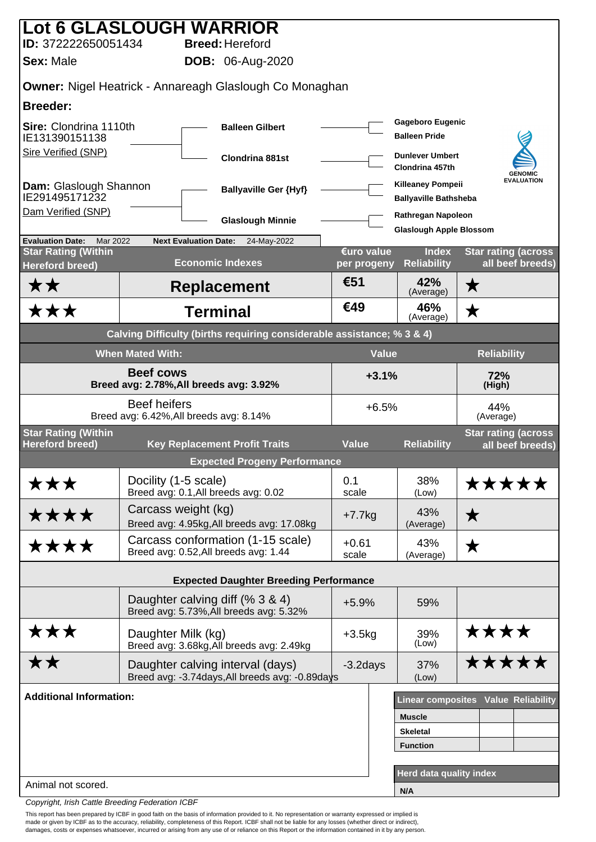| Lot 6 GLASLOUGH WARRIOR                                     |                         |                                                                                     |                           |                                                          |                                                |  |
|-------------------------------------------------------------|-------------------------|-------------------------------------------------------------------------------------|---------------------------|----------------------------------------------------------|------------------------------------------------|--|
| ID: 372222650051434                                         |                         | <b>Breed: Hereford</b>                                                              |                           |                                                          |                                                |  |
| <b>Sex: Male</b>                                            |                         | <b>DOB:</b> 06-Aug-2020                                                             |                           |                                                          |                                                |  |
|                                                             |                         | <b>Owner: Nigel Heatrick - Annareagh Glaslough Co Monaghan</b>                      |                           |                                                          |                                                |  |
| <b>Breeder:</b>                                             |                         |                                                                                     |                           |                                                          |                                                |  |
| Sire: Clondrina 1110th<br>IE131390151138                    |                         | <b>Balleen Gilbert</b>                                                              |                           | <b>Gageboro Eugenic</b><br><b>Balleen Pride</b>          |                                                |  |
| <b>Sire Verified (SNP)</b>                                  |                         | Clondrina 881st                                                                     |                           | <b>Dunlever Umbert</b><br>Clondrina 457th                | <b>GENOMIC</b>                                 |  |
| Dam: Glaslough Shannon<br>IE291495171232                    |                         | <b>Ballyaville Ger {Hyf}</b>                                                        |                           | <b>Killeaney Pompeii</b><br><b>Ballyaville Bathsheba</b> | <b>EVALUATION</b>                              |  |
| Dam Verified (SNP)                                          |                         | <b>Glaslough Minnie</b>                                                             |                           | Rathregan Napoleon<br><b>Glaslough Apple Blossom</b>     |                                                |  |
| <b>Evaluation Date:</b><br>Mar 2022                         |                         | <b>Next Evaluation Date:</b><br>24-May-2022                                         |                           |                                                          |                                                |  |
| <b>Star Rating (Within</b><br><b>Hereford breed)</b>        |                         | <b>Economic Indexes</b>                                                             | €uro value<br>per progeny | <b>Index</b><br><b>Reliability</b>                       | <b>Star rating (across</b><br>all beef breeds) |  |
| <b>**</b>                                                   |                         | <b>Replacement</b>                                                                  | €51                       | 42%<br>(Average)                                         | $\bigstar$                                     |  |
| ★★★                                                         |                         | <b>Terminal</b>                                                                     | €49                       | 46%<br>(Average)                                         | $\bigstar$                                     |  |
|                                                             |                         | Calving Difficulty (births requiring considerable assistance; % 3 & 4)              |                           |                                                          |                                                |  |
|                                                             | <b>When Mated With:</b> |                                                                                     | <b>Value</b>              |                                                          | <b>Reliability</b>                             |  |
| <b>Beef cows</b><br>Breed avg: 2.78%, All breeds avg: 3.92% |                         |                                                                                     | $+3.1%$                   |                                                          | 72%<br>(High)                                  |  |
|                                                             | <b>Beef heifers</b>     | Breed avg: 6.42%, All breeds avg: 8.14%                                             | $+6.5%$                   |                                                          | 44%<br>(Average)                               |  |
| <b>Star Rating (Within</b><br><b>Hereford breed)</b>        |                         | <b>Key Replacement Profit Traits</b>                                                | <b>Value</b>              | <b>Reliability</b>                                       | <b>Star rating (across</b><br>all beef breeds) |  |
|                                                             |                         | <b>Expected Progeny Performance</b>                                                 |                           |                                                          |                                                |  |
| ★★★                                                         | Docility (1-5 scale)    | Breed avg: 0.1, All breeds avg: 0.02                                                | 0.1<br>scale              | 38%<br>(Low)                                             | <b>*****</b>                                   |  |
| ****                                                        | Carcass weight (kg)     | Breed avg: 4.95kg, All breeds avg: 17.08kg                                          | $+7.7$ kg                 | 43%<br>(Average)                                         | $\bigstar$                                     |  |
| ****                                                        |                         | Carcass conformation (1-15 scale)<br>Breed avg: 0.52, All breeds avg: 1.44          | $+0.61$<br>scale          | 43%<br>(Average)                                         | ★                                              |  |
|                                                             |                         | <b>Expected Daughter Breeding Performance</b>                                       |                           |                                                          |                                                |  |
|                                                             |                         | Daughter calving diff (% 3 & 4)<br>Breed avg: 5.73%, All breeds avg: 5.32%          | $+5.9%$                   | 59%                                                      |                                                |  |
| ★★★                                                         | Daughter Milk (kg)      | Breed avg: 3.68kg, All breeds avg: 2.49kg                                           | $+3.5kg$                  | 39%<br>(Low)                                             | ****                                           |  |
| <b>**</b>                                                   |                         | Daughter calving interval (days)<br>Breed avg: -3.74days, All breeds avg: -0.89days | $-3.2$ days               | 37%<br>(Low)                                             | <b>*****</b>                                   |  |
| <b>Additional Information:</b>                              |                         |                                                                                     |                           |                                                          | <b>Linear composites Value Reliability</b>     |  |
|                                                             |                         |                                                                                     |                           | <b>Muscle</b>                                            |                                                |  |
|                                                             |                         |                                                                                     |                           | <b>Skeletal</b>                                          |                                                |  |
|                                                             |                         |                                                                                     |                           | <b>Function</b>                                          |                                                |  |
|                                                             |                         |                                                                                     |                           | Herd data quality index                                  |                                                |  |
| Animal not scored.                                          |                         |                                                                                     |                           | N/A                                                      |                                                |  |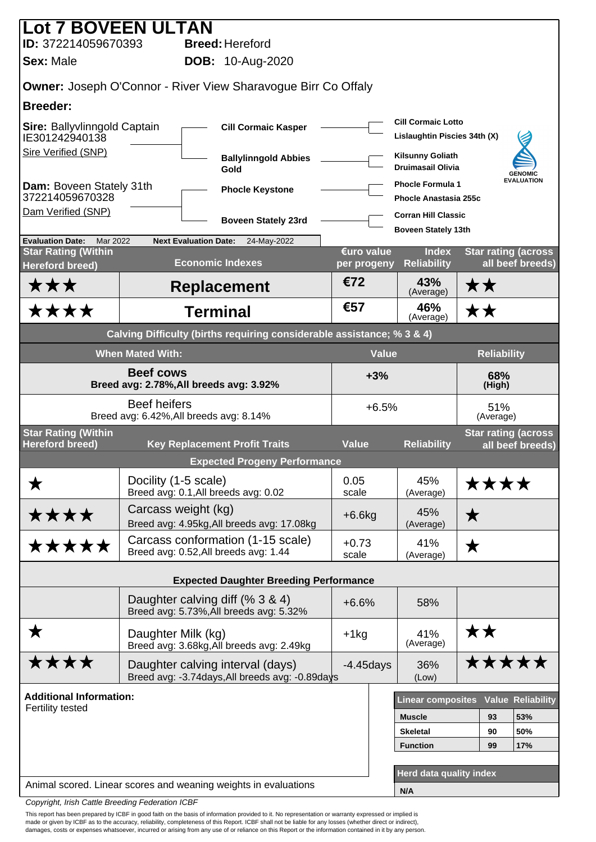| <b>Lot 7 BOVEEN ULTAN</b>                            |                                                                                     |                           |                                                           |                    |                                                 |
|------------------------------------------------------|-------------------------------------------------------------------------------------|---------------------------|-----------------------------------------------------------|--------------------|-------------------------------------------------|
| ID: 372214059670393                                  | <b>Breed: Hereford</b>                                                              |                           |                                                           |                    |                                                 |
| <b>Sex: Male</b>                                     | <b>DOB:</b> 10-Aug-2020                                                             |                           |                                                           |                    |                                                 |
|                                                      | <b>Owner: Joseph O'Connor - River View Sharavogue Birr Co Offaly</b>                |                           |                                                           |                    |                                                 |
| <b>Breeder:</b>                                      |                                                                                     |                           |                                                           |                    |                                                 |
| Sire: Ballyvlinngold Captain<br>IE301242940138       | <b>Cill Cormaic Kasper</b>                                                          |                           | <b>Cill Cormaic Lotto</b><br>Lislaughtin Piscies 34th (X) |                    |                                                 |
| <b>Sire Verified (SNP)</b>                           | <b>Ballylinngold Abbies</b><br>Gold                                                 |                           | <b>Kilsunny Goliath</b><br><b>Druimasail Olivia</b>       |                    | <b>GENOMIC</b>                                  |
| Dam: Boveen Stately 31th<br>372214059670328          | <b>Phocle Keystone</b>                                                              |                           | <b>Phocle Formula 1</b><br><b>Phocle Anastasia 255c</b>   |                    | <b>EVALUATION</b>                               |
| Dam Verified (SNP)                                   | <b>Boveen Stately 23rd</b>                                                          |                           | <b>Corran Hill Classic</b>                                |                    |                                                 |
| <b>Evaluation Date:</b><br>Mar 2022                  | <b>Next Evaluation Date:</b><br>24-May-2022                                         |                           | <b>Boveen Stately 13th</b>                                |                    |                                                 |
| <b>Star Rating (Within</b><br><b>Hereford breed)</b> | <b>Economic Indexes</b>                                                             | €uro value<br>per progeny | <b>Index</b><br><b>Reliability</b>                        |                    | <b>Star rating (across</b><br>all beef breeds)  |
| ★★★                                                  | <b>Replacement</b>                                                                  | €72                       | 43%<br>(Average)                                          | ★★                 |                                                 |
| ****                                                 | <b>Terminal</b>                                                                     | €57                       | 46%<br>(Average)                                          | ★★                 |                                                 |
|                                                      | Calving Difficulty (births requiring considerable assistance; % 3 & 4)              |                           |                                                           |                    |                                                 |
|                                                      | <b>When Mated With:</b>                                                             | <b>Value</b>              |                                                           | <b>Reliability</b> |                                                 |
|                                                      | <b>Beef cows</b><br>Breed avg: 2.78%, All breeds avg: 3.92%                         | $+3%$                     |                                                           | 68%<br>(High)      |                                                 |
|                                                      | <b>Beef heifers</b><br>Breed avg: 6.42%, All breeds avg: 8.14%                      | $+6.5%$                   |                                                           | 51%<br>(Average)   |                                                 |
| <b>Star Rating (Within</b><br><b>Hereford breed)</b> | <b>Key Replacement Profit Traits</b>                                                | <b>Value</b>              | <b>Reliability</b>                                        |                    | <b>Star rating (across)</b><br>all beef breeds) |
|                                                      | <b>Expected Progeny Performance</b>                                                 |                           |                                                           |                    |                                                 |
| Х                                                    | Docility (1-5 scale)<br>Breed avg: 0.1, All breeds avg: 0.02                        | 0.05<br>scale             | 45%<br>(Average)                                          | <b>****</b>        |                                                 |
| ****                                                 | Carcass weight (kg)<br>Breed avg: 4.95kg, All breeds avg: 17.08kg                   | $+6.6$ kg                 | 45%<br>(Average)                                          | ★                  |                                                 |
| *****                                                | Carcass conformation (1-15 scale)<br>Breed avg: 0.52, All breeds avg: 1.44          | $+0.73$<br>scale          | 41%<br>(Average)                                          | ★                  |                                                 |
|                                                      | <b>Expected Daughter Breeding Performance</b>                                       |                           |                                                           |                    |                                                 |
|                                                      | Daughter calving diff (% 3 & 4)                                                     | $+6.6%$                   | 58%                                                       |                    |                                                 |
|                                                      | Breed avg: 5.73%, All breeds avg: 5.32%                                             |                           |                                                           |                    |                                                 |
| ★                                                    | Daughter Milk (kg)<br>Breed avg: 3.68kg, All breeds avg: 2.49kg                     | $+1$ kg                   | 41%<br>(Average)                                          | **                 |                                                 |
| <b>****</b>                                          | Daughter calving interval (days)<br>Breed avg: -3.74days, All breeds avg: -0.89days | $-4.45$ days              | 36%<br>(Low)                                              | <b>*****</b>       |                                                 |
| <b>Additional Information:</b>                       |                                                                                     |                           | <b>Linear composites</b>                                  |                    | <b>Value Reliability</b>                        |
| Fertility tested                                     |                                                                                     |                           | <b>Muscle</b>                                             | 93                 | 53%                                             |
|                                                      |                                                                                     | <b>Skeletal</b>           | 90                                                        | 50%                |                                                 |
|                                                      |                                                                                     |                           | <b>Function</b>                                           | 99                 | 17%                                             |
|                                                      |                                                                                     |                           |                                                           |                    |                                                 |
|                                                      | Animal scored. Linear scores and weaning weights in evaluations                     |                           | Herd data quality index                                   |                    |                                                 |
| Conveniente Luigh Cottle Ducartine Fortcustion ICDF  |                                                                                     |                           | N/A                                                       |                    |                                                 |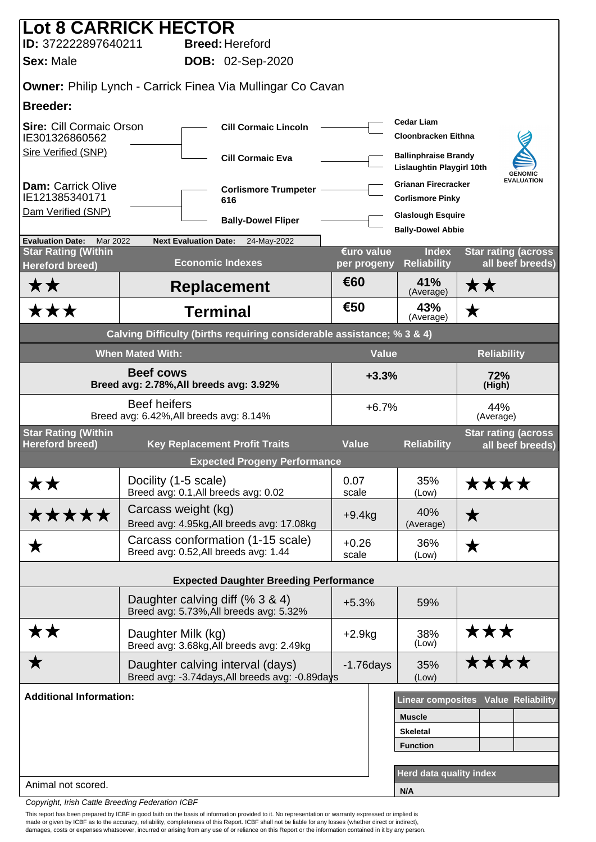|                                                      | <b>Lot 8 CARRICK HECTOR</b>                                                         |                           |                                                                 |                                                |  |
|------------------------------------------------------|-------------------------------------------------------------------------------------|---------------------------|-----------------------------------------------------------------|------------------------------------------------|--|
| ID: 372222897640211                                  | <b>Breed: Hereford</b>                                                              |                           |                                                                 |                                                |  |
| <b>Sex: Male</b>                                     | <b>DOB:</b> 02-Sep-2020                                                             |                           |                                                                 |                                                |  |
|                                                      | <b>Owner: Philip Lynch - Carrick Finea Via Mullingar Co Cavan</b>                   |                           |                                                                 |                                                |  |
| <b>Breeder:</b>                                      |                                                                                     |                           |                                                                 |                                                |  |
| <b>Sire: Cill Cormaic Orson</b><br>IE301326860562    | <b>Cill Cormaic Lincoln</b>                                                         |                           | <b>Cedar Liam</b><br><b>Cloonbracken Eithna</b>                 |                                                |  |
| <b>Sire Verified (SNP)</b>                           | <b>Cill Cormaic Eva</b>                                                             |                           | <b>Ballinphraise Brandy</b><br><b>Lislaughtin Playgirl 10th</b> | <b>GENOMIC</b>                                 |  |
| <b>Dam: Carrick Olive</b><br>IE121385340171          | <b>Corlismore Trumpeter</b><br>616                                                  |                           | <b>Grianan Firecracker</b><br><b>Corlismore Pinky</b>           | <b>EVALUATION</b>                              |  |
| Dam Verified (SNP)                                   | <b>Bally-Dowel Fliper</b>                                                           |                           | <b>Glaslough Esquire</b>                                        |                                                |  |
| Mar 2022<br><b>Evaluation Date:</b>                  | <b>Next Evaluation Date:</b><br>24-May-2022                                         |                           | <b>Bally-Dowel Abbie</b>                                        |                                                |  |
| <b>Star Rating (Within</b><br><b>Hereford breed)</b> | <b>Economic Indexes</b>                                                             | €uro value<br>per progeny | <b>Index</b><br><b>Reliability</b>                              | <b>Star rating (across</b><br>all beef breeds) |  |
| <b>**</b>                                            | <b>Replacement</b>                                                                  | €60                       | 41%<br>(Average)                                                | ★★                                             |  |
| ★★★                                                  | <b>Terminal</b>                                                                     | €50                       | 43%<br>(Average)                                                | ★                                              |  |
|                                                      | Calving Difficulty (births requiring considerable assistance; % 3 & 4)              |                           |                                                                 |                                                |  |
|                                                      | <b>When Mated With:</b>                                                             | <b>Value</b>              |                                                                 | <b>Reliability</b>                             |  |
|                                                      | <b>Beef cows</b><br>Breed avg: 2.78%, All breeds avg: 3.92%                         | $+3.3%$                   | 72%<br>(High)                                                   |                                                |  |
|                                                      | <b>Beef heifers</b><br>Breed avg: 6.42%, All breeds avg: 8.14%                      | $+6.7%$                   |                                                                 | 44%<br>(Average)                               |  |
| <b>Star Rating (Within</b><br><b>Hereford breed)</b> | <b>Key Replacement Profit Traits</b>                                                | <b>Value</b>              | <b>Reliability</b>                                              | <b>Star rating (across</b><br>all beef breeds) |  |
|                                                      | <b>Expected Progeny Performance</b>                                                 |                           |                                                                 |                                                |  |
| <b>**</b>                                            | Docility (1-5 scale)<br>Breed avg: 0.1, All breeds avg: 0.02                        | 0.07<br>scale             | 35%<br>(Low)                                                    | <b>****</b>                                    |  |
| *****                                                | Carcass weight (kg)<br>Breed avg: 4.95kg, All breeds avg: 17.08kg                   | $+9.4kg$                  | 40%<br>(Average)                                                | ★                                              |  |
| ★                                                    | Carcass conformation (1-15 scale)<br>Breed avg: 0.52, All breeds avg: 1.44          | $+0.26$<br>scale          | 36%<br>(Low)                                                    | ★                                              |  |
|                                                      | <b>Expected Daughter Breeding Performance</b>                                       |                           |                                                                 |                                                |  |
|                                                      | Daughter calving diff (% 3 & 4)                                                     |                           |                                                                 |                                                |  |
|                                                      | Breed avg: 5.73%, All breeds avg: 5.32%                                             | $+5.3%$                   | 59%                                                             |                                                |  |
| <b>**</b>                                            | Daughter Milk (kg)<br>Breed avg: 3.68kg, All breeds avg: 2.49kg                     | $+2.9kg$                  | 38%<br>(Low)                                                    | ★★★                                            |  |
| ★                                                    | Daughter calving interval (days)<br>Breed avg: -3.74days, All breeds avg: -0.89days | $-1.76$ days              | 35%<br>(Low)                                                    | ****                                           |  |
| <b>Additional Information:</b>                       |                                                                                     |                           |                                                                 | <b>Linear composites Value Reliability</b>     |  |
|                                                      |                                                                                     |                           | <b>Muscle</b>                                                   |                                                |  |
|                                                      |                                                                                     |                           | <b>Skeletal</b>                                                 |                                                |  |
|                                                      |                                                                                     |                           | <b>Function</b>                                                 |                                                |  |
|                                                      |                                                                                     |                           | Herd data quality index                                         |                                                |  |
| Animal not scored.                                   |                                                                                     |                           | N/A                                                             |                                                |  |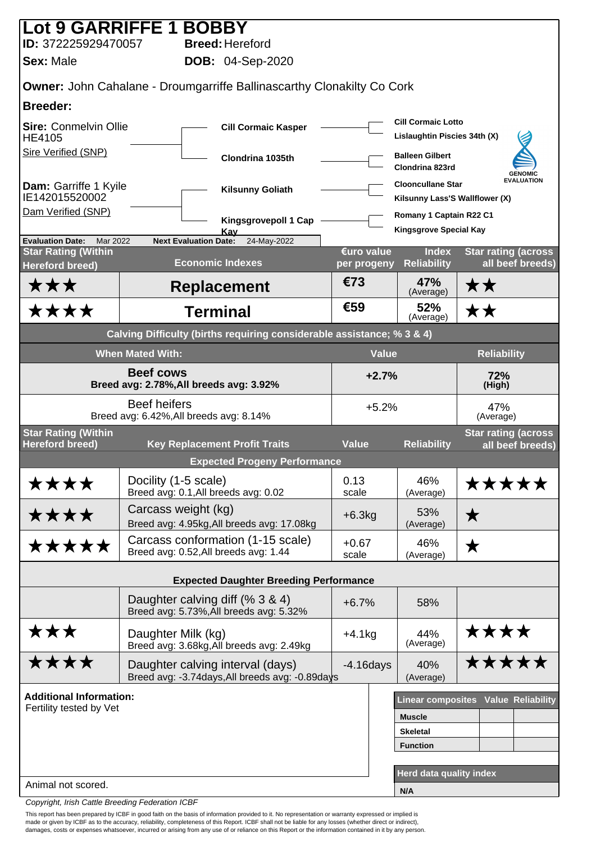| Lot 9 GARRIFFE 1 BOBBY                                      |                                       |                                                                                     |                           |                                                            |                                                |  |  |
|-------------------------------------------------------------|---------------------------------------|-------------------------------------------------------------------------------------|---------------------------|------------------------------------------------------------|------------------------------------------------|--|--|
| ID: 372225929470057                                         |                                       | <b>Breed: Hereford</b>                                                              |                           |                                                            |                                                |  |  |
| <b>Sex: Male</b>                                            |                                       | <b>DOB:</b> 04-Sep-2020                                                             |                           |                                                            |                                                |  |  |
|                                                             |                                       | <b>Owner: John Cahalane - Droumgarriffe Ballinascarthy Clonakilty Co Cork</b>       |                           |                                                            |                                                |  |  |
| <b>Breeder:</b>                                             |                                       |                                                                                     |                           |                                                            |                                                |  |  |
| <b>Sire: Conmelvin Ollie</b><br><b>HE4105</b>               |                                       | <b>Cill Cormaic Kasper</b>                                                          |                           | <b>Cill Cormaic Lotto</b><br>Lislaughtin Piscies 34th (X)  |                                                |  |  |
| Sire Verified (SNP)                                         |                                       | Clondrina 1035th                                                                    |                           | <b>Balleen Gilbert</b><br>Clondrina 823rd                  | <b>GENOMIC</b>                                 |  |  |
| Dam: Garriffe 1 Kyile<br>IE142015520002                     |                                       | <b>Kilsunny Goliath</b>                                                             |                           | <b>Clooncullane Star</b><br>Kilsunny Lass'S Wallflower (X) | <b>EVALUATION</b>                              |  |  |
| Dam Verified (SNP)                                          |                                       | Kingsgrovepoll 1 Cap                                                                |                           | Romany 1 Captain R22 C1                                    |                                                |  |  |
| <b>Evaluation Date:</b><br>Mar 2022                         | <b>Next Evaluation Date:</b>          | Kay<br>24-May-2022                                                                  |                           | <b>Kingsgrove Special Kay</b>                              |                                                |  |  |
| <b>Star Rating (Within</b><br><b>Hereford breed)</b>        |                                       | <b>Economic Indexes</b>                                                             | €uro value<br>per progeny | <b>Index</b><br><b>Reliability</b>                         | <b>Star rating (across</b><br>all beef breeds) |  |  |
| ★★★                                                         |                                       | <b>Replacement</b>                                                                  | €73                       | 47%<br>(Average)                                           | ★★                                             |  |  |
| ****                                                        |                                       | <b>Terminal</b>                                                                     | €59                       | 52%<br>(Average)                                           | ★★                                             |  |  |
|                                                             |                                       | Calving Difficulty (births requiring considerable assistance; % 3 & 4)              |                           |                                                            |                                                |  |  |
|                                                             | <b>When Mated With:</b>               |                                                                                     | <b>Value</b>              |                                                            | <b>Reliability</b>                             |  |  |
| <b>Beef cows</b><br>Breed avg: 2.78%, All breeds avg: 3.92% |                                       |                                                                                     | $+2.7%$                   |                                                            | 72%<br>(High)                                  |  |  |
|                                                             | <b>Beef heifers</b>                   | $+5.2%$<br>Breed avg: 6.42%, All breeds avg: 8.14%                                  |                           |                                                            | 47%<br>(Average)                               |  |  |
| <b>Star Rating (Within</b>                                  |                                       |                                                                                     |                           |                                                            | <b>Star rating (across</b>                     |  |  |
| <b>Hereford breed)</b>                                      |                                       | <b>Key Replacement Profit Traits</b><br><b>Expected Progeny Performance</b>         | <b>Value</b>              | <b>Reliability</b>                                         | all beef breeds)                               |  |  |
| ****                                                        | Docility (1-5 scale)                  |                                                                                     | 0.13                      | 46%                                                        | *****                                          |  |  |
|                                                             | Breed avg: 0.1, All breeds avg: 0.02  |                                                                                     | scale                     | (Average)                                                  |                                                |  |  |
| ****                                                        | Carcass weight (kg)                   | Breed avg: 4.95kg, All breeds avg: 17.08kg                                          | $+6.3kg$                  | 53%<br>(Average)                                           | ★                                              |  |  |
| *****                                                       | Breed avg: 0.52, All breeds avg: 1.44 | Carcass conformation (1-15 scale)                                                   | $+0.67$<br>scale          | 46%<br>(Average)                                           | ★                                              |  |  |
|                                                             |                                       | <b>Expected Daughter Breeding Performance</b>                                       |                           |                                                            |                                                |  |  |
|                                                             | Daughter calving diff (% 3 & 4)       | Breed avg: 5.73%, All breeds avg: 5.32%                                             | $+6.7%$                   | 58%                                                        |                                                |  |  |
| ★★★                                                         | Daughter Milk (kg)                    | Breed avg: 3.68kg, All breeds avg: 2.49kg                                           | $+4.1kg$                  | 44%<br>(Average)                                           | ****                                           |  |  |
| ****                                                        |                                       | Daughter calving interval (days)<br>Breed avg: -3.74days, All breeds avg: -0.89days | $-4.16$ days              | 40%<br>(Average)                                           | *****                                          |  |  |
| <b>Additional Information:</b>                              |                                       |                                                                                     |                           |                                                            | Linear composites Value Reliability            |  |  |
| Fertility tested by Vet                                     |                                       |                                                                                     |                           | <b>Muscle</b>                                              |                                                |  |  |
|                                                             |                                       |                                                                                     |                           | <b>Skeletal</b>                                            |                                                |  |  |
|                                                             |                                       |                                                                                     |                           | <b>Function</b>                                            |                                                |  |  |
|                                                             |                                       |                                                                                     |                           | Herd data quality index                                    |                                                |  |  |
| Animal not scored.                                          |                                       |                                                                                     |                           | N/A                                                        |                                                |  |  |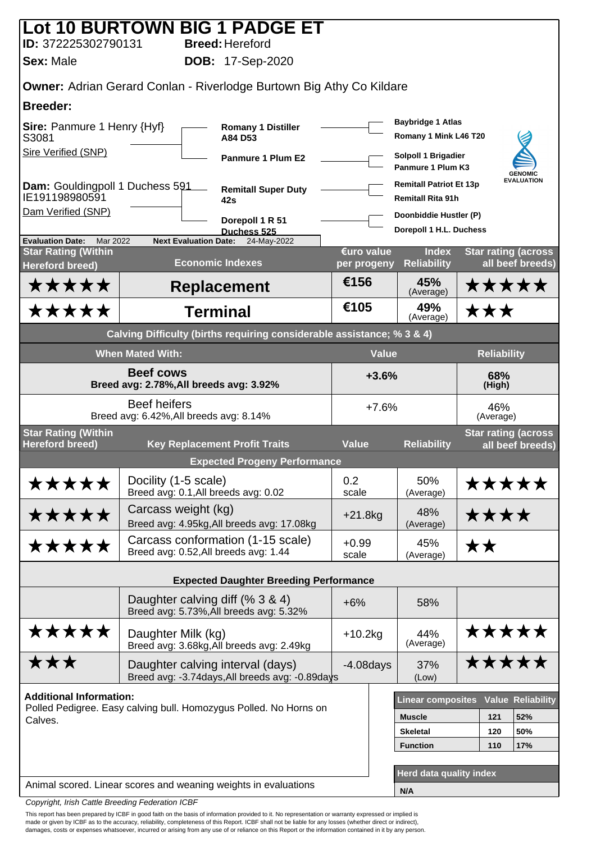|                                                      |                                                                | Lot 10 BURTOWN BIG 1 PADGE ET                                               |                           |              |                                                            |               |                    |                                                |
|------------------------------------------------------|----------------------------------------------------------------|-----------------------------------------------------------------------------|---------------------------|--------------|------------------------------------------------------------|---------------|--------------------|------------------------------------------------|
| ID: 372225302790131                                  |                                                                | <b>Breed: Hereford</b>                                                      |                           |              |                                                            |               |                    |                                                |
| <b>Sex: Male</b>                                     |                                                                | <b>DOB:</b> 17-Sep-2020                                                     |                           |              |                                                            |               |                    |                                                |
|                                                      |                                                                | <b>Owner:</b> Adrian Gerard Conlan - Riverlodge Burtown Big Athy Co Kildare |                           |              |                                                            |               |                    |                                                |
| <b>Breeder:</b>                                      |                                                                |                                                                             |                           |              |                                                            |               |                    |                                                |
| <b>Sire: Panmure 1 Henry {Hyf}</b><br>S3081          |                                                                | <b>Romany 1 Distiller</b><br>A84 D53                                        |                           |              | <b>Baybridge 1 Atlas</b><br>Romany 1 Mink L46 T20          |               |                    |                                                |
| Sire Verified (SNP)                                  |                                                                | <b>Panmure 1 Plum E2</b>                                                    |                           |              | Solpoll 1 Brigadier<br>Panmure 1 Plum K3                   |               |                    | <b>GENOMIC</b>                                 |
| Dam: Gouldingpoll 1 Duchess 591<br>IE191198980591    |                                                                | <b>Remitall Super Duty</b><br>42s                                           |                           |              | <b>Remitall Patriot Et 13p</b><br><b>Remitall Rita 91h</b> |               |                    | <b>EVALUATION</b>                              |
| Dam Verified (SNP)                                   |                                                                | Dorepoll 1 R 51                                                             |                           |              | Doonbiddie Hustler (P)                                     |               |                    |                                                |
| <b>Evaluation Date:</b><br>Mar 2022                  | <b>Next Evaluation Date:</b>                                   | Duchess 525<br>24-May-2022                                                  |                           |              | Dorepoll 1 H.L. Duchess                                    |               |                    |                                                |
| <b>Star Rating (Within</b><br><b>Hereford breed)</b> |                                                                | <b>Economic Indexes</b>                                                     | €uro value<br>per progeny |              | <b>Index</b><br><b>Reliability</b>                         |               |                    | <b>Star rating (across</b><br>all beef breeds) |
| *****                                                |                                                                | <b>Replacement</b>                                                          | €156                      |              | 45%<br>(Average)                                           |               |                    | *****                                          |
| *****                                                |                                                                | <b>Terminal</b>                                                             | €105                      |              | 49%<br>(Average)                                           |               | ★★★                |                                                |
|                                                      |                                                                | Calving Difficulty (births requiring considerable assistance; % 3 & 4)      |                           |              |                                                            |               |                    |                                                |
|                                                      | <b>When Mated With:</b>                                        |                                                                             |                           | <b>Value</b> |                                                            |               | <b>Reliability</b> |                                                |
|                                                      | <b>Beef cows</b><br>Breed avg: 2.78%, All breeds avg: 3.92%    |                                                                             | $+3.6%$                   |              |                                                            | 68%<br>(High) |                    |                                                |
|                                                      | <b>Beef heifers</b><br>Breed avg: 6.42%, All breeds avg: 8.14% |                                                                             | $+7.6%$                   |              | 46%<br>(Average)                                           |               |                    |                                                |
| <b>Star Rating (Within</b><br><b>Hereford breed)</b> |                                                                | <b>Key Replacement Profit Traits</b>                                        | <b>Value</b>              |              | <b>Reliability</b>                                         |               |                    | <b>Star rating (across</b>                     |
|                                                      |                                                                | <b>Expected Progeny Performance</b>                                         |                           |              |                                                            |               |                    | all beef breeds)                               |
| *****                                                | Docility (1-5 scale)                                           |                                                                             | 0.2                       |              | 50%                                                        |               |                    | *****                                          |
|                                                      | Breed avg: 0.1, All breeds avg: 0.02                           |                                                                             | scale                     |              | (Average)                                                  |               |                    |                                                |
| *****                                                | Carcass weight (kg)                                            | Breed avg: 4.95kg, All breeds avg: 17.08kg                                  | $+21.8kg$                 |              | 48%<br>(Average)                                           |               | ****               |                                                |
| *****                                                | Breed avg: 0.52, All breeds avg: 1.44                          | Carcass conformation (1-15 scale)                                           | $+0.99$<br>scale          |              | 45%<br>(Average)                                           | <b>**</b>     |                    |                                                |
|                                                      |                                                                | <b>Expected Daughter Breeding Performance</b>                               |                           |              |                                                            |               |                    |                                                |
|                                                      | Daughter calving diff (% 3 & 4)                                |                                                                             |                           |              |                                                            |               |                    |                                                |
|                                                      |                                                                | Breed avg: 5.73%, All breeds avg: 5.32%                                     | $+6%$                     |              | 58%                                                        |               |                    |                                                |
| *****                                                | Daughter Milk (kg)                                             | Breed avg: 3.68kg, All breeds avg: 2.49kg                                   | $+10.2$ kg                |              | 44%<br>(Average)                                           |               |                    | *****                                          |
| ★★★                                                  | Daughter calving interval (days)                               | Breed avg: -3.74days, All breeds avg: -0.89days                             | $-4.08$ days              |              | 37%<br>(Low)                                               |               |                    | *****                                          |
| <b>Additional Information:</b>                       |                                                                |                                                                             |                           |              | <b>Linear composites</b>                                   |               |                    | <b>Value Reliability</b>                       |
| Calves.                                              |                                                                | Polled Pedigree. Easy calving bull. Homozygus Polled. No Horns on           |                           |              | <b>Muscle</b>                                              |               | 121                | 52%                                            |
|                                                      |                                                                |                                                                             |                           |              | <b>Skeletal</b>                                            |               | 120                | 50%                                            |
|                                                      |                                                                |                                                                             |                           |              | <b>Function</b>                                            |               | 110                | 17%                                            |
|                                                      |                                                                |                                                                             |                           |              | Herd data quality index                                    |               |                    |                                                |
|                                                      |                                                                | Animal scored. Linear scores and weaning weights in evaluations             |                           |              | N/A                                                        |               |                    |                                                |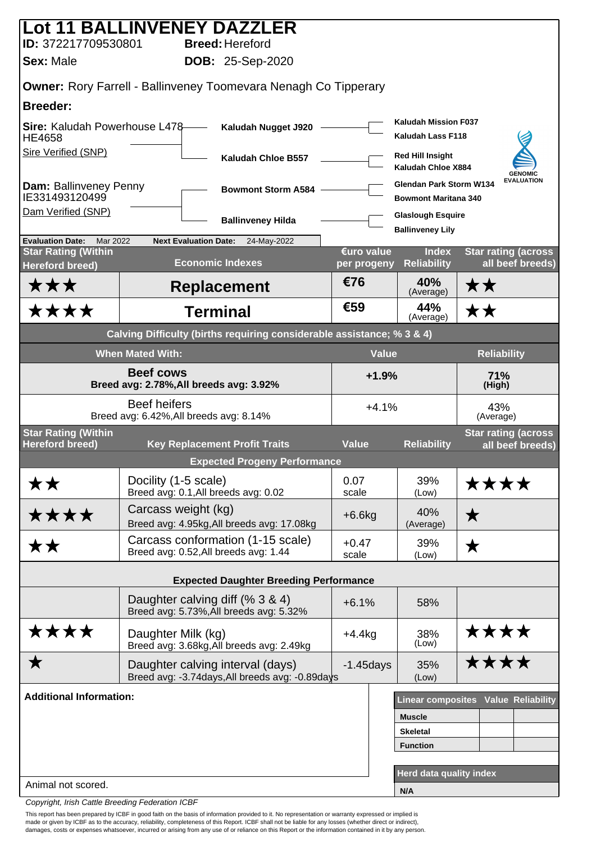|                                                      | Lot 11 BALLINVENEY DAZZLER                                                          |                           |                                                        |                                                |  |
|------------------------------------------------------|-------------------------------------------------------------------------------------|---------------------------|--------------------------------------------------------|------------------------------------------------|--|
| ID: 372217709530801<br><b>Sex: Male</b>              | <b>Breed: Hereford</b><br><b>DOB: 25-Sep-2020</b>                                   |                           |                                                        |                                                |  |
|                                                      |                                                                                     |                           |                                                        |                                                |  |
|                                                      | Owner: Rory Farrell - Ballinveney Toomevara Nenagh Co Tipperary                     |                           |                                                        |                                                |  |
| <b>Breeder:</b>                                      |                                                                                     |                           | <b>Kaludah Mission F037</b>                            |                                                |  |
| Sire: Kaludah Powerhouse L478-<br><b>HE4658</b>      | Kaludah Nugget J920                                                                 |                           | Kaludah Lass F118                                      |                                                |  |
| <b>Sire Verified (SNP)</b>                           | Kaludah Chloe B557                                                                  |                           | <b>Red Hill Insight</b><br>Kaludah Chloe X884          | <b>GENOMIC</b>                                 |  |
| Dam: Ballinveney Penny<br>IE331493120499             | <b>Bowmont Storm A584</b>                                                           |                           | Glendan Park Storm W134<br><b>Bowmont Maritana 340</b> | <b>EVALUATION</b>                              |  |
| Dam Verified (SNP)                                   | <b>Ballinveney Hilda</b>                                                            |                           | <b>Glaslough Esquire</b>                               |                                                |  |
| Mar 2022<br><b>Evaluation Date:</b>                  | <b>Next Evaluation Date:</b><br>24-May-2022                                         |                           | <b>Ballinveney Lily</b>                                |                                                |  |
| <b>Star Rating (Within</b><br><b>Hereford breed)</b> | <b>Economic Indexes</b>                                                             | €uro value<br>per progeny | <b>Index</b><br><b>Reliability</b>                     | <b>Star rating (across</b><br>all beef breeds) |  |
| ★★★                                                  | <b>Replacement</b>                                                                  | €76                       | 40%<br>(Average)                                       | ★★                                             |  |
| <b>****</b>                                          | <b>Terminal</b>                                                                     | €59                       | 44%<br>(Average)                                       | ★★                                             |  |
|                                                      | Calving Difficulty (births requiring considerable assistance; % 3 & 4)              |                           |                                                        |                                                |  |
|                                                      | <b>When Mated With:</b>                                                             | <b>Value</b>              |                                                        | <b>Reliability</b>                             |  |
| Breed avg: 2.78%, All breeds avg: 3.92%              | $+1.9%$<br>71%<br>(High)                                                            |                           |                                                        |                                                |  |
|                                                      | <b>Beef heifers</b><br>Breed avg: 6.42%, All breeds avg: 8.14%                      | $+4.1%$                   | 43%<br>(Average)                                       |                                                |  |
| <b>Star Rating (Within</b><br><b>Hereford breed)</b> | <b>Key Replacement Profit Traits</b>                                                | <b>Value</b>              | <b>Reliability</b>                                     | <b>Star rating (across</b>                     |  |
|                                                      | <b>Expected Progeny Performance</b>                                                 |                           |                                                        | all beef breeds)                               |  |
| <b>**</b>                                            | Docility (1-5 scale)<br>Breed avg: 0.1, All breeds avg: 0.02                        | 0.07<br>scale             | 39%                                                    | <b>****</b>                                    |  |
| ****                                                 | Carcass weight (kg)                                                                 | $+6.6kg$                  | (Low)<br>40%                                           | ★                                              |  |
|                                                      | Breed avg: 4.95kg, All breeds avg: 17.08kg<br>Carcass conformation (1-15 scale)     | $+0.47$                   | (Average)<br>39%                                       |                                                |  |
| <b>**</b>                                            | Breed avg: 0.52, All breeds avg: 1.44                                               | scale                     | (Low)                                                  | ★                                              |  |
|                                                      | <b>Expected Daughter Breeding Performance</b>                                       |                           |                                                        |                                                |  |
|                                                      | Daughter calving diff (% 3 & 4)<br>Breed avg: 5.73%, All breeds avg: 5.32%          | $+6.1%$                   | 58%                                                    |                                                |  |
| ****                                                 | Daughter Milk (kg)<br>Breed avg: 3.68kg, All breeds avg: 2.49kg                     | $+4.4$ kg                 | 38%<br>(Low)                                           | ****                                           |  |
| Х                                                    | Daughter calving interval (days)<br>Breed avg: -3.74days, All breeds avg: -0.89days | $-1.45$ days              | 35%<br>(Low)                                           | <b>****</b>                                    |  |
| <b>Additional Information:</b>                       |                                                                                     |                           |                                                        | Linear composites Value Reliability            |  |
|                                                      |                                                                                     |                           | <b>Muscle</b>                                          |                                                |  |
|                                                      |                                                                                     |                           | <b>Skeletal</b>                                        |                                                |  |
|                                                      |                                                                                     |                           | <b>Function</b>                                        |                                                |  |
|                                                      |                                                                                     |                           | Herd data quality index                                |                                                |  |
| Animal not scored.                                   |                                                                                     |                           | N/A                                                    |                                                |  |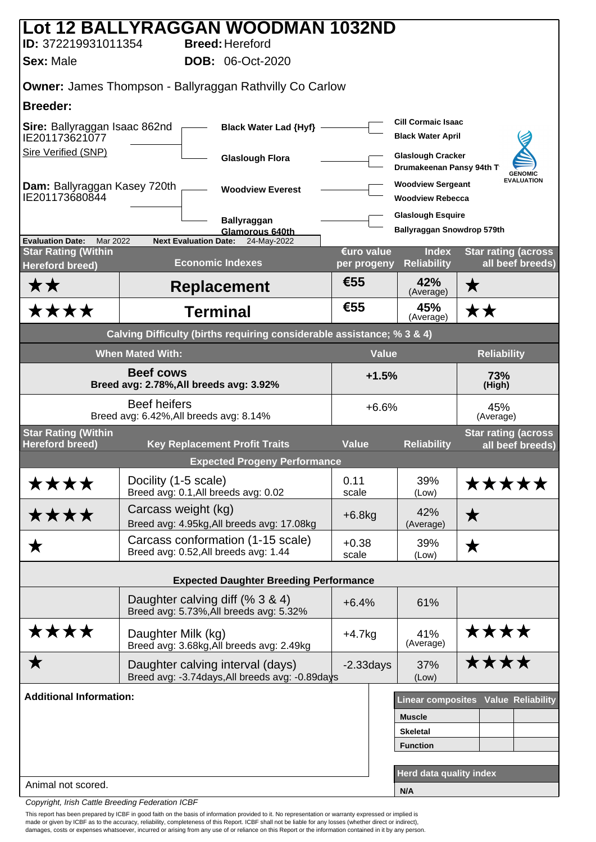|                                                             |                         | Lot 12 BALLYRAGGAN WOODMAN 1032ND                                                   |                           |                                                       |                                                |
|-------------------------------------------------------------|-------------------------|-------------------------------------------------------------------------------------|---------------------------|-------------------------------------------------------|------------------------------------------------|
| ID: 372219931011354                                         |                         | <b>Breed: Hereford</b>                                                              |                           |                                                       |                                                |
| <b>Sex: Male</b>                                            |                         | <b>DOB: 06-Oct-2020</b>                                                             |                           |                                                       |                                                |
|                                                             |                         | Owner: James Thompson - Ballyraggan Rathvilly Co Carlow                             |                           |                                                       |                                                |
| <b>Breeder:</b>                                             |                         |                                                                                     |                           |                                                       |                                                |
| Sire: Ballyraggan Isaac 862nd<br>IE201173621077             |                         | Black Water Lad {Hyf} -                                                             |                           | <b>Cill Cormaic Isaac</b><br><b>Black Water April</b> |                                                |
| <b>Sire Verified (SNP)</b>                                  |                         | <b>Glaslough Flora</b>                                                              |                           | <b>Glaslough Cracker</b><br>Drumakeenan Pansy 94th T  | <b>GENOMIC</b>                                 |
| Dam: Ballyraggan Kasey 720th<br>IE201173680844              |                         | <b>Woodview Everest</b>                                                             |                           | <b>Woodview Sergeant</b><br><b>Woodview Rebecca</b>   | <b>EVALUATION</b>                              |
|                                                             |                         | <b>Ballyraggan</b>                                                                  |                           | <b>Glaslough Esquire</b>                              |                                                |
| <b>Evaluation Date:</b><br>Mar 2022                         |                         | Glamorous 640th<br><b>Next Evaluation Date:</b><br>24-May-2022                      |                           | Ballyraggan Snowdrop 579th                            |                                                |
| <b>Star Rating (Within</b><br><b>Hereford breed)</b>        |                         | <b>Economic Indexes</b>                                                             | €uro value<br>per progeny | <b>Index</b><br><b>Reliability</b>                    | <b>Star rating (across</b><br>all beef breeds) |
| ★★                                                          |                         | <b>Replacement</b>                                                                  | €55                       | 42%<br>(Average)                                      | $\bigstar$                                     |
| ★★★★                                                        |                         | <b>Terminal</b>                                                                     | €55                       | 45%<br>(Average)                                      | ★★                                             |
|                                                             |                         | Calving Difficulty (births requiring considerable assistance; % 3 & 4)              |                           |                                                       |                                                |
|                                                             | <b>When Mated With:</b> |                                                                                     | <b>Value</b>              |                                                       | <b>Reliability</b>                             |
| <b>Beef cows</b><br>Breed avg: 2.78%, All breeds avg: 3.92% |                         |                                                                                     | $+1.5%$                   |                                                       | 73%<br>(High)                                  |
|                                                             | <b>Beef heifers</b>     | Breed avg: 6.42%, All breeds avg: 8.14%                                             | $+6.6%$                   |                                                       | 45%<br>(Average)                               |
| <b>Star Rating (Within</b><br><b>Hereford breed)</b>        |                         | <b>Key Replacement Profit Traits</b>                                                | <b>Value</b>              | <b>Reliability</b>                                    | <b>Star rating (across</b><br>all beef breeds) |
|                                                             |                         | <b>Expected Progeny Performance</b>                                                 |                           |                                                       |                                                |
| ****                                                        | Docility (1-5 scale)    | Breed avg: 0.1, All breeds avg: 0.02                                                | 0.11<br>scale             | 39%<br>(Low)                                          | *****                                          |
| ****                                                        | Carcass weight (kg)     | Breed avg: 4.95kg, All breeds avg: 17.08kg                                          | $+6.8kg$                  | 42%<br>(Average)                                      | ★                                              |
| ▼                                                           |                         | Carcass conformation (1-15 scale)<br>Breed avg: 0.52, All breeds avg: 1.44          | $+0.38$<br>scale          | 39%<br>(Low)                                          | ★                                              |
|                                                             |                         | <b>Expected Daughter Breeding Performance</b>                                       |                           |                                                       |                                                |
|                                                             |                         | Daughter calving diff (% 3 & 4)                                                     |                           |                                                       |                                                |
|                                                             |                         | Breed avg: 5.73%, All breeds avg: 5.32%                                             | $+6.4%$                   | 61%                                                   |                                                |
| ****                                                        | Daughter Milk (kg)      | Breed avg: 3.68kg, All breeds avg: 2.49kg                                           | $+4.7kg$                  | 41%<br>(Average)                                      | ****                                           |
| ★                                                           |                         | Daughter calving interval (days)<br>Breed avg: -3.74days, All breeds avg: -0.89days | $-2.33$ days              | 37%<br>(Low)                                          | ****                                           |
| <b>Additional Information:</b>                              |                         |                                                                                     |                           |                                                       | <b>Linear composites Value Reliability</b>     |
|                                                             |                         |                                                                                     |                           | <b>Muscle</b>                                         |                                                |
|                                                             |                         |                                                                                     |                           | <b>Skeletal</b>                                       |                                                |
|                                                             |                         |                                                                                     |                           | <b>Function</b>                                       |                                                |
| Animal not scored.                                          |                         |                                                                                     |                           | Herd data quality index                               |                                                |
|                                                             |                         |                                                                                     |                           | N/A                                                   |                                                |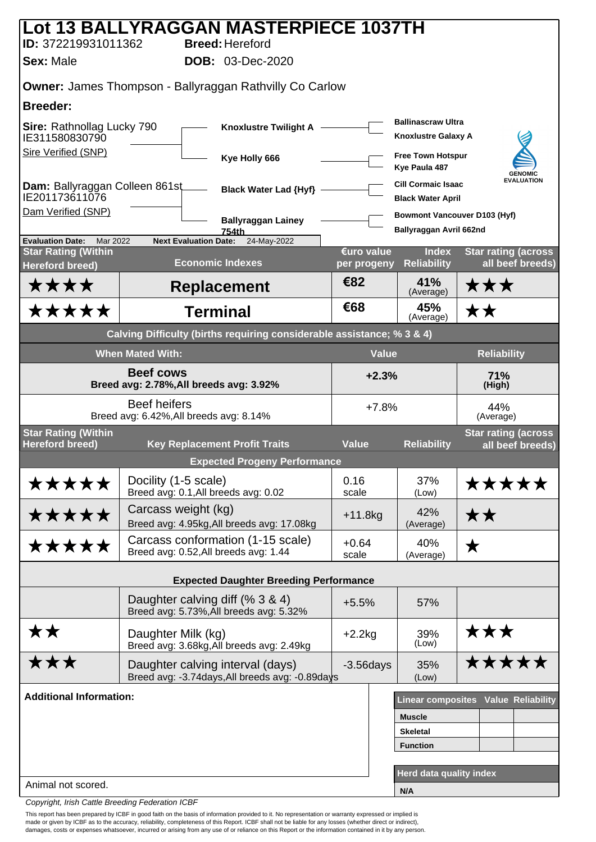|                                                                              | Lot 13 BALLYRAGGAN MASTERPIECE 1037TH                                               |                                               |                  |                                                                |                                                |
|------------------------------------------------------------------------------|-------------------------------------------------------------------------------------|-----------------------------------------------|------------------|----------------------------------------------------------------|------------------------------------------------|
| ID: 372219931011362<br><b>Sex: Male</b>                                      | <b>Breed: Hereford</b><br><b>DOB: 03-Dec-2020</b>                                   |                                               |                  |                                                                |                                                |
|                                                                              | <b>Owner: James Thompson - Ballyraggan Rathvilly Co Carlow</b>                      |                                               |                  |                                                                |                                                |
| <b>Breeder:</b>                                                              |                                                                                     |                                               |                  |                                                                |                                                |
| Sire: Rathnollag Lucky 790<br><b>Knoxlustre Twilight A</b><br>IE311580830790 |                                                                                     |                                               |                  | <b>Ballinascraw Ultra</b><br><b>Knoxlustre Galaxy A</b>        |                                                |
| Sire Verified (SNP)                                                          | Kye Holly 666                                                                       |                                               |                  | <b>Free Town Hotspur</b><br>Kye Paula 487                      | <b>GENOMIC</b>                                 |
| Dam: Ballyraggan Colleen 861st<br>IE201173611076                             |                                                                                     | <b>Black Water Lad {Hyf}</b>                  |                  | <b>Cill Cormaic Isaac</b><br><b>Black Water April</b>          | <b>EVALUATION</b>                              |
| Dam Verified (SNP)                                                           | 754th                                                                               | <b>Ballyraggan Lainey</b>                     |                  | <b>Bowmont Vancouver D103 (Hyf)</b><br>Ballyraggan Avril 662nd |                                                |
| <b>Evaluation Date:</b><br>Mar 2022                                          | <b>Next Evaluation Date:</b>                                                        | 24-May-2022                                   | €uro value       | <b>Index</b>                                                   |                                                |
| <b>Star Rating (Within</b><br><b>Hereford breed)</b>                         | <b>Economic Indexes</b>                                                             |                                               | per progeny      | <b>Reliability</b>                                             | <b>Star rating (across</b><br>all beef breeds) |
| ****                                                                         | <b>Replacement</b>                                                                  |                                               | €82              | 41%<br>(Average)                                               | ★★★                                            |
| *****                                                                        | <b>Terminal</b>                                                                     |                                               | €68              | 45%<br>(Average)                                               | ★★                                             |
|                                                                              | Calving Difficulty (births requiring considerable assistance; % 3 & 4)              |                                               |                  |                                                                |                                                |
|                                                                              | <b>When Mated With:</b>                                                             |                                               | <b>Value</b>     |                                                                | <b>Reliability</b>                             |
|                                                                              | <b>Beef cows</b><br>Breed avg: 2.78%, All breeds avg: 3.92%                         |                                               | $+2.3%$          |                                                                | 71%<br>(High)                                  |
|                                                                              | <b>Beef heifers</b><br>Breed avg: 6.42%, All breeds avg: 8.14%                      |                                               | $+7.8%$          |                                                                | 44%<br>(Average)                               |
| <b>Star Rating (Within</b><br><b>Hereford breed)</b>                         | <b>Key Replacement Profit Traits</b>                                                |                                               | <b>Value</b>     | <b>Reliability</b>                                             | <b>Star rating (across</b><br>all beef breeds) |
|                                                                              |                                                                                     | <b>Expected Progeny Performance</b>           |                  |                                                                |                                                |
| *****                                                                        | Docility (1-5 scale)<br>Breed avg: 0.1, All breeds avg: 0.02                        |                                               | 0.16<br>scale    | 37%<br>(Low)                                                   | *****                                          |
| *****                                                                        | Carcass weight (kg)<br>Breed avg: 4.95kg, All breeds avg: 17.08kg                   |                                               | $+11.8kg$        | 42%<br>(Average)                                               | ★★                                             |
| *****                                                                        | Carcass conformation (1-15 scale)<br>Breed avg: 0.52, All breeds avg: 1.44          |                                               | $+0.64$<br>scale | 40%<br>(Average)                                               | ★                                              |
|                                                                              |                                                                                     | <b>Expected Daughter Breeding Performance</b> |                  |                                                                |                                                |
|                                                                              | Daughter calving diff (% 3 & 4)<br>Breed avg: 5.73%, All breeds avg: 5.32%          |                                               | $+5.5%$          | 57%                                                            |                                                |
|                                                                              |                                                                                     |                                               |                  |                                                                |                                                |
| <b>**</b>                                                                    | Daughter Milk (kg)<br>Breed avg: 3.68kg, All breeds avg: 2.49kg                     |                                               | $+2.2kg$         | 39%<br>(Low)                                                   | ★★★                                            |
| ★★★                                                                          | Daughter calving interval (days)<br>Breed avg: -3.74days, All breeds avg: -0.89days |                                               | $-3.56$ days     | 35%<br>(Low)                                                   | *****                                          |
| <b>Additional Information:</b>                                               |                                                                                     |                                               |                  |                                                                | <b>Linear composites Value Reliability</b>     |
|                                                                              |                                                                                     |                                               |                  | <b>Muscle</b>                                                  |                                                |
|                                                                              |                                                                                     |                                               |                  | <b>Skeletal</b>                                                |                                                |
|                                                                              |                                                                                     |                                               |                  | <b>Function</b>                                                |                                                |
|                                                                              |                                                                                     |                                               |                  | Herd data quality index                                        |                                                |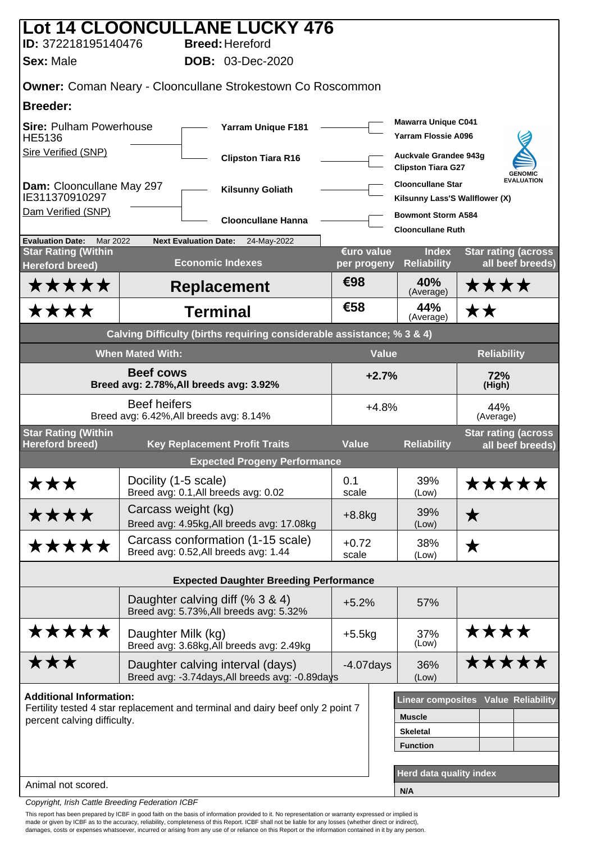|                                                                   |                         | <b>Lot 14 CLOONCULLANE LUCKY 476</b>                                                |                  |                                                            |                                                |
|-------------------------------------------------------------------|-------------------------|-------------------------------------------------------------------------------------|------------------|------------------------------------------------------------|------------------------------------------------|
| ID: 372218195140476<br><b>Sex: Male</b>                           |                         | <b>Breed: Hereford</b><br><b>DOB: 03-Dec-2020</b>                                   |                  |                                                            |                                                |
|                                                                   |                         |                                                                                     |                  |                                                            |                                                |
|                                                                   |                         | Owner: Coman Neary - Clooncullane Strokestown Co Roscommon                          |                  |                                                            |                                                |
| <b>Breeder:</b>                                                   |                         |                                                                                     |                  | <b>Mawarra Unique C041</b>                                 |                                                |
| <b>Sire: Pulham Powerhouse</b><br>HE5136                          |                         | <b>Yarram Unique F181</b>                                                           |                  | <b>Yarram Flossie A096</b>                                 |                                                |
| Sire Verified (SNP)                                               |                         | <b>Clipston Tiara R16</b>                                                           |                  | Auckvale Grandee 943g<br><b>Clipston Tiara G27</b>         | <b>GENOMIC</b>                                 |
| Dam: Clooncullane May 297<br>IE311370910297                       |                         | <b>Kilsunny Goliath</b>                                                             |                  | <b>Clooncullane Star</b><br>Kilsunny Lass'S Wallflower (X) | <b>EVALUATION</b>                              |
| Dam Verified (SNP)                                                |                         | <b>Clooncullane Hanna</b>                                                           |                  | <b>Bowmont Storm A584</b><br><b>Clooncullane Ruth</b>      |                                                |
| <b>Evaluation Date:</b><br>Mar 2022<br><b>Star Rating (Within</b> |                         | <b>Next Evaluation Date:</b><br>24-May-2022                                         | €uro value       | <b>Index</b>                                               | <b>Star rating (across</b>                     |
| <b>Hereford breed)</b>                                            |                         | <b>Economic Indexes</b>                                                             | per progeny      | <b>Reliability</b>                                         | all beef breeds)                               |
| *****                                                             |                         | <b>Replacement</b>                                                                  | €98              | 40%<br>(Average)                                           | ****                                           |
| ****                                                              |                         | <b>Terminal</b>                                                                     | €58              | 44%<br>(Average)                                           | ★★                                             |
|                                                                   |                         | Calving Difficulty (births requiring considerable assistance; % 3 & 4)              |                  |                                                            |                                                |
|                                                                   | <b>When Mated With:</b> |                                                                                     |                  | <b>Value</b>                                               | <b>Reliability</b>                             |
| <b>Beef cows</b><br>Breed avg: 2.78%, All breeds avg: 3.92%       |                         |                                                                                     | $+2.7%$          |                                                            | 72%<br>(High)                                  |
|                                                                   | <b>Beef heifers</b>     | Breed avg: 6.42%, All breeds avg: 8.14%                                             |                  | $+4.8%$                                                    | 44%<br>(Average)                               |
| <b>Star Rating (Within</b><br><b>Hereford breed)</b>              |                         | <b>Key Replacement Profit Traits</b>                                                | <b>Value</b>     | <b>Reliability</b>                                         | <b>Star rating (across</b><br>all beef breeds) |
|                                                                   |                         | <b>Expected Progeny Performance</b>                                                 |                  |                                                            |                                                |
| ★★★                                                               | Docility (1-5 scale)    | Breed avg: 0.1, All breeds avg: 0.02                                                | 0.1<br>scale     | 39%<br>(Low)                                               | *****                                          |
| ****                                                              | Carcass weight (kg)     | Breed avg: 4.95kg, All breeds avg: 17.08kg                                          | $+8.8$ kg        | 39%<br>(Low)                                               | $\bigstar$                                     |
| *****                                                             |                         | Carcass conformation (1-15 scale)<br>Breed avg: 0.52, All breeds avg: 1.44          | $+0.72$<br>scale | 38%<br>(Low)                                               | ★                                              |
|                                                                   |                         | <b>Expected Daughter Breeding Performance</b>                                       |                  |                                                            |                                                |
|                                                                   |                         | Daughter calving diff (% 3 & 4)<br>Breed avg: 5.73%, All breeds avg: 5.32%          | $+5.2%$          | 57%                                                        |                                                |
| *****                                                             | Daughter Milk (kg)      | Breed avg: 3.68kg, All breeds avg: 2.49kg                                           | $+5.5kg$         | 37%<br>(Low)                                               | ****                                           |
| ★★★                                                               |                         | Daughter calving interval (days)<br>Breed avg: -3.74days, All breeds avg: -0.89days | $-4.07$ days     | 36%<br>(Low)                                               | *****                                          |
| <b>Additional Information:</b>                                    |                         |                                                                                     |                  |                                                            | Linear composites Value Reliability            |
| percent calving difficulty.                                       |                         | Fertility tested 4 star replacement and terminal and dairy beef only 2 point 7      |                  | <b>Muscle</b>                                              |                                                |
|                                                                   |                         |                                                                                     |                  | <b>Skeletal</b><br><b>Function</b>                         |                                                |
|                                                                   |                         |                                                                                     |                  |                                                            |                                                |
| Animal not scored.                                                |                         |                                                                                     |                  | Herd data quality index                                    |                                                |
|                                                                   |                         |                                                                                     |                  | N/A                                                        |                                                |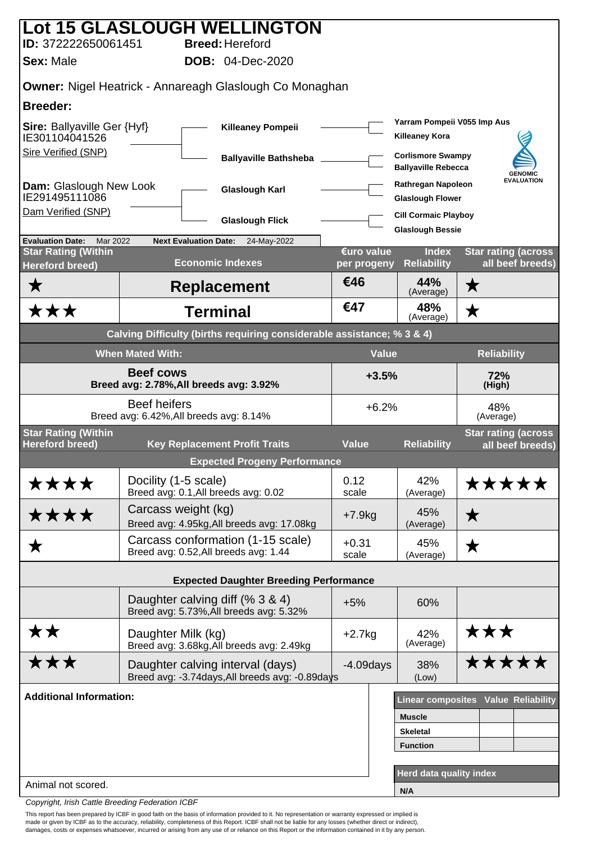|                                                             |                                                                | Lot 15 GLASLOUGH WELLINGTON                                                         |                           |                                                        |                                                |  |
|-------------------------------------------------------------|----------------------------------------------------------------|-------------------------------------------------------------------------------------|---------------------------|--------------------------------------------------------|------------------------------------------------|--|
| ID: 372222650061451                                         |                                                                | <b>Breed: Hereford</b>                                                              |                           |                                                        |                                                |  |
| <b>Sex: Male</b>                                            |                                                                | <b>DOB:</b> 04-Dec-2020                                                             |                           |                                                        |                                                |  |
|                                                             |                                                                | <b>Owner: Nigel Heatrick - Annareagh Glaslough Co Monaghan</b>                      |                           |                                                        |                                                |  |
| <b>Breeder:</b>                                             |                                                                |                                                                                     |                           |                                                        |                                                |  |
| <b>Sire: Ballyaville Ger {Hyf}</b><br>IE301104041526        |                                                                | <b>Killeaney Pompeii</b>                                                            |                           | Yarram Pompeii V055 Imp Aus<br><b>Killeaney Kora</b>   |                                                |  |
| Sire Verified (SNP)                                         |                                                                | <b>Ballyaville Bathsheba</b>                                                        |                           | <b>Corlismore Swampy</b><br><b>Ballyaville Rebecca</b> | <b>GENOMIC</b>                                 |  |
| Dam: Glaslough New Look<br>IE291495111086                   |                                                                | <b>Glaslough Karl</b>                                                               |                           | Rathregan Napoleon<br><b>Glaslough Flower</b>          | <b>EVALUATION</b>                              |  |
| Dam Verified (SNP)                                          |                                                                | <b>Glaslough Flick</b>                                                              |                           | <b>Cill Cormaic Playboy</b>                            |                                                |  |
| <b>Evaluation Date:</b><br>Mar 2022                         | <b>Next Evaluation Date:</b>                                   | 24-May-2022                                                                         |                           | <b>Glaslough Bessie</b>                                |                                                |  |
| <b>Star Rating (Within</b><br><b>Hereford breed)</b>        |                                                                | <b>Economic Indexes</b>                                                             | €uro value<br>per progeny | <b>Index</b><br><b>Reliability</b>                     | <b>Star rating (across</b><br>all beef breeds) |  |
| ★                                                           |                                                                | <b>Replacement</b>                                                                  | €46                       | 44%<br>(Average)                                       | ★                                              |  |
| ★★★                                                         |                                                                | <b>Terminal</b>                                                                     | €47                       | 48%<br>(Average)                                       | ★                                              |  |
|                                                             |                                                                | Calving Difficulty (births requiring considerable assistance; % 3 & 4)              |                           |                                                        |                                                |  |
|                                                             | <b>When Mated With:</b>                                        |                                                                                     |                           | <b>Value</b>                                           | <b>Reliability</b>                             |  |
| <b>Beef cows</b><br>Breed avg: 2.78%, All breeds avg: 3.92% |                                                                |                                                                                     |                           | $+3.5%$<br>72%<br>(High)                               |                                                |  |
|                                                             | <b>Beef heifers</b><br>Breed avg: 6.42%, All breeds avg: 8.14% |                                                                                     | $+6.2%$                   |                                                        | 48%<br>(Average)                               |  |
| <b>Star Rating (Within</b><br><b>Hereford breed)</b>        |                                                                | <b>Key Replacement Profit Traits</b>                                                | <b>Value</b>              | <b>Reliability</b>                                     | <b>Star rating (across</b><br>all beef breeds) |  |
|                                                             |                                                                | <b>Expected Progeny Performance</b>                                                 |                           |                                                        |                                                |  |
| ****                                                        | Docility (1-5 scale)                                           | Breed avg: 0.1, All breeds avg: 0.02                                                | 0.12<br>scale             | 42%<br>(Average)                                       | *****                                          |  |
| ****                                                        | Carcass weight (kg)                                            | Breed avg: 4.95kg, All breeds avg: 17.08kg                                          | $+7.9kg$                  | 45%<br>(Average)                                       | ★                                              |  |
| ▼                                                           |                                                                | Carcass conformation (1-15 scale)<br>Breed avg: 0.52, All breeds avg: 1.44          | $+0.31$<br>scale          | 45%<br>(Average)                                       | ★                                              |  |
|                                                             |                                                                | <b>Expected Daughter Breeding Performance</b>                                       |                           |                                                        |                                                |  |
|                                                             |                                                                | Daughter calving diff (% 3 & 4)<br>Breed avg: 5.73%, All breeds avg: 5.32%          | $+5%$                     | 60%                                                    |                                                |  |
| <b>**</b>                                                   | Daughter Milk (kg)                                             | Breed avg: 3.68kg, All breeds avg: 2.49kg                                           | $+2.7kg$                  | 42%<br>(Average)                                       | ★★★                                            |  |
| ★★★                                                         |                                                                | Daughter calving interval (days)<br>Breed avg: -3.74days, All breeds avg: -0.89days | $-4.09$ days              | 38%<br>(Low)                                           | *****                                          |  |
| <b>Additional Information:</b>                              |                                                                |                                                                                     |                           |                                                        | <b>Linear composites Value Reliability</b>     |  |
|                                                             |                                                                |                                                                                     |                           | <b>Muscle</b>                                          |                                                |  |
|                                                             |                                                                |                                                                                     |                           | <b>Skeletal</b>                                        |                                                |  |
|                                                             |                                                                |                                                                                     |                           | <b>Function</b>                                        |                                                |  |
| Animal not scored.                                          |                                                                |                                                                                     |                           | Herd data quality index                                |                                                |  |
|                                                             |                                                                |                                                                                     |                           | N/A                                                    |                                                |  |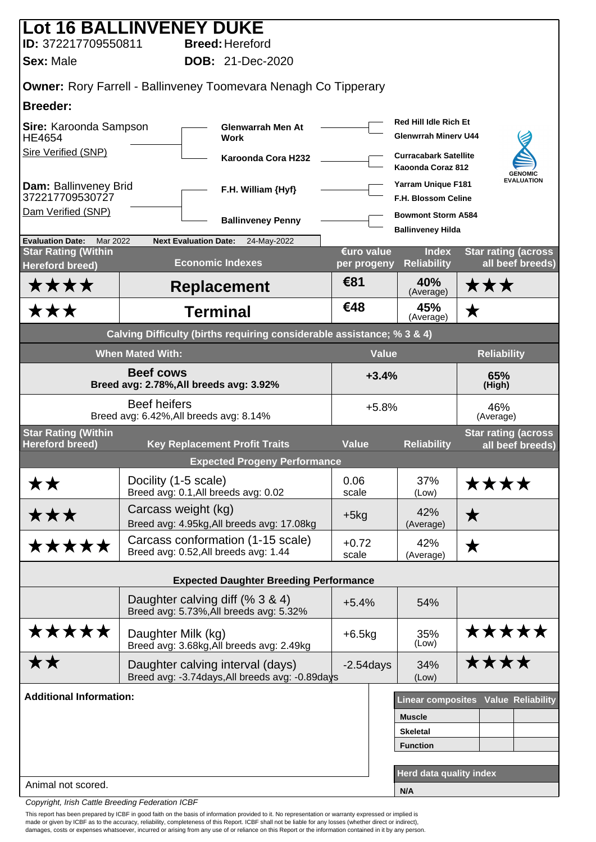|                                                                                    | Lot 16 BALLINVENEY DUKE                                                             |                           |                                                             |                                                |
|------------------------------------------------------------------------------------|-------------------------------------------------------------------------------------|---------------------------|-------------------------------------------------------------|------------------------------------------------|
| ID: 372217709550811                                                                | <b>Breed: Hereford</b>                                                              |                           |                                                             |                                                |
| <b>Sex: Male</b>                                                                   | <b>DOB: 21-Dec-2020</b>                                                             |                           |                                                             |                                                |
|                                                                                    | <b>Owner:</b> Rory Farrell - Ballinveney Toomevara Nenagh Co Tipperary              |                           |                                                             |                                                |
| <b>Breeder:</b>                                                                    |                                                                                     |                           |                                                             |                                                |
| Sire: Karoonda Sampson<br><b>Glenwarrah Men At</b><br><b>HE4654</b><br><b>Work</b> |                                                                                     |                           | <b>Red Hill Idle Rich Et</b><br><b>Glenwrrah Minery U44</b> |                                                |
| Sire Verified (SNP)                                                                | Karoonda Cora H232                                                                  |                           | <b>Curracabark Satellite</b><br>Kaoonda Coraz 812           | <b>GENOMIC</b>                                 |
| Dam: Ballinveney Brid<br>372217709530727                                           | F.H. William {Hyf}                                                                  |                           | <b>Yarram Unique F181</b><br><b>F.H. Blossom Celine</b>     | <b>EVALUATION</b>                              |
| Dam Verified (SNP)                                                                 | <b>Ballinveney Penny</b>                                                            |                           | <b>Bowmont Storm A584</b><br><b>Ballinveney Hilda</b>       |                                                |
| <b>Evaluation Date:</b><br>Mar 2022                                                | <b>Next Evaluation Date:</b><br>24-May-2022                                         |                           |                                                             |                                                |
| <b>Star Rating (Within</b><br><b>Hereford breed)</b>                               | <b>Economic Indexes</b>                                                             | €uro value<br>per progeny | <b>Index</b><br><b>Reliability</b>                          | <b>Star rating (across</b><br>all beef breeds) |
| <b>****</b>                                                                        | <b>Replacement</b>                                                                  | €81                       | 40%<br>(Average)                                            | ★★★                                            |
| ★★★                                                                                | <b>Terminal</b>                                                                     | €48                       | 45%<br>(Average)                                            | $\bigstar$                                     |
|                                                                                    | Calving Difficulty (births requiring considerable assistance; % 3 & 4)              |                           |                                                             |                                                |
|                                                                                    | <b>When Mated With:</b>                                                             |                           | <b>Value</b>                                                | <b>Reliability</b>                             |
| <b>Beef cows</b><br>Breed avg: 2.78%, All breeds avg: 3.92%                        |                                                                                     |                           | $+3.4%$                                                     | 65%<br>(High)                                  |
|                                                                                    | <b>Beef heifers</b><br>Breed avg: 6.42%, All breeds avg: 8.14%                      |                           | $+5.8%$                                                     | 46%<br>(Average)                               |
| <b>Star Rating (Within</b><br><b>Hereford breed)</b>                               | <b>Key Replacement Profit Traits</b>                                                | <b>Value</b>              | <b>Reliability</b>                                          | <b>Star rating (across</b>                     |
|                                                                                    | <b>Expected Progeny Performance</b>                                                 |                           |                                                             | all beef breeds)                               |
| <b>**</b>                                                                          | Docility (1-5 scale)                                                                | 0.06                      | 37%                                                         | <b>****</b>                                    |
|                                                                                    | Breed avg: 0.1, All breeds avg: 0.02                                                | scale                     | (Low)                                                       |                                                |
| ★★★                                                                                | Carcass weight (kg)<br>Breed avg: 4.95kg, All breeds avg: 17.08kg                   | $+5kg$                    | 42%<br>(Average)                                            | $\bigstar$                                     |
| *****                                                                              | Carcass conformation (1-15 scale)<br>Breed avg: 0.52, All breeds avg: 1.44          | $+0.72$<br>scale          | 42%<br>(Average)                                            | ★                                              |
|                                                                                    | <b>Expected Daughter Breeding Performance</b>                                       |                           |                                                             |                                                |
|                                                                                    | Daughter calving diff (% 3 & 4)<br>Breed avg: 5.73%, All breeds avg: 5.32%          | $+5.4%$                   | 54%                                                         |                                                |
| *****                                                                              | Daughter Milk (kg)<br>Breed avg: 3.68kg, All breeds avg: 2.49kg                     | $+6.5kg$                  | 35%<br>(Low)                                                | *****                                          |
| <b>**</b>                                                                          | Daughter calving interval (days)<br>Breed avg: -3.74days, All breeds avg: -0.89days | $-2.54$ days              | 34%<br>(Low)                                                | ****                                           |
| <b>Additional Information:</b>                                                     |                                                                                     |                           |                                                             | Linear composites Value Reliability            |
|                                                                                    |                                                                                     |                           | <b>Muscle</b>                                               |                                                |
|                                                                                    |                                                                                     |                           | <b>Skeletal</b>                                             |                                                |
|                                                                                    |                                                                                     |                           | <b>Function</b>                                             |                                                |
| Animal not scored.                                                                 |                                                                                     |                           | <b>Herd data quality index</b>                              |                                                |
|                                                                                    |                                                                                     |                           | N/A                                                         |                                                |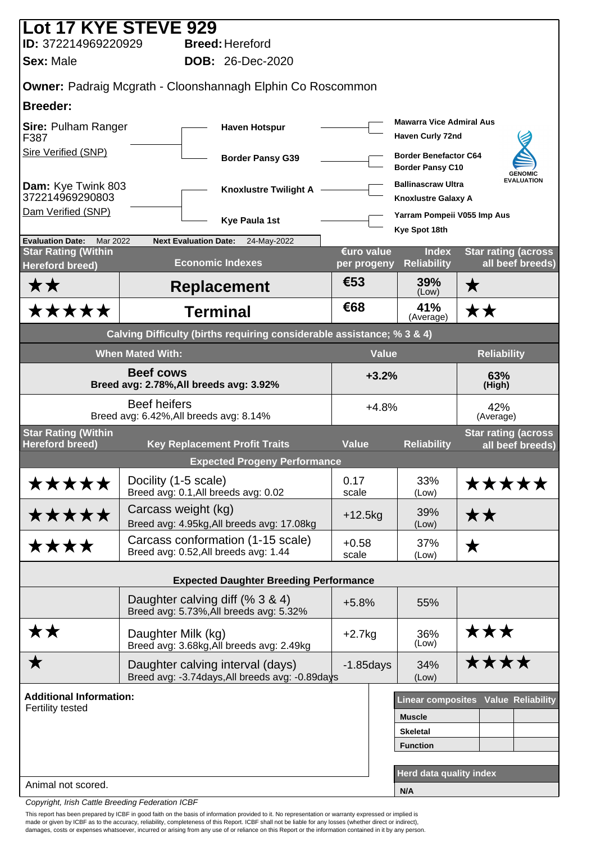| Lot 17 KYE STEVE 929                                              |                                                                |                              |                                                                                     |                           |                                                            |                                                |
|-------------------------------------------------------------------|----------------------------------------------------------------|------------------------------|-------------------------------------------------------------------------------------|---------------------------|------------------------------------------------------------|------------------------------------------------|
| ID: 372214969220929                                               |                                                                |                              | <b>Breed: Hereford</b>                                                              |                           |                                                            |                                                |
| <b>Sex: Male</b>                                                  |                                                                |                              | <b>DOB: 26-Dec-2020</b>                                                             |                           |                                                            |                                                |
| <b>Owner: Padraig Mcgrath - Cloonshannagh Elphin Co Roscommon</b> |                                                                |                              |                                                                                     |                           |                                                            |                                                |
| Breeder:                                                          |                                                                |                              |                                                                                     |                           |                                                            |                                                |
| Sire: Pulham Ranger<br>F387                                       |                                                                |                              | <b>Haven Hotspur</b>                                                                |                           | <b>Mawarra Vice Admiral Aus</b><br><b>Haven Curly 72nd</b> |                                                |
| Sire Verified (SNP)                                               |                                                                |                              | <b>Border Pansy G39</b>                                                             |                           | <b>Border Benefactor C64</b><br><b>Border Pansy C10</b>    | <b>GENOMIC</b>                                 |
| Dam: Kye Twink 803<br>372214969290803                             |                                                                |                              | <b>Knoxlustre Twilight A</b>                                                        |                           | <b>Ballinascraw Ultra</b><br><b>Knoxlustre Galaxy A</b>    | <b>EVALUATION</b>                              |
| Dam Verified (SNP)                                                |                                                                |                              | <b>Kye Paula 1st</b>                                                                |                           | Yarram Pompeii V055 Imp Aus<br>Kye Spot 18th               |                                                |
| <b>Evaluation Date:</b><br>Mar 2022                               |                                                                | <b>Next Evaluation Date:</b> | 24-May-2022                                                                         |                           |                                                            |                                                |
| <b>Star Rating (Within</b><br><b>Hereford breed)</b>              |                                                                | <b>Economic Indexes</b>      |                                                                                     | €uro value<br>per progeny | <b>Index</b><br><b>Reliability</b>                         | <b>Star rating (across</b><br>all beef breeds) |
| ★★                                                                |                                                                |                              | <b>Replacement</b>                                                                  | €53                       | 39%<br>(Low)                                               | ★                                              |
| *****                                                             |                                                                | <b>Terminal</b>              |                                                                                     | €68                       | 41%<br>(Average)                                           | ★★                                             |
|                                                                   |                                                                |                              | Calving Difficulty (births requiring considerable assistance; % 3 & 4)              |                           |                                                            |                                                |
|                                                                   | <b>When Mated With:</b>                                        |                              |                                                                                     | <b>Value</b>              |                                                            | <b>Reliability</b>                             |
|                                                                   | <b>Beef cows</b><br>Breed avg: 2.78%, All breeds avg: 3.92%    |                              |                                                                                     | $+3.2%$                   |                                                            | 63%<br>(High)                                  |
|                                                                   | <b>Beef heifers</b><br>Breed avg: 6.42%, All breeds avg: 8.14% |                              |                                                                                     | $+4.8%$                   |                                                            | 42%<br>(Average)                               |
| <b>Star Rating (Within</b><br><b>Hereford breed)</b>              |                                                                |                              | <b>Key Replacement Profit Traits</b>                                                | <b>Value</b>              | <b>Reliability</b>                                         | <b>Star rating (across</b><br>all beef breeds) |
|                                                                   |                                                                |                              | <b>Expected Progeny Performance</b>                                                 |                           |                                                            |                                                |
| *****                                                             | Docility (1-5 scale)                                           |                              | Breed avg: 0.1, All breeds avg: 0.02                                                | 0.17<br>scale             | 33%<br>(Low)                                               | *****                                          |
| *****                                                             | Carcass weight (kg)                                            |                              | Breed avg: 4.95kg, All breeds avg: 17.08kg                                          | $+12.5$ kg                | 39%<br>(Low)                                               | ★★                                             |
| ****                                                              |                                                                |                              | Carcass conformation (1-15 scale)<br>Breed avg: 0.52, All breeds avg: 1.44          | $+0.58$<br>scale          | 37%<br>(Low)                                               | ★                                              |
|                                                                   |                                                                |                              | <b>Expected Daughter Breeding Performance</b>                                       |                           |                                                            |                                                |
|                                                                   |                                                                |                              |                                                                                     |                           |                                                            |                                                |
|                                                                   |                                                                |                              | Daughter calving diff (% 3 & 4)<br>Breed avg: 5.73%, All breeds avg: 5.32%          | $+5.8%$                   | 55%                                                        |                                                |
| ★★                                                                | Daughter Milk (kg)                                             |                              | Breed avg: 3.68kg, All breeds avg: 2.49kg                                           | $+2.7kg$                  | 36%<br>(Low)                                               | ★★★                                            |
| ▼                                                                 |                                                                |                              | Daughter calving interval (days)<br>Breed avg: -3.74days, All breeds avg: -0.89days | $-1.85$ days              | 34%<br>(Low)                                               | ****                                           |
| <b>Additional Information:</b>                                    |                                                                |                              |                                                                                     |                           |                                                            | Linear composites Value Reliability            |
| Fertility tested                                                  |                                                                |                              |                                                                                     |                           | <b>Muscle</b>                                              |                                                |
|                                                                   |                                                                |                              |                                                                                     |                           | <b>Skeletal</b>                                            |                                                |
|                                                                   |                                                                |                              |                                                                                     |                           | <b>Function</b>                                            |                                                |
| Animal not scored.                                                |                                                                |                              |                                                                                     |                           | Herd data quality index                                    |                                                |
|                                                                   |                                                                |                              |                                                                                     |                           | N/A                                                        |                                                |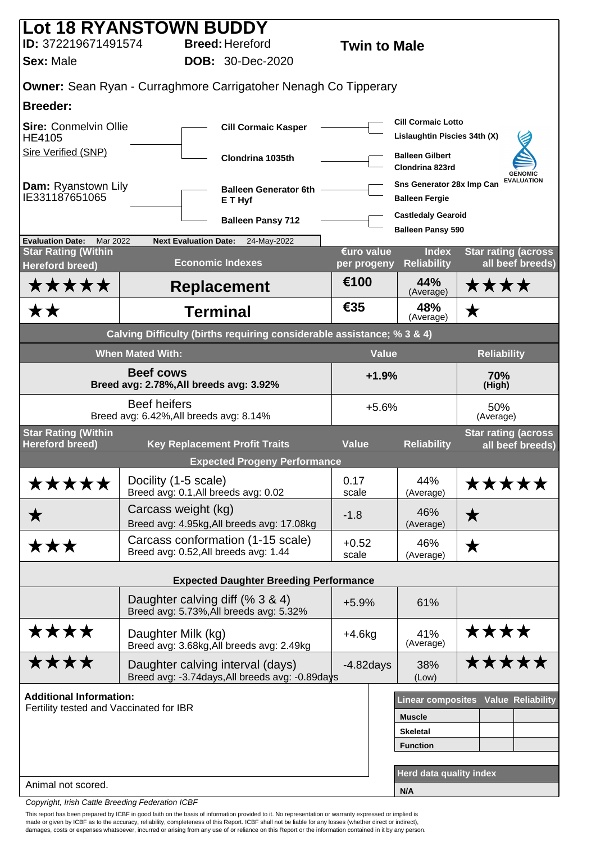| <b>Lot 18 RYANSTOWN BUDDY</b>                                     |                                                                |                                                                        |                  |                                                           |                                                |  |
|-------------------------------------------------------------------|----------------------------------------------------------------|------------------------------------------------------------------------|------------------|-----------------------------------------------------------|------------------------------------------------|--|
| ID: 372219671491574                                               |                                                                | <b>Breed: Hereford</b>                                                 |                  | <b>Twin to Male</b>                                       |                                                |  |
| <b>Sex: Male</b>                                                  |                                                                | <b>DOB: 30-Dec-2020</b>                                                |                  |                                                           |                                                |  |
|                                                                   |                                                                | <b>Owner:</b> Sean Ryan - Curraghmore Carrigatoher Nenagh Co Tipperary |                  |                                                           |                                                |  |
| <b>Breeder:</b>                                                   |                                                                |                                                                        |                  |                                                           |                                                |  |
| <b>Sire: Conmelvin Ollie</b><br><b>HE4105</b>                     |                                                                | <b>Cill Cormaic Kasper</b>                                             |                  | <b>Cill Cormaic Lotto</b><br>Lislaughtin Piscies 34th (X) |                                                |  |
| Sire Verified (SNP)                                               |                                                                | Clondrina 1035th                                                       |                  | <b>Balleen Gilbert</b><br>Clondrina 823rd                 | <b>GENOMIC</b>                                 |  |
| <b>Dam:</b> Ryanstown Lily<br>IE331187651065                      |                                                                | <b>Balleen Generator 6th</b><br>E T Hyf                                |                  | Sns Generator 28x Imp Can<br><b>Balleen Fergie</b>        | <b>EVALUATION</b>                              |  |
|                                                                   |                                                                | <b>Balleen Pansy 712</b>                                               |                  | <b>Castledaly Gearoid</b><br><b>Balleen Pansy 590</b>     |                                                |  |
| <b>Evaluation Date:</b><br>Mar 2022<br><b>Star Rating (Within</b> | <b>Next Evaluation Date:</b>                                   | 24-May-2022                                                            | €uro value       | <b>Index</b>                                              | <b>Star rating (across</b>                     |  |
| <b>Hereford breed)</b>                                            |                                                                | <b>Economic Indexes</b>                                                | per progeny      | <b>Reliability</b>                                        | all beef breeds)                               |  |
| <b>*****</b>                                                      |                                                                | <b>Replacement</b>                                                     | €100             | 44%<br>(Average)                                          | ****                                           |  |
| **                                                                |                                                                | <b>Terminal</b>                                                        | €35              | 48%<br>(Average)                                          | ★                                              |  |
|                                                                   |                                                                | Calving Difficulty (births requiring considerable assistance; % 3 & 4) |                  |                                                           |                                                |  |
|                                                                   | <b>When Mated With:</b>                                        |                                                                        |                  | <b>Value</b>                                              | <b>Reliability</b>                             |  |
|                                                                   | <b>Beef cows</b><br>Breed avg: 2.78%, All breeds avg: 3.92%    |                                                                        |                  | $+1.9%$                                                   | 70%<br>(High)                                  |  |
|                                                                   | <b>Beef heifers</b><br>Breed avg: 6.42%, All breeds avg: 8.14% |                                                                        |                  | $+5.6%$                                                   | 50%<br>(Average)                               |  |
| <b>Star Rating (Within</b><br><b>Hereford breed)</b>              |                                                                | <b>Key Replacement Profit Traits</b>                                   | <b>Value</b>     | <b>Reliability</b>                                        | <b>Star rating (across</b><br>all beef breeds) |  |
|                                                                   |                                                                | <b>Expected Progeny Performance</b>                                    |                  |                                                           |                                                |  |
| *****                                                             | Docility (1-5 scale)<br>Breed avg: 0.1, All breeds avg: 0.02   |                                                                        | 0.17<br>scale    | 44%<br>(Average)                                          | *****                                          |  |
| ★                                                                 | Carcass weight (kg)                                            | Breed avg: 4.95kg, All breeds avg: 17.08kg                             | $-1.8$           | 46%<br>(Average)                                          | ★                                              |  |
| ★★★                                                               | Breed avg: 0.52, All breeds avg: 1.44                          | Carcass conformation (1-15 scale)                                      | $+0.52$<br>scale | 46%<br>(Average)                                          | ★                                              |  |
|                                                                   |                                                                | <b>Expected Daughter Breeding Performance</b>                          |                  |                                                           |                                                |  |
|                                                                   | Daughter calving diff (% 3 & 4)                                | Breed avg: 5.73%, All breeds avg: 5.32%                                | $+5.9%$          | 61%                                                       |                                                |  |
| ****                                                              | Daughter Milk (kg)                                             | Breed avg: 3.68kg, All breeds avg: 2.49kg                              | $+4.6kg$         | 41%<br>(Average)                                          | ****                                           |  |
| ****                                                              | Daughter calving interval (days)                               | Breed avg: -3.74days, All breeds avg: -0.89days                        | $-4.82$ days     | 38%<br>(Low)                                              | *****                                          |  |
| <b>Additional Information:</b>                                    |                                                                |                                                                        |                  |                                                           | Linear composites Value Reliability            |  |
| Fertility tested and Vaccinated for IBR                           |                                                                |                                                                        |                  | <b>Muscle</b>                                             |                                                |  |
|                                                                   |                                                                |                                                                        |                  | <b>Skeletal</b>                                           |                                                |  |
|                                                                   |                                                                |                                                                        |                  | <b>Function</b>                                           |                                                |  |
| Animal not scored.                                                |                                                                |                                                                        |                  | Herd data quality index                                   |                                                |  |
|                                                                   |                                                                |                                                                        |                  | N/A                                                       |                                                |  |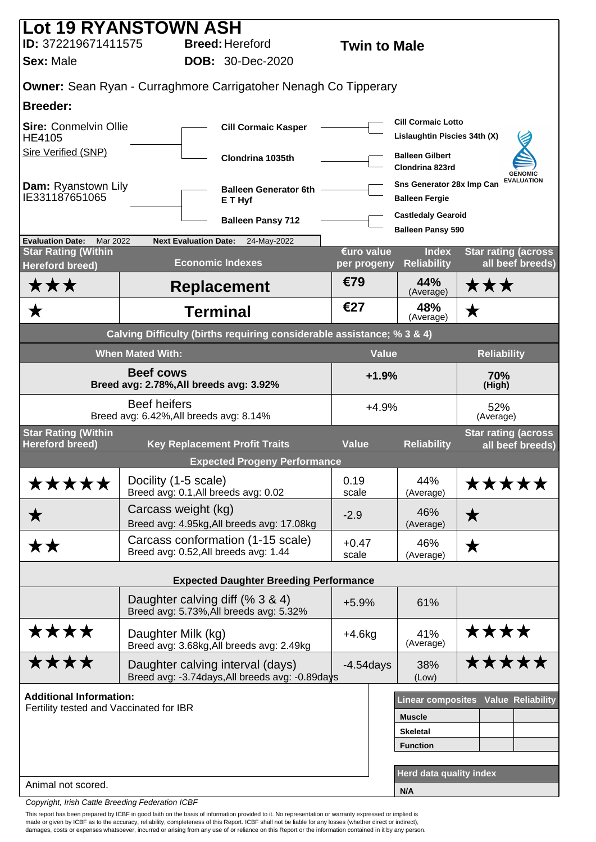|                                                                   | <b>Lot 19 RYANSTOWN ASH</b>                                                |                                                                          |                  |                                                       |                                                |
|-------------------------------------------------------------------|----------------------------------------------------------------------------|--------------------------------------------------------------------------|------------------|-------------------------------------------------------|------------------------------------------------|
| ID: 372219671411575                                               |                                                                            | <b>Breed: Hereford</b><br><b>Twin to Male</b><br><b>DOB: 30-Dec-2020</b> |                  |                                                       |                                                |
| <b>Sex: Male</b>                                                  |                                                                            |                                                                          |                  |                                                       |                                                |
|                                                                   |                                                                            | <b>Owner:</b> Sean Ryan - Curraghmore Carrigatoher Nenagh Co Tipperary   |                  |                                                       |                                                |
| <b>Breeder:</b>                                                   |                                                                            |                                                                          |                  | <b>Cill Cormaic Lotto</b>                             |                                                |
| <b>Sire: Conmelvin Ollie</b><br>HE4105                            |                                                                            | <b>Cill Cormaic Kasper</b>                                               |                  | Lislaughtin Piscies 34th (X)                          |                                                |
| <b>Sire Verified (SNP)</b>                                        |                                                                            | Clondrina 1035th                                                         |                  | <b>Balleen Gilbert</b><br>Clondrina 823rd             | <b>GENOMIC</b>                                 |
| Dam: Ryanstown Lily<br>IE331187651065                             |                                                                            | <b>Balleen Generator 6th</b><br>E T Hyf                                  |                  | Sns Generator 28x Imp Can<br><b>Balleen Fergie</b>    | <b>EVALUATION</b>                              |
|                                                                   |                                                                            | <b>Balleen Pansy 712</b>                                                 |                  | <b>Castledaly Gearoid</b><br><b>Balleen Pansy 590</b> |                                                |
| <b>Evaluation Date:</b><br>Mar 2022<br><b>Star Rating (Within</b> | <b>Next Evaluation Date:</b>                                               | 24-May-2022                                                              | €uro value       | <b>Index</b>                                          | <b>Star rating (across</b>                     |
| <b>Hereford breed)</b>                                            | <b>Economic Indexes</b>                                                    |                                                                          | per progeny      | <b>Reliability</b>                                    | all beef breeds)                               |
| ★★★                                                               |                                                                            | <b>Replacement</b>                                                       | €79              | 44%<br>(Average)                                      | ★★★                                            |
|                                                                   | <b>Terminal</b>                                                            |                                                                          | €27              | 48%<br>(Average)                                      | ★                                              |
|                                                                   |                                                                            | Calving Difficulty (births requiring considerable assistance; % 3 & 4)   |                  |                                                       |                                                |
|                                                                   | <b>When Mated With:</b>                                                    |                                                                          | <b>Value</b>     |                                                       | <b>Reliability</b>                             |
|                                                                   | Breed avg: 2.78%, All breeds avg: 3.92%                                    | $+1.9%$                                                                  |                  | 70%<br>(High)                                         |                                                |
|                                                                   | <b>Beef heifers</b><br>Breed avg: 6.42%, All breeds avg: 8.14%             |                                                                          | $+4.9%$          |                                                       | 52%<br>(Average)                               |
| <b>Star Rating (Within</b><br><b>Hereford breed)</b>              | <b>Key Replacement Profit Traits</b>                                       |                                                                          | <b>Value</b>     | <b>Reliability</b>                                    | <b>Star rating (across</b><br>all beef breeds) |
|                                                                   |                                                                            | <b>Expected Progeny Performance</b>                                      |                  |                                                       |                                                |
| *****                                                             | Docility (1-5 scale)<br>Breed avg: 0.1, All breeds avg: 0.02               |                                                                          | 0.19<br>scale    | 44%<br>(Average)                                      | *****                                          |
| ★                                                                 | Carcass weight (kg)                                                        | Breed avg: 4.95kg, All breeds avg: 17.08kg                               | $-2.9$           | 46%<br>(Average)                                      | ★                                              |
| **                                                                | Breed avg: 0.52, All breeds avg: 1.44                                      | Carcass conformation (1-15 scale)                                        | $+0.47$<br>scale | 46%<br>(Average)                                      | ★                                              |
|                                                                   |                                                                            | <b>Expected Daughter Breeding Performance</b>                            |                  |                                                       |                                                |
|                                                                   | Daughter calving diff (% 3 & 4)<br>Breed avg: 5.73%, All breeds avg: 5.32% |                                                                          | $+5.9%$          | 61%                                                   |                                                |
| ****                                                              | Daughter Milk (kg)                                                         | Breed avg: 3.68kg, All breeds avg: 2.49kg                                | $+4.6kg$         | 41%<br>(Average)                                      | ****                                           |
| ****                                                              | Daughter calving interval (days)                                           | Breed avg: -3.74days, All breeds avg: -0.89days                          | $-4.54$ days     | 38%<br>(Low)                                          | <b>*****</b>                                   |
| <b>Additional Information:</b>                                    |                                                                            |                                                                          |                  |                                                       | <b>Linear composites Value Reliability</b>     |
| Fertility tested and Vaccinated for IBR                           |                                                                            |                                                                          |                  | <b>Muscle</b>                                         |                                                |
|                                                                   |                                                                            |                                                                          |                  | <b>Skeletal</b>                                       |                                                |
|                                                                   |                                                                            |                                                                          |                  | <b>Function</b>                                       |                                                |
| Animal not scored.                                                |                                                                            |                                                                          |                  | Herd data quality index                               |                                                |
|                                                                   |                                                                            |                                                                          |                  | N/A                                                   |                                                |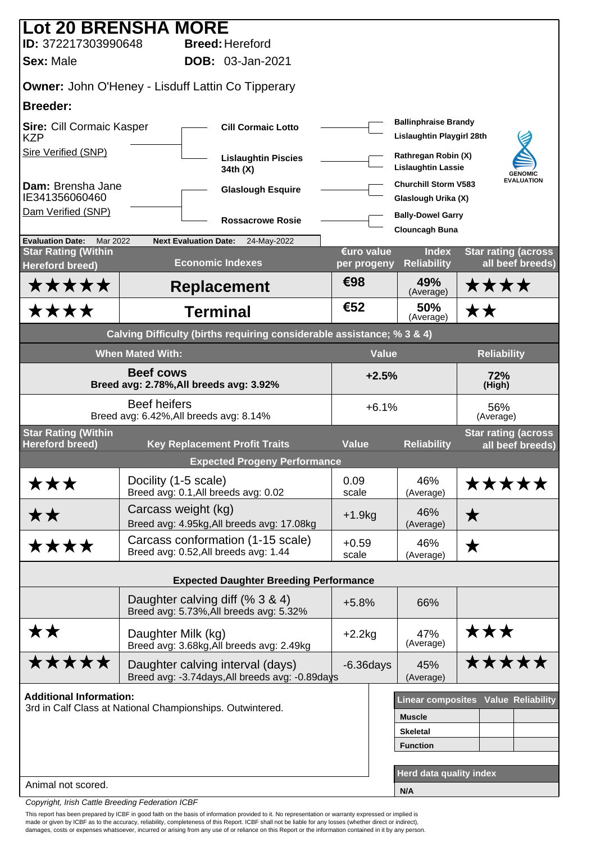| <b>Lot 20 BRENSHA MORE</b>                                  |                                         |                                                                                     |                           |                                                          |                                                 |  |
|-------------------------------------------------------------|-----------------------------------------|-------------------------------------------------------------------------------------|---------------------------|----------------------------------------------------------|-------------------------------------------------|--|
| ID: 372217303990648<br><b>Sex: Male</b>                     |                                         | <b>Breed: Hereford</b><br><b>DOB: 03-Jan-2021</b>                                   |                           |                                                          |                                                 |  |
|                                                             |                                         |                                                                                     |                           |                                                          |                                                 |  |
| <b>Owner: John O'Heney - Lisduff Lattin Co Tipperary</b>    |                                         |                                                                                     |                           |                                                          |                                                 |  |
| <b>Breeder:</b>                                             |                                         |                                                                                     |                           |                                                          |                                                 |  |
| Sire: Cill Cormaic Kasper<br><b>KZP</b>                     |                                         | <b>Cill Cormaic Lotto</b>                                                           |                           | <b>Ballinphraise Brandy</b><br>Lislaughtin Playgirl 28th |                                                 |  |
| Sire Verified (SNP)                                         |                                         | <b>Lislaughtin Piscies</b><br>34th (X)                                              |                           | Rathregan Robin (X)<br><b>Lislaughtin Lassie</b>         | <b>GENOMIC</b>                                  |  |
| Dam: Brensha Jane<br>IE341356060460                         |                                         | <b>Glaslough Esquire</b>                                                            |                           | <b>Churchill Storm V583</b><br>Glaslough Urika (X)       | <b>EVALUATION</b>                               |  |
| Dam Verified (SNP)                                          |                                         | <b>Rossacrowe Rosie</b>                                                             |                           | <b>Bally-Dowel Garry</b>                                 |                                                 |  |
| <b>Evaluation Date:</b><br>Mar 2022                         | <b>Next Evaluation Date:</b>            | 24-May-2022                                                                         |                           | <b>Clouncagh Buna</b>                                    |                                                 |  |
| <b>Star Rating (Within</b><br><b>Hereford breed)</b>        |                                         | <b>Economic Indexes</b>                                                             | €uro value<br>per progeny | <b>Index</b><br><b>Reliability</b>                       | <b>Star rating (across)</b><br>all beef breeds) |  |
| <b>*****</b>                                                |                                         | <b>Replacement</b>                                                                  | €98                       | 49%<br>(Average)                                         | ****                                            |  |
| ★★★★                                                        |                                         | <b>Terminal</b>                                                                     | €52                       | 50%<br>(Average)                                         | ★★                                              |  |
|                                                             |                                         | Calving Difficulty (births requiring considerable assistance; % 3 & 4)              |                           |                                                          |                                                 |  |
|                                                             | <b>When Mated With:</b>                 |                                                                                     |                           | <b>Value</b><br><b>Reliability</b>                       |                                                 |  |
| <b>Beef cows</b><br>Breed avg: 2.78%, All breeds avg: 3.92% |                                         |                                                                                     | $+2.5%$                   |                                                          | 72%<br>(High)                                   |  |
|                                                             | Breed avg: 6.42%, All breeds avg: 8.14% | $+6.1%$                                                                             |                           | 56%<br>(Average)                                         |                                                 |  |
| <b>Star Rating (Within</b><br><b>Hereford breed)</b>        |                                         | <b>Key Replacement Profit Traits</b>                                                | <b>Value</b>              | <b>Reliability</b>                                       | <b>Star rating (across</b><br>all beef breeds)  |  |
|                                                             |                                         | <b>Expected Progeny Performance</b>                                                 |                           |                                                          |                                                 |  |
| ★★★                                                         | Docility (1-5 scale)                    | Breed avg: 0.1, All breeds avg: 0.02                                                | 0.09<br>scale             | 46%<br>(Average)                                         | *****                                           |  |
| ★★                                                          | Carcass weight (kg)                     | Breed avg: 4.95kg, All breeds avg: 17.08kg                                          | $+1.9kg$                  | 46%<br>(Average)                                         | $\bigstar$                                      |  |
| ****                                                        |                                         | Carcass conformation (1-15 scale)<br>Breed avg: 0.52, All breeds avg: 1.44          | $+0.59$<br>scale          | 46%<br>(Average)                                         | ★                                               |  |
|                                                             |                                         | <b>Expected Daughter Breeding Performance</b>                                       |                           |                                                          |                                                 |  |
|                                                             |                                         | Daughter calving diff (% 3 & 4)<br>Breed avg: 5.73%, All breeds avg: 5.32%          | $+5.8%$                   | 66%                                                      |                                                 |  |
| **                                                          | Daughter Milk (kg)                      | Breed avg: 3.68kg, All breeds avg: 2.49kg                                           | $+2.2$ kg                 | 47%<br>(Average)                                         | ★★★                                             |  |
| <b>*****</b>                                                |                                         | Daughter calving interval (days)<br>Breed avg: -3.74days, All breeds avg: -0.89days | $-6.36$ days              | 45%<br>(Average)                                         | <b>*****</b>                                    |  |
| <b>Additional Information:</b>                              |                                         |                                                                                     |                           |                                                          | Linear composites Value Reliability             |  |
| 3rd in Calf Class at National Championships. Outwintered.   |                                         |                                                                                     |                           | <b>Muscle</b>                                            |                                                 |  |
|                                                             |                                         |                                                                                     |                           | <b>Skeletal</b>                                          |                                                 |  |
|                                                             |                                         |                                                                                     |                           | <b>Function</b>                                          |                                                 |  |
|                                                             |                                         |                                                                                     |                           | <b>Herd data quality index</b>                           |                                                 |  |
| Animal not scored.                                          |                                         |                                                                                     |                           | N/A                                                      |                                                 |  |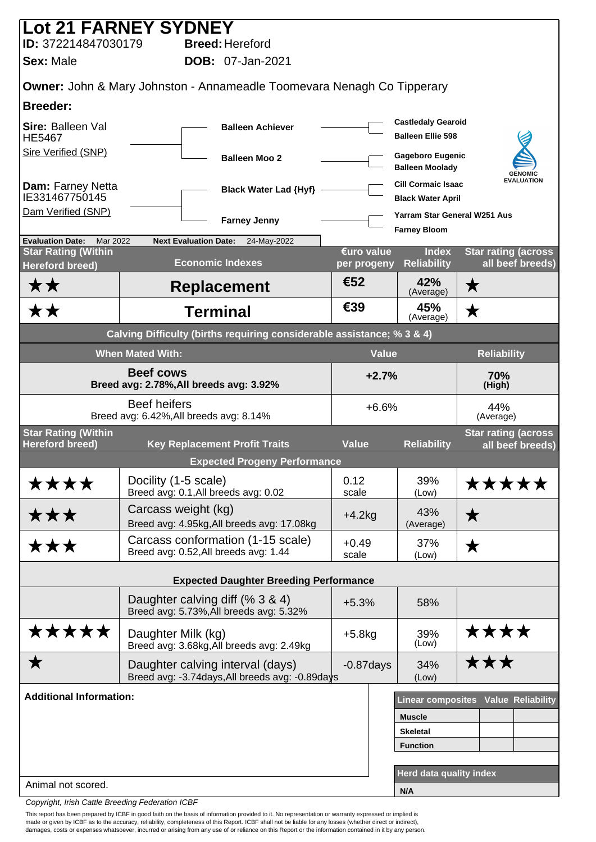| <b>Lot 21 FARNEY SYDNEY</b>                                              |                                                                |                              |                                                                                     |                  |              |                                                       |                            |                   |
|--------------------------------------------------------------------------|----------------------------------------------------------------|------------------------------|-------------------------------------------------------------------------------------|------------------|--------------|-------------------------------------------------------|----------------------------|-------------------|
| ID: 372214847030179                                                      |                                                                |                              | <b>Breed: Hereford</b>                                                              |                  |              |                                                       |                            |                   |
| <b>Sex: Male</b>                                                         |                                                                |                              | <b>DOB: 07-Jan-2021</b>                                                             |                  |              |                                                       |                            |                   |
|                                                                          |                                                                |                              | <b>Owner: John &amp; Mary Johnston - Annameadle Toomevara Nenagh Co Tipperary</b>   |                  |              |                                                       |                            |                   |
| <b>Breeder:</b>                                                          |                                                                |                              |                                                                                     |                  |              |                                                       |                            |                   |
| Sire: Balleen Val<br><b>HE5467</b>                                       |                                                                |                              | <b>Balleen Achiever</b>                                                             |                  |              | <b>Castledaly Gearoid</b><br><b>Balleen Ellie 598</b> |                            |                   |
| Sire Verified (SNP)                                                      |                                                                |                              | <b>Balleen Moo 2</b>                                                                |                  |              | <b>Gageboro Eugenic</b><br><b>Balleen Moolady</b>     |                            | <b>GENOMIC</b>    |
| Dam: Farney Netta<br>IE331467750145                                      |                                                                |                              | <b>Black Water Lad {Hyf}</b>                                                        |                  |              | <b>Cill Cormaic Isaac</b><br><b>Black Water April</b> |                            | <b>EVALUATION</b> |
| Dam Verified (SNP)                                                       |                                                                |                              | <b>Farney Jenny</b>                                                                 |                  |              | Yarram Star General W251 Aus<br><b>Farney Bloom</b>   |                            |                   |
| <b>Evaluation Date:</b><br><b>Mar 2022</b><br><b>Star Rating (Within</b> |                                                                | <b>Next Evaluation Date:</b> | 24-May-2022                                                                         | €uro value       |              | <b>Index</b>                                          | <b>Star rating (across</b> |                   |
| <b>Hereford breed)</b>                                                   |                                                                |                              | <b>Economic Indexes</b>                                                             | per progeny      |              | <b>Reliability</b>                                    |                            | all beef breeds)  |
| ★ ★                                                                      |                                                                |                              | <b>Replacement</b>                                                                  | €52              |              | 42%<br>(Average)                                      | ★                          |                   |
| <b>**</b>                                                                |                                                                |                              | <b>Terminal</b>                                                                     | €39              |              | 45%<br>(Average)                                      | $\bigstar$                 |                   |
|                                                                          |                                                                |                              | Calving Difficulty (births requiring considerable assistance; % 3 & 4)              |                  |              |                                                       |                            |                   |
|                                                                          | <b>When Mated With:</b>                                        |                              |                                                                                     |                  | <b>Value</b> |                                                       | <b>Reliability</b>         |                   |
|                                                                          | <b>Beef cows</b><br>Breed avg: 2.78%, All breeds avg: 3.92%    |                              |                                                                                     |                  | $+2.7%$      |                                                       | 70%<br>(High)              |                   |
|                                                                          | <b>Beef heifers</b><br>Breed avg: 6.42%, All breeds avg: 8.14% |                              |                                                                                     |                  | $+6.6%$      |                                                       | 44%<br>(Average)           |                   |
| <b>Star Rating (Within</b><br><b>Hereford breed)</b>                     |                                                                |                              | <b>Key Replacement Profit Traits</b>                                                | <b>Value</b>     |              | <b>Reliability</b>                                    | <b>Star rating (across</b> | all beef breeds)  |
|                                                                          |                                                                |                              | <b>Expected Progeny Performance</b>                                                 |                  |              |                                                       |                            |                   |
| ****                                                                     | Docility (1-5 scale)                                           |                              | Breed avg: 0.1, All breeds avg: 0.02                                                | 0.12<br>scale    |              | 39%<br>(Low)                                          | *****                      |                   |
| ★★★                                                                      | Carcass weight (kg)                                            |                              | Breed avg: 4.95kg, All breeds avg: 17.08kg                                          | $+4.2kg$         |              | 43%<br>(Average)                                      | ★                          |                   |
| ★★★                                                                      |                                                                |                              | Carcass conformation (1-15 scale)<br>Breed avg: 0.52, All breeds avg: 1.44          | $+0.49$<br>scale |              | 37%<br>(Low)                                          | ★                          |                   |
|                                                                          |                                                                |                              | <b>Expected Daughter Breeding Performance</b>                                       |                  |              |                                                       |                            |                   |
|                                                                          |                                                                |                              | Daughter calving diff (% 3 & 4)<br>Breed avg: 5.73%, All breeds avg: 5.32%          | $+5.3%$          |              | 58%                                                   |                            |                   |
| *****                                                                    | Daughter Milk (kg)                                             |                              | Breed avg: 3.68kg, All breeds avg: 2.49kg                                           | $+5.8kg$         |              | 39%<br>(Low)                                          | ****                       |                   |
| ★                                                                        |                                                                |                              | Daughter calving interval (days)<br>Breed avg: -3.74days, All breeds avg: -0.89days | $-0.87$ days     |              | 34%<br>(Low)                                          | ★★★                        |                   |
| <b>Additional Information:</b>                                           |                                                                |                              |                                                                                     |                  |              | Linear composites Value Reliability                   |                            |                   |
|                                                                          |                                                                |                              |                                                                                     |                  |              | <b>Muscle</b>                                         |                            |                   |
|                                                                          |                                                                |                              |                                                                                     |                  |              | <b>Skeletal</b>                                       |                            |                   |
|                                                                          |                                                                |                              |                                                                                     |                  |              | <b>Function</b>                                       |                            |                   |
| Animal not scored.                                                       |                                                                |                              |                                                                                     |                  |              | <b>Herd data quality index</b>                        |                            |                   |
|                                                                          |                                                                |                              |                                                                                     |                  |              | N/A                                                   |                            |                   |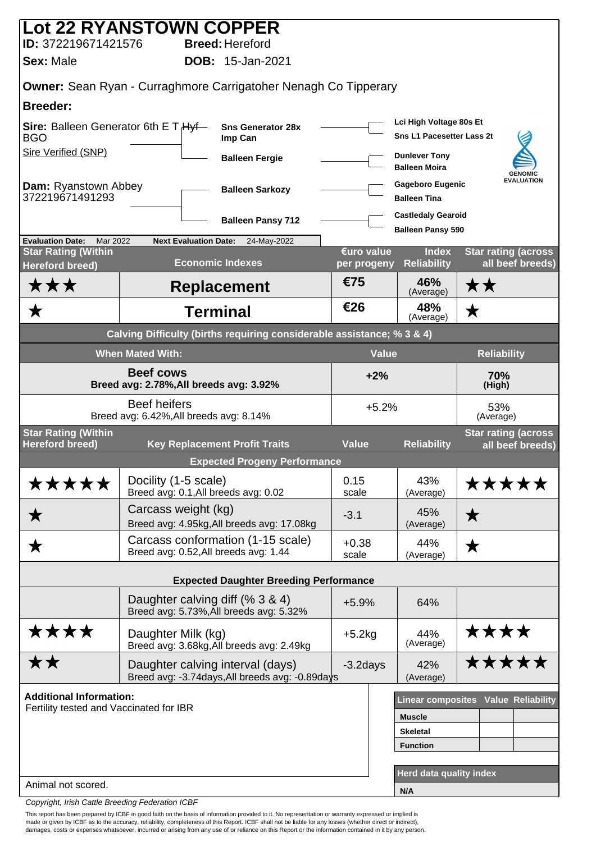| <b>Lot 22 RYANSTOWN COPPER</b>                       |                         |                                                                                     |                           |                                                             |                                                 |
|------------------------------------------------------|-------------------------|-------------------------------------------------------------------------------------|---------------------------|-------------------------------------------------------------|-------------------------------------------------|
| ID: 372219671421576                                  |                         | <b>Breed: Hereford</b>                                                              |                           |                                                             |                                                 |
| <b>Sex: Male</b>                                     |                         | <b>DOB:</b> 15-Jan-2021                                                             |                           |                                                             |                                                 |
|                                                      |                         | <b>Owner:</b> Sean Ryan - Curraghmore Carrigatoher Nenagh Co Tipperary              |                           |                                                             |                                                 |
| <b>Breeder:</b>                                      |                         |                                                                                     |                           |                                                             |                                                 |
| Sire: Balleen Generator 6th E T Hyf-<br><b>BGO</b>   |                         | <b>Sns Generator 28x</b><br>Imp Can                                                 |                           | Lci High Voltage 80s Et<br><b>Sns L1 Pacesetter Lass 2t</b> |                                                 |
| Sire Verified (SNP)                                  |                         | <b>Balleen Fergie</b>                                                               |                           | <b>Dunlever Tony</b><br><b>Balleen Moira</b>                | <b>GENOMIC</b>                                  |
| <b>Dam: Ryanstown Abbey</b><br>372219671491293       |                         | <b>Balleen Sarkozy</b>                                                              |                           | <b>Gageboro Eugenic</b><br><b>Balleen Tina</b>              | <b>EVALUATION</b>                               |
|                                                      |                         | <b>Balleen Pansy 712</b>                                                            |                           | <b>Castledaly Gearoid</b>                                   |                                                 |
| <b>Evaluation Date:</b><br>Mar 2022                  |                         | <b>Next Evaluation Date:</b><br>24-May-2022                                         |                           | <b>Balleen Pansy 590</b>                                    |                                                 |
| <b>Star Rating (Within</b><br>Hereford breed)        |                         | <b>Economic Indexes</b>                                                             | €uro value<br>per progeny | <b>Index</b><br><b>Reliability</b>                          | <b>Star rating (across)</b><br>all beef breeds) |
| ★★★                                                  |                         | <b>Replacement</b>                                                                  | €75                       | 46%<br>(Average)                                            | ★★                                              |
| ★                                                    |                         | <b>Terminal</b>                                                                     | €26                       | 48%<br>(Average)                                            | ★                                               |
|                                                      |                         | Calving Difficulty (births requiring considerable assistance; % 3 & 4)              |                           |                                                             |                                                 |
|                                                      | <b>When Mated With:</b> |                                                                                     | <b>Value</b>              |                                                             | <b>Reliability</b>                              |
|                                                      | <b>Beef cows</b>        | Breed avg: 2.78%, All breeds avg: 3.92%                                             | $+2%$                     |                                                             | 70%<br>(High)                                   |
|                                                      | <b>Beef heifers</b>     | Breed avg: 6.42%, All breeds avg: 8.14%                                             | $+5.2%$                   |                                                             | 53%<br>(Average)                                |
| <b>Star Rating (Within</b><br><b>Hereford breed)</b> |                         | <b>Key Replacement Profit Traits</b>                                                | <b>Value</b>              | <b>Reliability</b>                                          | <b>Star rating (across</b><br>all beef breeds)  |
|                                                      |                         | <b>Expected Progeny Performance</b>                                                 |                           |                                                             |                                                 |
| *****                                                | Docility (1-5 scale)    |                                                                                     | 0.15                      | 43%                                                         | *****                                           |
|                                                      |                         | Breed avg: 0.1, All breeds avg: 0.02                                                | scale                     | (Average)                                                   |                                                 |
| ★                                                    |                         | Carcass weight (kg)<br>Breed avg: 4.95kg, All breeds avg: 17.08kg                   | $-3.1$                    | 45%<br>(Average)                                            | $\bigstar$                                      |
| ▼                                                    |                         | Carcass conformation (1-15 scale)<br>Breed avg: 0.52, All breeds avg: 1.44          | $+0.38$<br>scale          | 44%<br>(Average)                                            | ★                                               |
|                                                      |                         | <b>Expected Daughter Breeding Performance</b>                                       |                           |                                                             |                                                 |
|                                                      |                         | Daughter calving diff (% 3 & 4)<br>Breed avg: 5.73%, All breeds avg: 5.32%          | $+5.9%$                   | 64%                                                         |                                                 |
| ****                                                 | Daughter Milk (kg)      | Breed avg: 3.68kg, All breeds avg: 2.49kg                                           | $+5.2$ kg                 | 44%<br>(Average)                                            | ****                                            |
| <b>**</b>                                            |                         | Daughter calving interval (days)<br>Breed avg: -3.74days, All breeds avg: -0.89days | $-3.2$ days               | 42%<br>(Average)                                            | *****                                           |
| <b>Additional Information:</b>                       |                         |                                                                                     |                           |                                                             | Linear composites Value Reliability             |
| Fertility tested and Vaccinated for IBR              |                         |                                                                                     |                           | <b>Muscle</b>                                               |                                                 |
|                                                      |                         |                                                                                     |                           | <b>Skeletal</b>                                             |                                                 |
|                                                      |                         |                                                                                     |                           | <b>Function</b>                                             |                                                 |
| Animal not scored.                                   |                         |                                                                                     |                           | Herd data quality index                                     |                                                 |
|                                                      |                         |                                                                                     |                           | N/A                                                         |                                                 |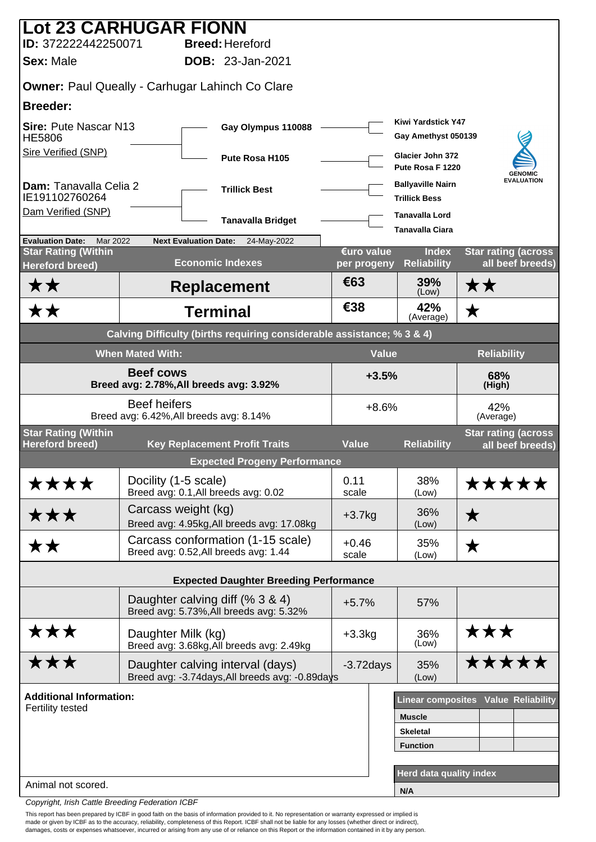|                                                             | <b>Lot 23 CARHUGAR FIONN</b>                                                        |                           |                                                  |                                                |
|-------------------------------------------------------------|-------------------------------------------------------------------------------------|---------------------------|--------------------------------------------------|------------------------------------------------|
| ID: 372222442250071                                         | <b>Breed: Hereford</b>                                                              |                           |                                                  |                                                |
| <b>Sex: Male</b>                                            | <b>DOB: 23-Jan-2021</b>                                                             |                           |                                                  |                                                |
|                                                             | <b>Owner: Paul Queally - Carhugar Lahinch Co Clare</b>                              |                           |                                                  |                                                |
| <b>Breeder:</b>                                             |                                                                                     |                           |                                                  |                                                |
| <b>Sire: Pute Nascar N13</b><br><b>HE5806</b>               | Gay Olympus 110088                                                                  |                           | Kiwi Yardstick Y47<br>Gay Amethyst 050139        |                                                |
| Sire Verified (SNP)                                         | Pute Rosa H105                                                                      |                           | Glacier John 372<br>Pute Rosa F 1220             | <b>GENOMIC</b>                                 |
| Dam: Tanavalla Celia 2<br>IE191102760264                    | <b>Trillick Best</b>                                                                |                           | <b>Ballyaville Nairn</b><br><b>Trillick Bess</b> | <b>EVALUATION</b>                              |
| Dam Verified (SNP)                                          | <b>Tanavalla Bridget</b>                                                            |                           | <b>Tanavalla Lord</b><br><b>Tanavalla Ciara</b>  |                                                |
| <b>Evaluation Date:</b><br>Mar 2022                         | <b>Next Evaluation Date:</b><br>24-May-2022                                         |                           |                                                  |                                                |
| <b>Star Rating (Within</b><br>Hereford breed)               | <b>Economic Indexes</b>                                                             | €uro value<br>per progeny | <b>Index</b><br><b>Reliability</b>               | <b>Star rating (across</b><br>all beef breeds) |
| <b>**</b>                                                   | <b>Replacement</b>                                                                  | €63                       | 39%<br>(Low)                                     | ★★                                             |
| <b>**</b>                                                   | <b>Terminal</b>                                                                     | €38                       | 42%<br>(Average)                                 | $\bigstar$                                     |
|                                                             | Calving Difficulty (births requiring considerable assistance; % 3 & 4)              |                           |                                                  |                                                |
|                                                             | <b>When Mated With:</b>                                                             | <b>Value</b>              |                                                  | <b>Reliability</b>                             |
| <b>Beef cows</b><br>Breed avg: 2.78%, All breeds avg: 3.92% |                                                                                     |                           | $+3.5%$                                          | 68%<br>(High)                                  |
|                                                             | <b>Beef heifers</b><br>Breed avg: 6.42%, All breeds avg: 8.14%                      | $+8.6%$                   |                                                  | 42%<br>(Average)                               |
| <b>Star Rating (Within</b><br><b>Hereford breed)</b>        | <b>Key Replacement Profit Traits</b>                                                | <b>Value</b>              | <b>Reliability</b>                               | <b>Star rating (across</b><br>all beef breeds) |
|                                                             | <b>Expected Progeny Performance</b>                                                 |                           |                                                  |                                                |
| ****                                                        | Docility (1-5 scale)<br>Breed avg: 0.1, All breeds avg: 0.02                        | 0.11<br>scale             | 38%<br>(Low)                                     | *****                                          |
| ★★★                                                         | Carcass weight (kg)<br>Breed avg: 4.95kg, All breeds avg: 17.08kg                   | $+3.7kg$                  | 36%<br>(Low)                                     | $\bigstar$                                     |
| <b>**</b>                                                   | Carcass conformation (1-15 scale)<br>Breed avg: 0.52, All breeds avg: 1.44          | $+0.46$<br>scale          | 35%<br>(Low)                                     | $\bigstar$                                     |
|                                                             | <b>Expected Daughter Breeding Performance</b>                                       |                           |                                                  |                                                |
|                                                             | Daughter calving diff (% 3 & 4)                                                     |                           |                                                  |                                                |
|                                                             | Breed avg: 5.73%, All breeds avg: 5.32%                                             | $+5.7%$                   | 57%                                              |                                                |
| ★★★                                                         | Daughter Milk (kg)<br>Breed avg: 3.68kg, All breeds avg: 2.49kg                     | $+3.3kg$                  | 36%<br>(Low)                                     | ★★★                                            |
| ★★★                                                         | Daughter calving interval (days)<br>Breed avg: -3.74days, All breeds avg: -0.89days | $-3.72$ days              | 35%<br>(Low)                                     | *****                                          |
| <b>Additional Information:</b>                              |                                                                                     |                           |                                                  | Linear composites Value Reliability            |
| Fertility tested                                            |                                                                                     |                           | <b>Muscle</b>                                    |                                                |
|                                                             |                                                                                     |                           | <b>Skeletal</b>                                  |                                                |
|                                                             |                                                                                     |                           | <b>Function</b>                                  |                                                |
| Animal not scored.                                          |                                                                                     |                           | <b>Herd data quality index</b>                   |                                                |
|                                                             |                                                                                     |                           | N/A                                              |                                                |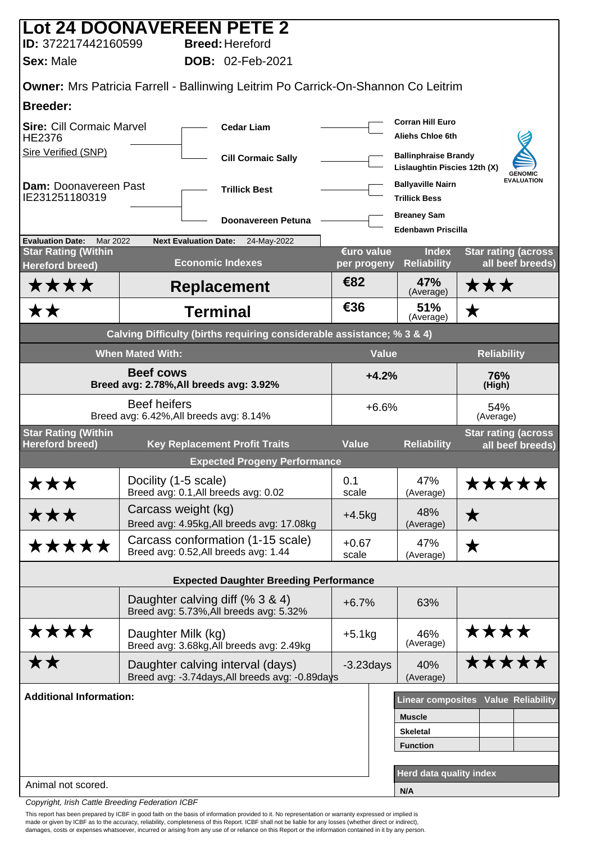|                                                             |                         | Lot 24 DOONAVEREEN PETE 2                                                           |                           |               |                                                             |                                                |
|-------------------------------------------------------------|-------------------------|-------------------------------------------------------------------------------------|---------------------------|---------------|-------------------------------------------------------------|------------------------------------------------|
| ID: 372217442160599                                         |                         | <b>Breed: Hereford</b><br>DOB: 02-Feb-2021                                          |                           |               |                                                             |                                                |
| <b>Sex: Male</b>                                            |                         |                                                                                     |                           |               |                                                             |                                                |
|                                                             |                         | Owner: Mrs Patricia Farrell - Ballinwing Leitrim Po Carrick-On-Shannon Co Leitrim   |                           |               |                                                             |                                                |
| <b>Breeder:</b>                                             |                         |                                                                                     |                           |               |                                                             |                                                |
| <b>Sire: Cill Cormaic Marvel</b><br>HE2376                  |                         | <b>Cedar Liam</b>                                                                   |                           |               | <b>Corran Hill Euro</b><br><b>Aliehs Chloe 6th</b>          |                                                |
| <b>Sire Verified (SNP)</b>                                  |                         | <b>Cill Cormaic Sally</b>                                                           |                           |               | <b>Ballinphraise Brandy</b><br>Lislaughtin Piscies 12th (X) | <b>GENOMIC</b>                                 |
| Dam: Doonavereen Past<br>IE231251180319                     |                         | <b>Trillick Best</b>                                                                |                           |               | <b>Ballyaville Nairn</b><br><b>Trillick Bess</b>            | <b>EVALUATION</b>                              |
|                                                             |                         | Doonavereen Petuna                                                                  |                           |               | <b>Breaney Sam</b><br><b>Edenbawn Priscilla</b>             |                                                |
| Mar 2022<br><b>Evaluation Date:</b>                         |                         | <b>Next Evaluation Date:</b><br>24-May-2022                                         |                           |               |                                                             |                                                |
| <b>Star Rating (Within</b><br><b>Hereford breed)</b>        |                         | <b>Economic Indexes</b>                                                             | €uro value<br>per progeny |               | <b>Index</b><br><b>Reliability</b>                          | <b>Star rating (across</b><br>all beef breeds) |
| ****                                                        |                         | <b>Replacement</b>                                                                  | €82                       |               | 47%<br>(Average)                                            | ★★★                                            |
| <b>**</b>                                                   |                         | <b>Terminal</b>                                                                     | €36                       |               | 51%<br>(Average)                                            | $\bigstar$                                     |
|                                                             |                         | Calving Difficulty (births requiring considerable assistance; % 3 & 4)              |                           |               |                                                             |                                                |
|                                                             | <b>When Mated With:</b> |                                                                                     |                           | <b>Value</b>  |                                                             | Reliability                                    |
| <b>Beef cows</b><br>Breed avg: 2.78%, All breeds avg: 3.92% |                         |                                                                                     |                           | $+4.2%$       |                                                             | 76%<br>(High)                                  |
|                                                             | <b>Beef heifers</b>     | Breed avg: 6.42%, All breeds avg: 8.14%                                             |                           | $+6.6%$       |                                                             | 54%<br>(Average)                               |
| <b>Star Rating (Within</b><br><b>Hereford breed)</b>        |                         | <b>Key Replacement Profit Traits</b>                                                | <b>Value</b>              |               | <b>Reliability</b>                                          | <b>Star rating (across</b><br>all beef breeds) |
|                                                             |                         | <b>Expected Progeny Performance</b>                                                 |                           |               |                                                             |                                                |
| ★★★                                                         | Docility (1-5 scale)    | Breed avg: 0.1, All breeds avg: 0.02                                                | 0.1<br>scale              |               | 47%<br>(Average)                                            | <b>*****</b>                                   |
| ★★★                                                         |                         | Carcass weight (kg)<br>Breed avg: 4.95kg, All breeds avg: 17.08kg                   | $+4.5kg$                  |               | 48%<br>(Average)                                            | $\bigstar$                                     |
| *****                                                       |                         | Carcass conformation (1-15 scale)<br>Breed avg: 0.52, All breeds avg: 1.44          | $+0.67$<br>scale          |               | 47%<br>(Average)                                            | ★                                              |
|                                                             |                         | <b>Expected Daughter Breeding Performance</b>                                       |                           |               |                                                             |                                                |
|                                                             |                         | Daughter calving diff (% 3 & 4)<br>Breed avg: 5.73%, All breeds avg: 5.32%          | $+6.7%$                   |               | 63%                                                         |                                                |
| ****                                                        | Daughter Milk (kg)      | Breed avg: 3.68kg, All breeds avg: 2.49kg                                           | $+5.1kg$                  |               | 46%<br>(Average)                                            | ****                                           |
| <b>**</b>                                                   |                         | Daughter calving interval (days)<br>Breed avg: -3.74days, All breeds avg: -0.89days | $-3.23$ days              |               | 40%<br>(Average)                                            | *****                                          |
| <b>Additional Information:</b>                              |                         |                                                                                     |                           |               |                                                             | Linear composites Value Reliability            |
|                                                             |                         |                                                                                     |                           | <b>Muscle</b> |                                                             |                                                |
|                                                             |                         |                                                                                     |                           |               | <b>Skeletal</b>                                             |                                                |
|                                                             |                         |                                                                                     |                           |               | <b>Function</b>                                             |                                                |
| Animal not scored.                                          |                         |                                                                                     |                           |               | Herd data quality index                                     |                                                |
|                                                             |                         |                                                                                     |                           | N/A           |                                                             |                                                |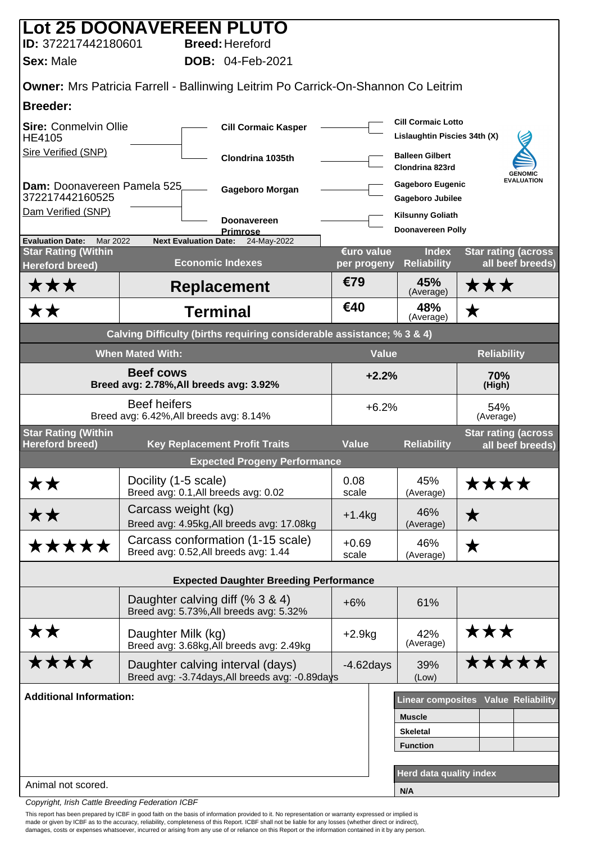|                                                                   |                         | Lot 25 DOONAVEREEN PLUTO                                                                 |                  |                                                           |                                                |
|-------------------------------------------------------------------|-------------------------|------------------------------------------------------------------------------------------|------------------|-----------------------------------------------------------|------------------------------------------------|
| ID: 372217442180601                                               |                         | <b>Breed: Hereford</b>                                                                   |                  |                                                           |                                                |
| <b>Sex: Male</b>                                                  |                         | <b>DOB: 04-Feb-2021</b>                                                                  |                  |                                                           |                                                |
|                                                                   |                         | <b>Owner:</b> Mrs Patricia Farrell - Ballinwing Leitrim Po Carrick-On-Shannon Co Leitrim |                  |                                                           |                                                |
| <b>Breeder:</b>                                                   |                         |                                                                                          |                  |                                                           |                                                |
| <b>Sire: Conmelvin Ollie</b><br><b>HE4105</b>                     |                         | <b>Cill Cormaic Kasper</b>                                                               |                  | <b>Cill Cormaic Lotto</b><br>Lislaughtin Piscies 34th (X) |                                                |
| Sire Verified (SNP)                                               |                         | Clondrina 1035th                                                                         |                  | <b>Balleen Gilbert</b><br>Clondrina 823rd                 | <b>GENOMIC</b>                                 |
| Dam: Doonavereen Pamela 525<br>372217442160525                    |                         | Gageboro Morgan                                                                          |                  | <b>Gageboro Eugenic</b><br><b>Gageboro Jubilee</b>        | <b>EVALUATION</b>                              |
| Dam Verified (SNP)                                                |                         | <b>Doonavereen</b>                                                                       |                  | <b>Kilsunny Goliath</b>                                   |                                                |
|                                                                   |                         | <b>Primrose</b>                                                                          |                  | <b>Doonavereen Polly</b>                                  |                                                |
| <b>Evaluation Date:</b><br>Mar 2022<br><b>Star Rating (Within</b> |                         | <b>Next Evaluation Date:</b><br>24-May-2022                                              | €uro value       | <b>Index</b>                                              | <b>Star rating (across</b>                     |
| Hereford breed)                                                   |                         | <b>Economic Indexes</b>                                                                  | per progeny      | <b>Reliability</b>                                        | all beef breeds)                               |
| ★★★                                                               |                         | <b>Replacement</b>                                                                       | €79              | 45%<br>(Average)                                          | ★★★                                            |
| <b>**</b>                                                         |                         | <b>Terminal</b>                                                                          | €40              | 48%<br>(Average)                                          | $\bigstar$                                     |
|                                                                   |                         | Calving Difficulty (births requiring considerable assistance; % 3 & 4)                   |                  |                                                           |                                                |
|                                                                   | <b>When Mated With:</b> |                                                                                          |                  | <b>Value</b>                                              | <b>Reliability</b>                             |
| <b>Beef cows</b><br>Breed avg: 2.78%, All breeds avg: 3.92%       |                         |                                                                                          | $+2.2%$          |                                                           | 70%<br>(High)                                  |
|                                                                   | <b>Beef heifers</b>     | Breed avg: 6.42%, All breeds avg: 8.14%                                                  | $+6.2%$          |                                                           | 54%<br>(Average)                               |
| <b>Star Rating (Within</b><br><b>Hereford breed)</b>              |                         | <b>Key Replacement Profit Traits</b>                                                     | <b>Value</b>     | <b>Reliability</b>                                        | <b>Star rating (across</b><br>all beef breeds) |
|                                                                   |                         | <b>Expected Progeny Performance</b>                                                      |                  |                                                           |                                                |
|                                                                   | Docility (1-5 scale)    |                                                                                          | 0.08             | 45%                                                       |                                                |
| <b>**</b>                                                         |                         | Breed avg: 0.1, All breeds avg: 0.02                                                     | scale            | (Average)                                                 | <b>****</b>                                    |
| ★★                                                                | Carcass weight (kg)     | Breed avg: 4.95kg, All breeds avg: 17.08kg                                               | $+1.4kg$         | 46%<br>(Average)                                          | $\bigstar$                                     |
| *****                                                             |                         | Carcass conformation (1-15 scale)<br>Breed avg: 0.52, All breeds avg: 1.44               | $+0.69$<br>scale | 46%<br>(Average)                                          | ★                                              |
|                                                                   |                         | <b>Expected Daughter Breeding Performance</b>                                            |                  |                                                           |                                                |
|                                                                   |                         |                                                                                          |                  |                                                           |                                                |
|                                                                   |                         | Daughter calving diff (% 3 & 4)<br>Breed avg: 5.73%, All breeds avg: 5.32%               | $+6%$            | 61%                                                       |                                                |
| <b>**</b>                                                         | Daughter Milk (kg)      | Breed avg: 3.68kg, All breeds avg: 2.49kg                                                | $+2.9kg$         | 42%<br>(Average)                                          | ★★★                                            |
| ****                                                              |                         | Daughter calving interval (days)<br>Breed avg: -3.74days, All breeds avg: -0.89days      | $-4.62$ days     | 39%<br>(Low)                                              | *****                                          |
| <b>Additional Information:</b>                                    |                         |                                                                                          |                  |                                                           | Linear composites Value Reliability            |
|                                                                   |                         |                                                                                          |                  | <b>Muscle</b>                                             |                                                |
|                                                                   |                         |                                                                                          |                  | <b>Skeletal</b>                                           |                                                |
|                                                                   |                         |                                                                                          |                  | <b>Function</b>                                           |                                                |
|                                                                   |                         |                                                                                          |                  | <b>Herd data quality index</b>                            |                                                |
| Animal not scored.                                                |                         |                                                                                          |                  | N/A                                                       |                                                |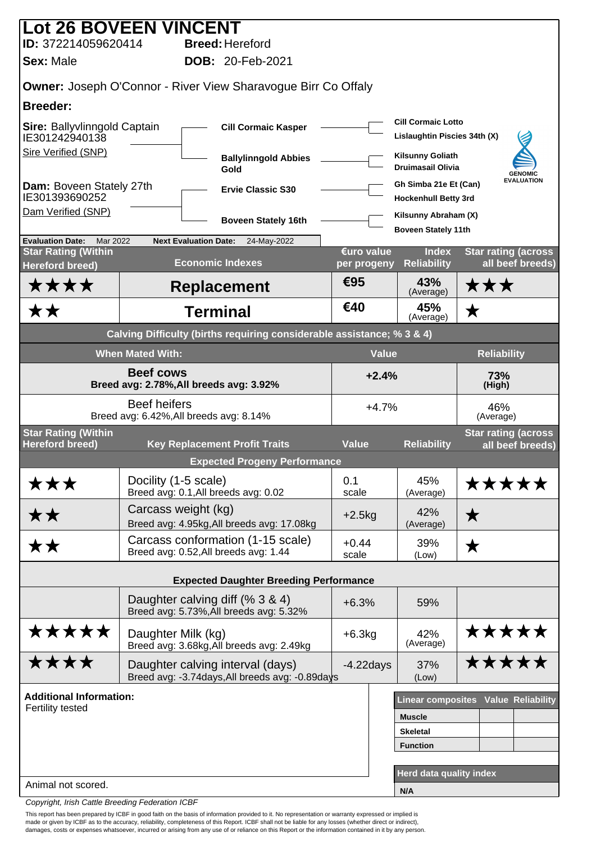| <b>Lot 26 BOVEEN VINCENT</b>                                      |                                                                |                                                                                     |                          |                                                           |                                                |
|-------------------------------------------------------------------|----------------------------------------------------------------|-------------------------------------------------------------------------------------|--------------------------|-----------------------------------------------------------|------------------------------------------------|
| ID: 372214059620414                                               |                                                                | <b>Breed: Hereford</b>                                                              |                          |                                                           |                                                |
| <b>Sex: Male</b>                                                  |                                                                | <b>DOB: 20-Feb-2021</b>                                                             |                          |                                                           |                                                |
|                                                                   |                                                                | <b>Owner:</b> Joseph O'Connor - River View Sharavoque Birr Co Offaly                |                          |                                                           |                                                |
| <b>Breeder:</b>                                                   |                                                                |                                                                                     |                          |                                                           |                                                |
| Sire: Ballyvlinngold Captain<br>IE301242940138                    |                                                                | <b>Cill Cormaic Kasper</b>                                                          |                          | <b>Cill Cormaic Lotto</b><br>Lislaughtin Piscies 34th (X) |                                                |
| Sire Verified (SNP)                                               |                                                                | <b>Ballylinngold Abbies</b><br>Gold                                                 |                          | <b>Kilsunny Goliath</b><br><b>Druimasail Olivia</b>       | <b>GENOMIC</b>                                 |
| Dam: Boveen Stately 27th<br>IE301393690252                        |                                                                | <b>Ervie Classic S30</b>                                                            |                          | Gh Simba 21e Et (Can)<br><b>Hockenhull Betty 3rd</b>      | <b>EVALUATION</b>                              |
| Dam Verified (SNP)                                                |                                                                | <b>Boveen Stately 16th</b>                                                          |                          | Kilsunny Abraham (X)<br><b>Boveen Stately 11th</b>        |                                                |
| <b>Evaluation Date:</b><br>Mar 2022<br><b>Star Rating (Within</b> | <b>Next Evaluation Date:</b>                                   | 24-May-2022                                                                         | €uro value               | <b>Index</b>                                              | <b>Star rating (across</b>                     |
| <b>Hereford breed)</b>                                            |                                                                | <b>Economic Indexes</b>                                                             | per progeny              | <b>Reliability</b>                                        | all beef breeds)                               |
| ****                                                              |                                                                | <b>Replacement</b>                                                                  | €95                      | 43%<br>(Average)                                          | ★★★                                            |
| ★★                                                                |                                                                | <b>Terminal</b>                                                                     | €40                      | 45%<br>(Average)                                          | ★                                              |
|                                                                   |                                                                | Calving Difficulty (births requiring considerable assistance; % 3 & 4)              |                          |                                                           |                                                |
|                                                                   | <b>When Mated With:</b>                                        |                                                                                     | <b>Value</b>             |                                                           | <b>Reliability</b>                             |
| <b>Beef cows</b><br>Breed avg: 2.78%, All breeds avg: 3.92%       |                                                                |                                                                                     | $+2.4%$<br>73%<br>(High) |                                                           |                                                |
|                                                                   | <b>Beef heifers</b><br>Breed avg: 6.42%, All breeds avg: 8.14% |                                                                                     | $+4.7%$                  |                                                           | 46%<br>(Average)                               |
| <b>Star Rating (Within</b><br><b>Hereford breed)</b>              |                                                                | <b>Key Replacement Profit Traits</b>                                                | <b>Value</b>             | <b>Reliability</b>                                        | <b>Star rating (across</b><br>all beef breeds) |
|                                                                   |                                                                | <b>Expected Progeny Performance</b>                                                 |                          |                                                           |                                                |
| ★★★                                                               | Docility (1-5 scale)<br>Breed avg: 0.1, All breeds avg: 0.02   |                                                                                     | 0.1<br>scale             | 45%<br>(Average)                                          | <b>*****</b>                                   |
| ★★                                                                | Carcass weight (kg)                                            | Breed avg: 4.95kg, All breeds avg: 17.08kg                                          | $+2.5kg$                 | 42%<br>(Average)                                          | ★                                              |
| <b>**</b>                                                         | Breed avg: 0.52, All breeds avg: 1.44                          | Carcass conformation (1-15 scale)                                                   | $+0.44$<br>scale         | 39%<br>(Low)                                              | ★                                              |
|                                                                   |                                                                | <b>Expected Daughter Breeding Performance</b>                                       |                          |                                                           |                                                |
|                                                                   | Daughter calving diff (% 3 & 4)                                | Breed avg: 5.73%, All breeds avg: 5.32%                                             | $+6.3%$                  | 59%                                                       |                                                |
| *****                                                             | Daughter Milk (kg)                                             | Breed avg: 3.68kg, All breeds avg: 2.49kg                                           | $+6.3kg$                 | 42%<br>(Average)                                          | *****                                          |
| ****                                                              |                                                                | Daughter calving interval (days)<br>Breed avg: -3.74days, All breeds avg: -0.89days | $-4.22$ days             | 37%<br>(Low)                                              | *****                                          |
| <b>Additional Information:</b>                                    |                                                                |                                                                                     |                          |                                                           | <b>Linear composites Value Reliability</b>     |
| <b>Fertility tested</b>                                           |                                                                |                                                                                     |                          | <b>Muscle</b>                                             |                                                |
|                                                                   |                                                                |                                                                                     |                          | <b>Skeletal</b>                                           |                                                |
|                                                                   |                                                                |                                                                                     |                          | <b>Function</b>                                           |                                                |
|                                                                   |                                                                |                                                                                     |                          | Herd data quality index                                   |                                                |
| Animal not scored.                                                |                                                                |                                                                                     |                          | N/A                                                       |                                                |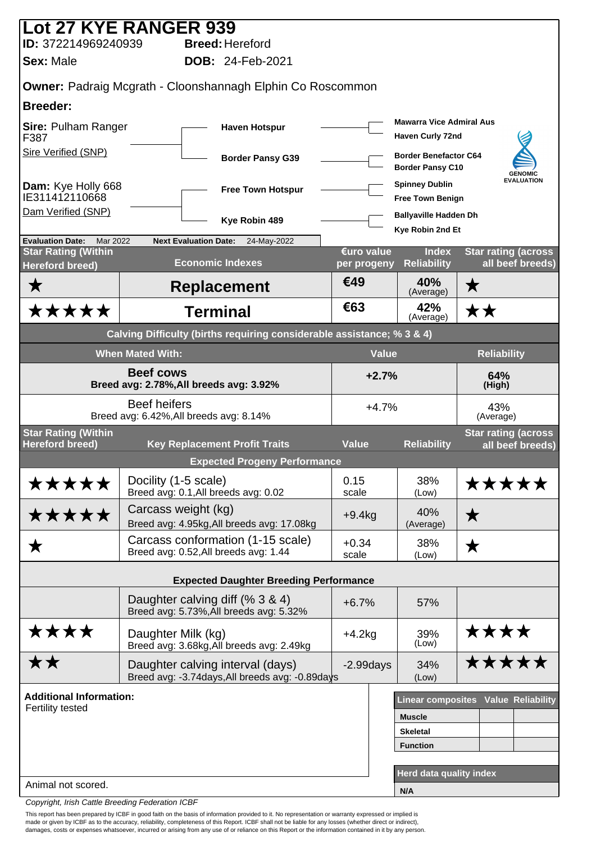|                                                      | <b>Lot 27 KYE RANGER 939</b>                                                        |                          |                                                         |                                                |
|------------------------------------------------------|-------------------------------------------------------------------------------------|--------------------------|---------------------------------------------------------|------------------------------------------------|
| ID: 372214969240939                                  | <b>Breed: Hereford</b>                                                              |                          |                                                         |                                                |
| <b>Sex: Male</b>                                     | <b>DOB: 24-Feb-2021</b>                                                             |                          |                                                         |                                                |
|                                                      | <b>Owner: Padraig Mcgrath - Cloonshannagh Elphin Co Roscommon</b>                   |                          |                                                         |                                                |
| <b>Breeder:</b>                                      |                                                                                     |                          |                                                         |                                                |
| <b>Sire: Pulham Ranger</b><br>F387                   | <b>Haven Hotspur</b>                                                                |                          | <b>Mawarra Vice Admiral Aus</b><br>Haven Curly 72nd     |                                                |
| Sire Verified (SNP)                                  | <b>Border Pansy G39</b>                                                             |                          | <b>Border Benefactor C64</b><br><b>Border Pansy C10</b> | <b>GENOMIC</b>                                 |
| Dam: Kye Holly 668<br>IE311412110668                 | <b>Free Town Hotspur</b>                                                            |                          | <b>Spinney Dublin</b><br><b>Free Town Benign</b>        | <b>EVALUATION</b>                              |
| Dam Verified (SNP)                                   | Kye Robin 489                                                                       |                          | <b>Ballyaville Hadden Dh</b><br>Kye Robin 2nd Et        |                                                |
| <b>Evaluation Date:</b><br>Mar 2022                  | <b>Next Evaluation Date:</b><br>24-May-2022                                         | €uro value               | <b>Index</b>                                            |                                                |
| <b>Star Rating (Within</b><br><b>Hereford breed)</b> | <b>Economic Indexes</b>                                                             | per progeny              | <b>Reliability</b>                                      | <b>Star rating (across</b><br>all beef breeds) |
| ★                                                    | <b>Replacement</b>                                                                  | €49                      | 40%<br>(Average)                                        | ★                                              |
| *****                                                | <b>Terminal</b>                                                                     | €63                      | 42%<br>(Average)                                        | ★★                                             |
|                                                      | Calving Difficulty (births requiring considerable assistance; % 3 & 4)              |                          |                                                         |                                                |
|                                                      | <b>When Mated With:</b>                                                             | <b>Value</b>             |                                                         | <b>Reliability</b>                             |
|                                                      | <b>Beef cows</b><br>Breed avg: 2.78%, All breeds avg: 3.92%                         | $+2.7%$<br>64%<br>(High) |                                                         |                                                |
|                                                      | <b>Beef heifers</b><br>Breed avg: 6.42%, All breeds avg: 8.14%                      | $+4.7%$                  |                                                         | 43%<br>(Average)                               |
| <b>Star Rating (Within</b><br><b>Hereford breed)</b> | <b>Key Replacement Profit Traits</b>                                                | <b>Value</b>             | <b>Reliability</b>                                      | <b>Star rating (across</b><br>all beef breeds) |
|                                                      | <b>Expected Progeny Performance</b>                                                 |                          |                                                         |                                                |
| *****                                                | Docility (1-5 scale)<br>Breed avg: 0.1, All breeds avg: 0.02                        | 0.15<br>scale            | 38%<br>(Low)                                            | *****                                          |
| *****                                                | Carcass weight (kg)<br>Breed avg: 4.95kg, All breeds avg: 17.08kg                   | $+9.4kg$                 | 40%<br>(Average)                                        | ★                                              |
| ★                                                    | Carcass conformation (1-15 scale)<br>Breed avg: 0.52, All breeds avg: 1.44          | $+0.34$<br>scale         | 38%<br>(Low)                                            | ★                                              |
|                                                      | <b>Expected Daughter Breeding Performance</b>                                       |                          |                                                         |                                                |
|                                                      | Daughter calving diff (% 3 & 4)<br>Breed avg: 5.73%, All breeds avg: 5.32%          | $+6.7%$                  | 57%                                                     |                                                |
| ****                                                 | Daughter Milk (kg)<br>Breed avg: 3.68kg, All breeds avg: 2.49kg                     | $+4.2kg$                 | 39%<br>(Low)                                            | ****                                           |
| <b>**</b>                                            | Daughter calving interval (days)<br>Breed avg: -3.74days, All breeds avg: -0.89days | $-2.99$ days             | 34%<br>(Low)                                            | <b>*****</b>                                   |
| <b>Additional Information:</b>                       |                                                                                     |                          |                                                         | <b>Linear composites Value Reliability</b>     |
| Fertility tested                                     |                                                                                     |                          | <b>Muscle</b>                                           |                                                |
|                                                      |                                                                                     |                          | <b>Skeletal</b>                                         |                                                |
|                                                      |                                                                                     |                          | <b>Function</b>                                         |                                                |
| Animal not scored.                                   |                                                                                     |                          | Herd data quality index                                 |                                                |
|                                                      |                                                                                     |                          | N/A                                                     |                                                |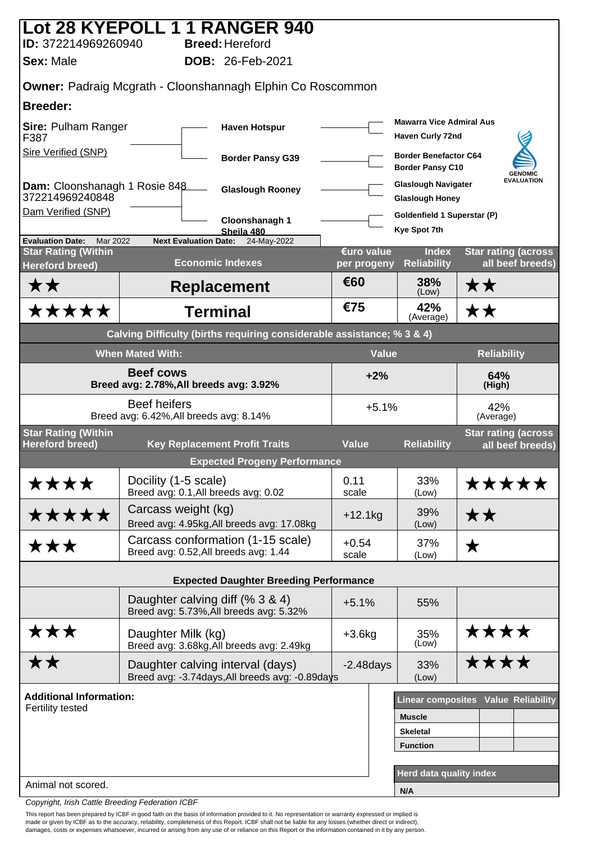| ID: 372214969260940                                  | Lot 28 KYEPOLL 1 1 RANGER 940<br><b>Breed: Hereford</b>                             |                           |                                                         |                                                |
|------------------------------------------------------|-------------------------------------------------------------------------------------|---------------------------|---------------------------------------------------------|------------------------------------------------|
| <b>Sex: Male</b>                                     | <b>DOB: 26-Feb-2021</b>                                                             |                           |                                                         |                                                |
|                                                      | <b>Owner: Padraig Mcgrath - Cloonshannagh Elphin Co Roscommon</b>                   |                           |                                                         |                                                |
| <b>Breeder:</b>                                      |                                                                                     |                           |                                                         |                                                |
| Sire: Pulham Ranger<br>F387                          | <b>Haven Hotspur</b>                                                                |                           | <b>Mawarra Vice Admiral Aus</b><br>Haven Curly 72nd     |                                                |
| Sire Verified (SNP)                                  | <b>Border Pansy G39</b>                                                             |                           | <b>Border Benefactor C64</b><br><b>Border Pansy C10</b> | <b>GENOMIC</b>                                 |
| Dam: Cloonshanagh 1 Rosie 848<br>372214969240848     | <b>Glaslough Rooney</b>                                                             |                           | <b>Glaslough Navigater</b><br><b>Glaslough Honey</b>    | <b>EVALUATION</b>                              |
| Dam Verified (SNP)                                   | Cloonshanagh 1                                                                      |                           | Goldenfield 1 Superstar (P)                             |                                                |
| <b>Evaluation Date:</b><br>Mar 2022                  | Sheila 480<br><b>Next Evaluation Date:</b><br>24-May-2022                           |                           | Kye Spot 7th                                            |                                                |
| <b>Star Rating (Within</b><br><b>Hereford breed)</b> | <b>Economic Indexes</b>                                                             | €uro value<br>per progeny | <b>Index</b><br><b>Reliability</b>                      | <b>Star rating (across</b><br>all beef breeds) |
| ★★                                                   | <b>Replacement</b>                                                                  | €60                       | 38%<br>(Low)                                            | ★★                                             |
| *****                                                | <b>Terminal</b>                                                                     | €75                       | 42%<br>(Average)                                        | ★★                                             |
|                                                      | Calving Difficulty (births requiring considerable assistance; % 3 & 4)              |                           |                                                         |                                                |
|                                                      | <b>When Mated With:</b>                                                             | <b>Value</b>              |                                                         | <b>Reliability</b>                             |
| Breed avg: 2.78%, All breeds avg: 3.92%              | $+2%$<br>64%<br>(High)                                                              |                           |                                                         |                                                |
|                                                      | <b>Beef heifers</b><br>Breed avg: 6.42%, All breeds avg: 8.14%                      | $+5.1%$                   |                                                         | 42%<br>(Average)                               |
| <b>Star Rating (Within</b><br><b>Hereford breed)</b> | <b>Key Replacement Profit Traits</b>                                                | <b>Value</b>              | <b>Reliability</b>                                      | <b>Star rating (across</b><br>all beef breeds) |
|                                                      | <b>Expected Progeny Performance</b>                                                 |                           |                                                         |                                                |
| ****                                                 | Docility (1-5 scale)<br>Breed avg: 0.1, All breeds avg: 0.02                        | 0.11<br>scale             | 33%<br>(Low)                                            | *****                                          |
| *****                                                | Carcass weight (kg)<br>Breed avg: 4.95kg, All breeds avg: 17.08kg                   | $+12.1kg$                 | 39%<br>(Low)                                            | **                                             |
| ★★★                                                  | Carcass conformation (1-15 scale)<br>Breed avg: 0.52, All breeds avg: 1.44          | $+0.54$<br>scale          | 37%<br>(Low)                                            | ★                                              |
|                                                      | <b>Expected Daughter Breeding Performance</b>                                       |                           |                                                         |                                                |
|                                                      | Daughter calving diff (% 3 & 4)<br>Breed avg: 5.73%, All breeds avg: 5.32%          | $+5.1%$                   | 55%                                                     |                                                |
| ★★★                                                  | Daughter Milk (kg)<br>Breed avg: 3.68kg, All breeds avg: 2.49kg                     | $+3.6kg$                  | 35%<br>(Low)                                            | ****                                           |
| <b>**</b>                                            | Daughter calving interval (days)<br>Breed avg: -3.74days, All breeds avg: -0.89days | $-2.48$ days              | 33%<br>(Low)                                            | ****                                           |
| <b>Additional Information:</b>                       |                                                                                     |                           |                                                         | <b>Linear composites Value Reliability</b>     |
| Fertility tested                                     |                                                                                     |                           | <b>Muscle</b>                                           |                                                |
|                                                      |                                                                                     |                           | <b>Skeletal</b><br><b>Function</b>                      |                                                |
|                                                      |                                                                                     |                           |                                                         |                                                |
| Animal not scored.                                   |                                                                                     |                           | Herd data quality index<br>N/A                          |                                                |
|                                                      |                                                                                     |                           |                                                         |                                                |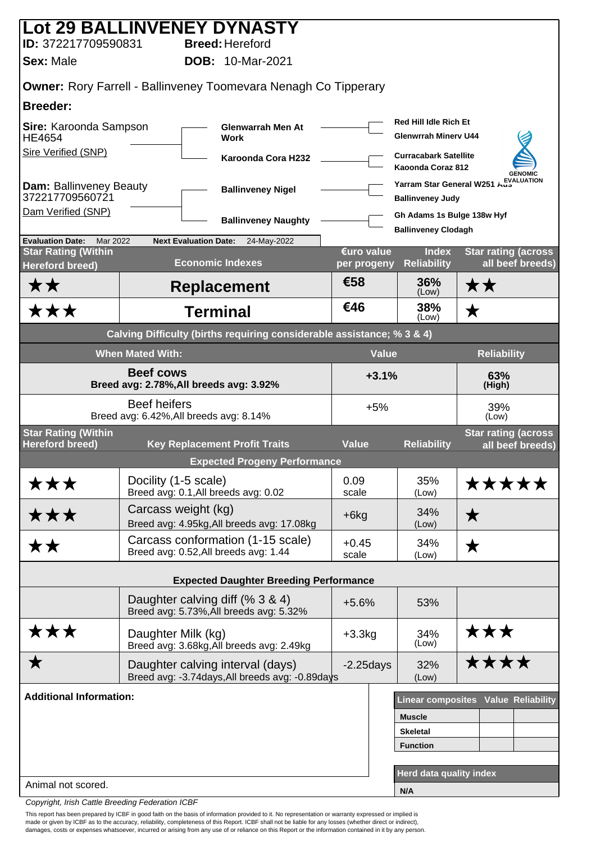| Lot 29 BALLINVENEY DYNASTY                                    |                                                                |                                                                        |                           |                                                             |                                                |  |  |
|---------------------------------------------------------------|----------------------------------------------------------------|------------------------------------------------------------------------|---------------------------|-------------------------------------------------------------|------------------------------------------------|--|--|
| ID: 372217709590831                                           |                                                                | <b>Breed: Hereford</b>                                                 |                           |                                                             |                                                |  |  |
| <b>Sex: Male</b>                                              |                                                                | <b>DOB: 10-Mar-2021</b>                                                |                           |                                                             |                                                |  |  |
|                                                               |                                                                | <b>Owner: Rory Farrell - Ballinveney Toomevara Nenagh Co Tipperary</b> |                           |                                                             |                                                |  |  |
| <b>Breeder:</b>                                               |                                                                |                                                                        |                           |                                                             |                                                |  |  |
| Sire: Karoonda Sampson<br><b>HE4654</b>                       |                                                                | <b>Glenwarrah Men At</b><br><b>Work</b>                                |                           | <b>Red Hill Idle Rich Et</b><br><b>Glenwrrah Minery U44</b> |                                                |  |  |
| Sire Verified (SNP)                                           |                                                                | Karoonda Cora H232                                                     |                           | <b>Curracabark Satellite</b><br>Kaoonda Coraz 812           | <b>GENOMIC</b>                                 |  |  |
| Dam: Ballinveney Beauty<br>372217709560721                    |                                                                | <b>Ballinveney Nigel</b>                                               |                           | <b>Ballinveney Judy</b>                                     | Yarram Star General W251 AustLUATION           |  |  |
| Dam Verified (SNP)                                            |                                                                | <b>Ballinveney Naughty</b>                                             |                           | Gh Adams 1s Bulge 138w Hyf                                  |                                                |  |  |
| <b>Evaluation Date:</b><br>Mar 2022                           | <b>Next Evaluation Date:</b>                                   | 24-May-2022                                                            |                           | <b>Ballinveney Clodagh</b>                                  |                                                |  |  |
| <b>Star Rating (Within</b><br><b>Hereford breed)</b>          |                                                                | <b>Economic Indexes</b>                                                | €uro value<br>per progeny | <b>Index</b><br><b>Reliability</b>                          | <b>Star rating (across</b><br>all beef breeds) |  |  |
| <b>**</b>                                                     |                                                                | <b>Replacement</b>                                                     | €58                       | 36%<br>(Low)                                                | ★★                                             |  |  |
| ★★★                                                           |                                                                | <b>Terminal</b>                                                        | €46                       | 38%<br>(Low)                                                | $\bigstar$                                     |  |  |
|                                                               |                                                                | Calving Difficulty (births requiring considerable assistance; % 3 & 4) |                           |                                                             |                                                |  |  |
| <b>Value</b><br><b>Reliability</b><br><b>When Mated With:</b> |                                                                |                                                                        |                           |                                                             |                                                |  |  |
| <b>Beef cows</b><br>Breed avg: 2.78%, All breeds avg: 3.92%   |                                                                |                                                                        | $+3.1%$<br>63%<br>(High)  |                                                             |                                                |  |  |
|                                                               | <b>Beef heifers</b><br>Breed avg: 6.42%, All breeds avg: 8.14% |                                                                        | $+5%$                     |                                                             | 39%<br>(Low)                                   |  |  |
| <b>Star Rating (Within</b><br><b>Hereford breed)</b>          |                                                                | <b>Key Replacement Profit Traits</b>                                   | <b>Value</b>              | <b>Reliability</b>                                          | <b>Star rating (across</b><br>all beef breeds) |  |  |
|                                                               |                                                                | <b>Expected Progeny Performance</b>                                    |                           |                                                             |                                                |  |  |
| ★★★                                                           | Docility (1-5 scale)<br>Breed avg: 0.1, All breeds avg: 0.02   |                                                                        | 0.09<br>scale             | 35%<br>(Low)                                                | *****                                          |  |  |
| ★★★                                                           | Carcass weight (kg)                                            | Breed avg: 4.95kg, All breeds avg: 17.08kg                             | $+6kg$                    | 34%<br>(Low)                                                | $\bigstar$                                     |  |  |
| <b>**</b>                                                     | Breed avg: 0.52, All breeds avg: 1.44                          | Carcass conformation (1-15 scale)                                      | $+0.45$<br>scale          | 34%<br>(Low)                                                | ★                                              |  |  |
|                                                               |                                                                | <b>Expected Daughter Breeding Performance</b>                          |                           |                                                             |                                                |  |  |
|                                                               |                                                                |                                                                        |                           |                                                             |                                                |  |  |
|                                                               | Daughter calving diff (% 3 & 4)                                | Breed avg: 5.73%, All breeds avg: 5.32%                                | $+5.6%$                   | 53%                                                         |                                                |  |  |
| ★★★                                                           | Daughter Milk (kg)                                             | Breed avg: 3.68kg, All breeds avg: 2.49kg                              | $+3.3kg$                  | 34%<br>(Low)                                                | ★★★                                            |  |  |
| ★                                                             | Daughter calving interval (days)                               | Breed avg: -3.74days, All breeds avg: -0.89days                        | $-2.25$ days              | 32%<br>(Low)                                                | ****                                           |  |  |
| <b>Additional Information:</b>                                |                                                                |                                                                        |                           |                                                             | Linear composites Value Reliability            |  |  |
|                                                               |                                                                |                                                                        |                           | <b>Muscle</b>                                               |                                                |  |  |
|                                                               |                                                                |                                                                        |                           | <b>Skeletal</b>                                             |                                                |  |  |
|                                                               |                                                                |                                                                        |                           | <b>Function</b>                                             |                                                |  |  |
|                                                               |                                                                |                                                                        |                           | Herd data quality index                                     |                                                |  |  |
| Animal not scored.                                            |                                                                |                                                                        |                           | N/A                                                         |                                                |  |  |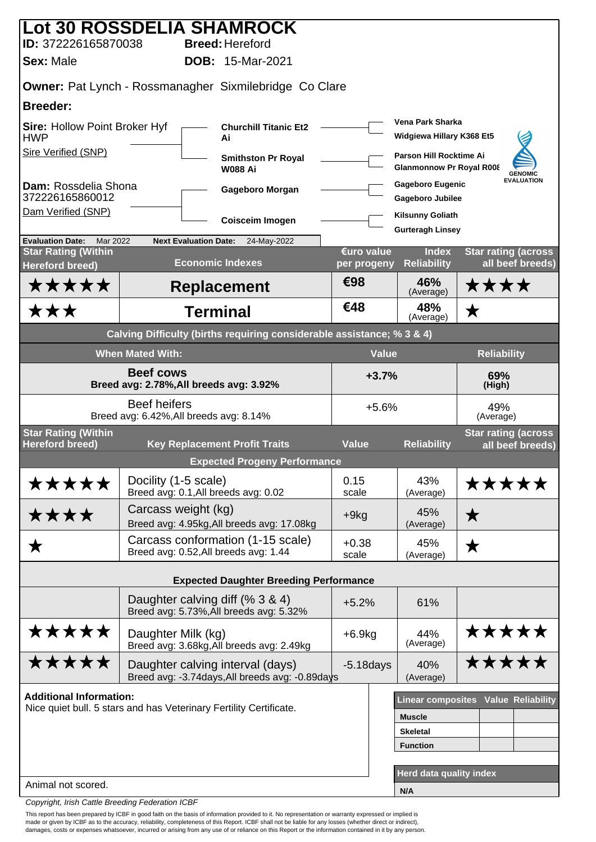|                                                             | <b>Lot 30 ROSSDELIA SHAMROCK</b>                                                    |                           |                                                            |                                                |
|-------------------------------------------------------------|-------------------------------------------------------------------------------------|---------------------------|------------------------------------------------------------|------------------------------------------------|
| ID: 372226165870038                                         | <b>Breed: Hereford</b>                                                              |                           |                                                            |                                                |
| <b>Sex: Male</b>                                            | <b>DOB: 15-Mar-2021</b>                                                             |                           |                                                            |                                                |
|                                                             | <b>Owner: Pat Lynch - Rossmanagher Sixmilebridge Co Clare</b>                       |                           |                                                            |                                                |
| <b>Breeder:</b>                                             |                                                                                     |                           |                                                            |                                                |
| <b>Sire: Hollow Point Broker Hyf</b><br><b>HWP</b>          | <b>Churchill Titanic Et2</b><br>Ai                                                  |                           | Vena Park Sharka<br>Widgiewa Hillary K368 Et5              |                                                |
| Sire Verified (SNP)                                         | <b>Smithston Pr Royal</b><br><b>W088 Ai</b>                                         |                           | Parson Hill Rocktime Ai<br><b>Glanmonnow Pr Royal R008</b> | <b>GENOMIC</b>                                 |
| Dam: Rossdelia Shona<br>372226165860012                     | Gageboro Morgan                                                                     |                           | <b>Gageboro Eugenic</b><br><b>Gageboro Jubilee</b>         | <b>EVALUATION</b>                              |
| Dam Verified (SNP)                                          | Coisceim Imogen                                                                     |                           | <b>Kilsunny Goliath</b><br><b>Gurteragh Linsey</b>         |                                                |
| <b>Evaluation Date:</b><br>Mar 2022                         | <b>Next Evaluation Date:</b><br>24-May-2022                                         |                           |                                                            |                                                |
| <b>Star Rating (Within</b><br><b>Hereford breed)</b>        | <b>Economic Indexes</b>                                                             | €uro value<br>per progeny | <b>Index</b><br><b>Reliability</b>                         | <b>Star rating (across</b><br>all beef breeds) |
| *****                                                       | <b>Replacement</b>                                                                  | €98                       | 46%<br>(Average)                                           | ****                                           |
| <b>***</b>                                                  | <b>Terminal</b>                                                                     | €48                       | 48%<br>(Average)                                           | $\bigstar$                                     |
|                                                             | Calving Difficulty (births requiring considerable assistance; % 3 & 4)              |                           |                                                            |                                                |
|                                                             | <b>When Mated With:</b>                                                             |                           | <b>Value</b>                                               | <b>Reliability</b>                             |
| <b>Beef cows</b><br>Breed avg: 2.78%, All breeds avg: 3.92% |                                                                                     |                           | $+3.7%$<br>69%<br>(High)                                   |                                                |
|                                                             | <b>Beef heifers</b><br>Breed avg: 6.42%, All breeds avg: 8.14%                      |                           | $+5.6%$                                                    | 49%<br>(Average)                               |
| <b>Star Rating (Within</b><br><b>Hereford breed)</b>        |                                                                                     | <b>Value</b>              |                                                            | <b>Star rating (across</b>                     |
|                                                             | <b>Key Replacement Profit Traits</b><br><b>Expected Progeny Performance</b>         |                           | <b>Reliability</b>                                         | all beef breeds)                               |
|                                                             | Docility (1-5 scale)                                                                | 0.15                      | 43%                                                        |                                                |
| *****                                                       | Breed avg: 0.1, All breeds avg: 0.02                                                | scale                     | (Average)                                                  | *****                                          |
| ****                                                        | Carcass weight (kg)<br>Breed avg: 4.95kg, All breeds avg: 17.08kg                   | $+9kg$                    | 45%<br>(Average)                                           | $\bigstar$                                     |
| ★                                                           | Carcass conformation (1-15 scale)<br>Breed avg: 0.52, All breeds avg: 1.44          | $+0.38$<br>scale          | 45%<br>(Average)                                           | ★                                              |
|                                                             | <b>Expected Daughter Breeding Performance</b>                                       |                           |                                                            |                                                |
|                                                             | Daughter calving diff (% 3 & 4)                                                     |                           |                                                            |                                                |
|                                                             | Breed avg: 5.73%, All breeds avg: 5.32%                                             | $+5.2%$                   | 61%                                                        |                                                |
| *****                                                       | Daughter Milk (kg)<br>Breed avg: 3.68kg, All breeds avg: 2.49kg                     | $+6.9kg$                  | 44%<br>(Average)                                           | *****                                          |
| *****                                                       | Daughter calving interval (days)<br>Breed avg: -3.74days, All breeds avg: -0.89days | $-5.18$ days              | 40%<br>(Average)                                           | *****                                          |
| <b>Additional Information:</b>                              |                                                                                     |                           |                                                            | Linear composites Value Reliability            |
|                                                             | Nice quiet bull. 5 stars and has Veterinary Fertility Certificate.                  |                           | <b>Muscle</b>                                              |                                                |
|                                                             |                                                                                     | <b>Skeletal</b>           |                                                            |                                                |
|                                                             |                                                                                     |                           | <b>Function</b>                                            |                                                |
|                                                             |                                                                                     |                           | <b>Herd data quality index</b>                             |                                                |
| Animal not scored.                                          |                                                                                     |                           | N/A                                                        |                                                |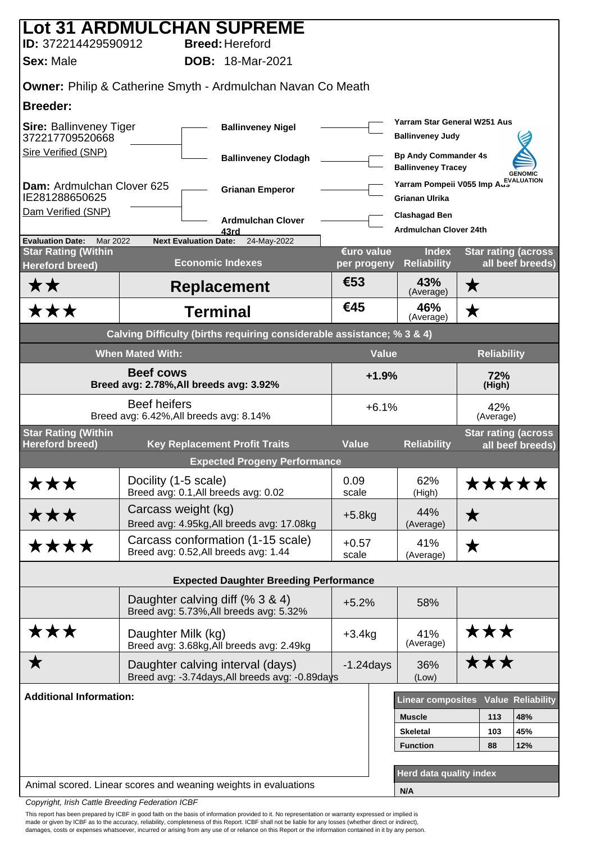|                                                                        |                         | <b>Lot 31 ARDMULCHAN SUPREME</b>                                                    |                                                                  |                                                              |                    |                                                |  |  |
|------------------------------------------------------------------------|-------------------------|-------------------------------------------------------------------------------------|------------------------------------------------------------------|--------------------------------------------------------------|--------------------|------------------------------------------------|--|--|
| ID: 372214429590912                                                    |                         | <b>Breed: Hereford</b>                                                              |                                                                  |                                                              |                    |                                                |  |  |
| <b>Sex: Male</b>                                                       |                         | <b>DOB: 18-Mar-2021</b>                                                             |                                                                  |                                                              |                    |                                                |  |  |
| <b>Owner: Philip &amp; Catherine Smyth - Ardmulchan Navan Co Meath</b> |                         |                                                                                     |                                                                  |                                                              |                    |                                                |  |  |
| <b>Breeder:</b>                                                        |                         |                                                                                     |                                                                  |                                                              |                    |                                                |  |  |
| <b>Sire: Ballinveney Tiger</b><br>372217709520668                      |                         | <b>Ballinveney Nigel</b>                                                            |                                                                  | Yarram Star General W251 Aus<br><b>Ballinveney Judy</b>      |                    |                                                |  |  |
| Sire Verified (SNP)                                                    |                         | <b>Ballinveney Clodagh</b>                                                          |                                                                  | <b>Bp Andy Commander 4s</b><br><b>Ballinveney Tracey</b>     |                    | <b>GENOMIC</b>                                 |  |  |
| Dam: Ardmulchan Clover 625<br>IE281288650625                           |                         | <b>Grianan Emperor</b>                                                              |                                                                  | Yarram Pompeii V055 Imp AuskLUATION<br><b>Grianan Ulrika</b> |                    |                                                |  |  |
| Dam Verified (SNP)                                                     |                         | <b>Ardmulchan Clover</b>                                                            |                                                                  | <b>Clashagad Ben</b><br><b>Ardmulchan Clover 24th</b>        |                    |                                                |  |  |
| <b>Evaluation Date:</b><br>Mar 2022                                    |                         | 43rd<br><b>Next Evaluation Date:</b><br>24-May-2022                                 |                                                                  |                                                              |                    |                                                |  |  |
| <b>Star Rating (Within</b><br><b>Hereford breed)</b>                   |                         | <b>Economic Indexes</b>                                                             | €uro value<br>per progeny                                        | <b>Index</b><br><b>Reliability</b>                           |                    | <b>Star rating (across</b><br>all beef breeds) |  |  |
| <b>**</b>                                                              |                         | <b>Replacement</b>                                                                  | €53                                                              | 43%<br>(Average)                                             | ★                  |                                                |  |  |
| ★★★                                                                    |                         | <b>Terminal</b>                                                                     | €45                                                              | 46%<br>(Average)                                             | ★                  |                                                |  |  |
|                                                                        |                         | Calving Difficulty (births requiring considerable assistance; % 3 & 4)              |                                                                  |                                                              |                    |                                                |  |  |
|                                                                        | <b>When Mated With:</b> |                                                                                     | <b>Value</b>                                                     |                                                              | <b>Reliability</b> |                                                |  |  |
|                                                                        | <b>Beef cows</b>        | Breed avg: 2.78%, All breeds avg: 3.92%                                             | $+1.9%$<br>72%<br>(High)                                         |                                                              |                    |                                                |  |  |
|                                                                        | <b>Beef heifers</b>     | Breed avg: 6.42%, All breeds avg: 8.14%                                             | $+6.1%$<br>42%<br>(Average)                                      |                                                              |                    |                                                |  |  |
| <b>Star Rating (Within</b><br><b>Hereford breed)</b>                   |                         | <b>Key Replacement Profit Traits</b>                                                | <b>Star rating (across</b><br><b>Value</b><br><b>Reliability</b> |                                                              | all beef breeds)   |                                                |  |  |
|                                                                        |                         | <b>Expected Progeny Performance</b>                                                 |                                                                  |                                                              |                    |                                                |  |  |
| ★★★                                                                    | Docility (1-5 scale)    | Breed avg: 0.1, All breeds avg: 0.02                                                | 0.09<br>scale                                                    | 62%<br>(High)                                                | *****              |                                                |  |  |
| ★★★                                                                    |                         | Carcass weight (kg)<br>Breed avg: 4.95kg, All breeds avg: 17.08kg                   | $+5.8$ kg                                                        | 44%<br>(Average)                                             | ★                  |                                                |  |  |
| ****                                                                   |                         | Carcass conformation (1-15 scale)<br>Breed avg: 0.52, All breeds avg: 1.44          | $+0.57$<br>scale                                                 | 41%<br>(Average)                                             | ★                  |                                                |  |  |
|                                                                        |                         | <b>Expected Daughter Breeding Performance</b>                                       |                                                                  |                                                              |                    |                                                |  |  |
|                                                                        |                         | Daughter calving diff (% 3 & 4)<br>Breed avg: 5.73%, All breeds avg: 5.32%          | $+5.2%$                                                          | 58%                                                          |                    |                                                |  |  |
| ★★★                                                                    | Daughter Milk (kg)      | Breed avg: 3.68kg, All breeds avg: 2.49kg                                           | $+3.4kg$                                                         | 41%<br>(Average)                                             | ★★★                |                                                |  |  |
| ★                                                                      |                         | Daughter calving interval (days)<br>Breed avg: -3.74days, All breeds avg: -0.89days | $-1.24$ days                                                     | 36%<br>(Low)                                                 | ★★★                |                                                |  |  |
| <b>Additional Information:</b>                                         |                         |                                                                                     |                                                                  | <b>Linear composites</b>                                     |                    | <b>Value Reliability</b>                       |  |  |
|                                                                        |                         |                                                                                     |                                                                  | <b>Muscle</b>                                                | 113                | 48%                                            |  |  |
|                                                                        |                         |                                                                                     |                                                                  | <b>Skeletal</b>                                              | 103                | 45%                                            |  |  |
|                                                                        |                         |                                                                                     |                                                                  | <b>Function</b>                                              | 88                 | 12%                                            |  |  |
|                                                                        |                         |                                                                                     |                                                                  |                                                              |                    |                                                |  |  |
|                                                                        |                         | Animal scored. Linear scores and weaning weights in evaluations                     |                                                                  | <b>Herd data quality index</b>                               |                    |                                                |  |  |
| Convright, Irish Cattle Breeding Federation ICBE                       |                         |                                                                                     |                                                                  | N/A                                                          |                    |                                                |  |  |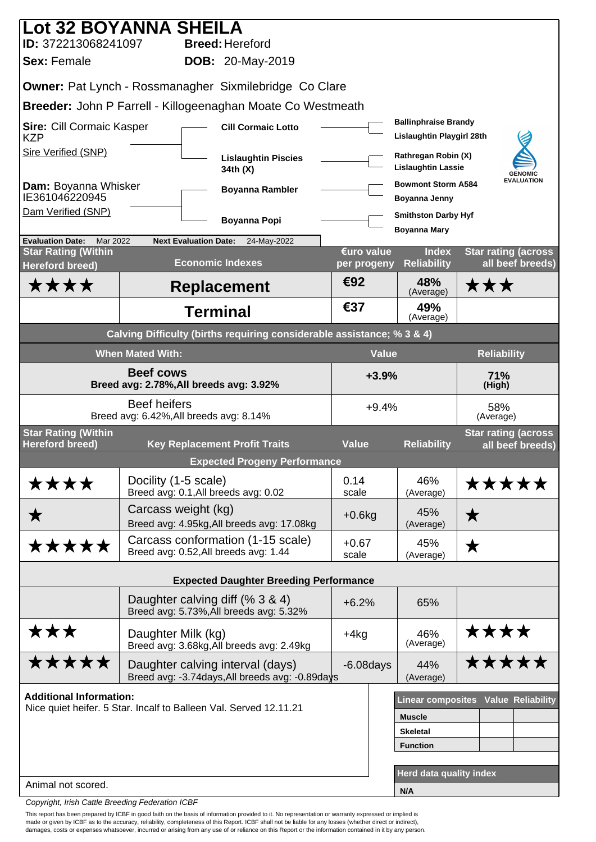| Lot 32 BOYANNA SHEILA                                       |                                                                   |                                                                        |                           |                                                          |                                                |
|-------------------------------------------------------------|-------------------------------------------------------------------|------------------------------------------------------------------------|---------------------------|----------------------------------------------------------|------------------------------------------------|
| ID: 372213068241097                                         |                                                                   | <b>Breed: Hereford</b>                                                 |                           |                                                          |                                                |
| <b>Sex: Female</b>                                          |                                                                   | <b>DOB: 20-May-2019</b>                                                |                           |                                                          |                                                |
|                                                             |                                                                   | <b>Owner: Pat Lynch - Rossmanagher Sixmilebridge Co Clare</b>          |                           |                                                          |                                                |
|                                                             |                                                                   | Breeder: John P Farrell - Killogeenaghan Moate Co Westmeath            |                           |                                                          |                                                |
| <b>Sire: Cill Cormaic Kasper</b><br><b>KZP</b>              |                                                                   | <b>Cill Cormaic Lotto</b>                                              |                           | <b>Ballinphraise Brandy</b><br>Lislaughtin Playgirl 28th |                                                |
| Sire Verified (SNP)                                         |                                                                   | <b>Lislaughtin Piscies</b><br>34th (X)                                 |                           | Rathregan Robin (X)<br><b>Lislaughtin Lassie</b>         | <b>GENOMIC</b>                                 |
| Dam: Boyanna Whisker<br>IE361046220945                      |                                                                   | <b>Boyanna Rambler</b>                                                 |                           | <b>Bowmont Storm A584</b><br>Boyanna Jenny               | <b>EVALUATION</b>                              |
| Dam Verified (SNP)                                          |                                                                   | Boyanna Popi                                                           |                           | <b>Smithston Darby Hyf</b>                               |                                                |
| <b>Evaluation Date:</b><br>Mar 2022                         | <b>Next Evaluation Date:</b>                                      | 24-May-2022                                                            |                           | <b>Boyanna Mary</b>                                      |                                                |
| <b>Star Rating (Within</b><br><b>Hereford breed)</b>        |                                                                   | <b>Economic Indexes</b>                                                | €uro value<br>per progeny | <b>Index</b><br><b>Reliability</b>                       | <b>Star rating (across</b><br>all beef breeds) |
| ****                                                        |                                                                   | <b>Replacement</b>                                                     | €92                       | 48%<br>(Average)                                         | ★★★                                            |
|                                                             |                                                                   | <b>Terminal</b>                                                        | €37                       | 49%<br>(Average)                                         |                                                |
|                                                             |                                                                   | Calving Difficulty (births requiring considerable assistance; % 3 & 4) |                           |                                                          |                                                |
|                                                             | <b>When Mated With:</b>                                           |                                                                        |                           | <b>Value</b>                                             | <b>Reliability</b>                             |
| <b>Beef cows</b><br>Breed avg: 2.78%, All breeds avg: 3.92% |                                                                   |                                                                        | $+3.9%$<br>71%<br>(High)  |                                                          |                                                |
|                                                             | <b>Beef heifers</b><br>Breed avg: 6.42%, All breeds avg: 8.14%    |                                                                        | $+9.4%$                   |                                                          | 58%<br>(Average)                               |
| <b>Star Rating (Within</b><br><b>Hereford breed)</b>        |                                                                   | <b>Key Replacement Profit Traits</b>                                   | <b>Value</b>              | <b>Reliability</b>                                       | <b>Star rating (across</b><br>all beef breeds) |
|                                                             |                                                                   | <b>Expected Progeny Performance</b>                                    |                           |                                                          |                                                |
| ****                                                        | Docility (1-5 scale)<br>Breed avg: 0.1, All breeds avg: 0.02      |                                                                        | 0.14<br>scale             | 46%<br>(Average)                                         | *****                                          |
| ★                                                           | Carcass weight (kg)                                               | Breed avg: 4.95kg, All breeds avg: 17.08kg                             | $+0.6$ kg                 | 45%<br>(Average)                                         | $\bigstar$                                     |
| *****                                                       | Breed avg: 0.52, All breeds avg: 1.44                             | Carcass conformation (1-15 scale)                                      | $+0.67$<br>scale          | 45%                                                      | ★                                              |
|                                                             |                                                                   |                                                                        |                           | (Average)                                                |                                                |
|                                                             |                                                                   | <b>Expected Daughter Breeding Performance</b>                          |                           |                                                          |                                                |
|                                                             | Daughter calving diff (% 3 & 4)                                   | Breed avg: 5.73%, All breeds avg: 5.32%                                | $+6.2%$                   | 65%                                                      |                                                |
| ★★★                                                         | Daughter Milk (kg)                                                | Breed avg: 3.68kg, All breeds avg: 2.49kg                              | $+4kg$                    | 46%<br>(Average)                                         | ****                                           |
| <b>*****</b>                                                | Daughter calving interval (days)                                  | Breed avg: -3.74days, All breeds avg: -0.89days                        | $-6.08$ days              | 44%<br>(Average)                                         | <b>*****</b>                                   |
| <b>Additional Information:</b>                              |                                                                   |                                                                        |                           |                                                          | Linear composites Value Reliability            |
|                                                             | Nice quiet heifer. 5 Star. Incalf to Balleen Val. Served 12.11.21 |                                                                        |                           | <b>Muscle</b>                                            |                                                |
|                                                             |                                                                   |                                                                        |                           | <b>Skeletal</b>                                          |                                                |
|                                                             |                                                                   |                                                                        |                           | <b>Function</b>                                          |                                                |
| Animal not scored.                                          |                                                                   |                                                                        |                           | <b>Herd data quality index</b>                           |                                                |
|                                                             |                                                                   |                                                                        |                           | N/A                                                      |                                                |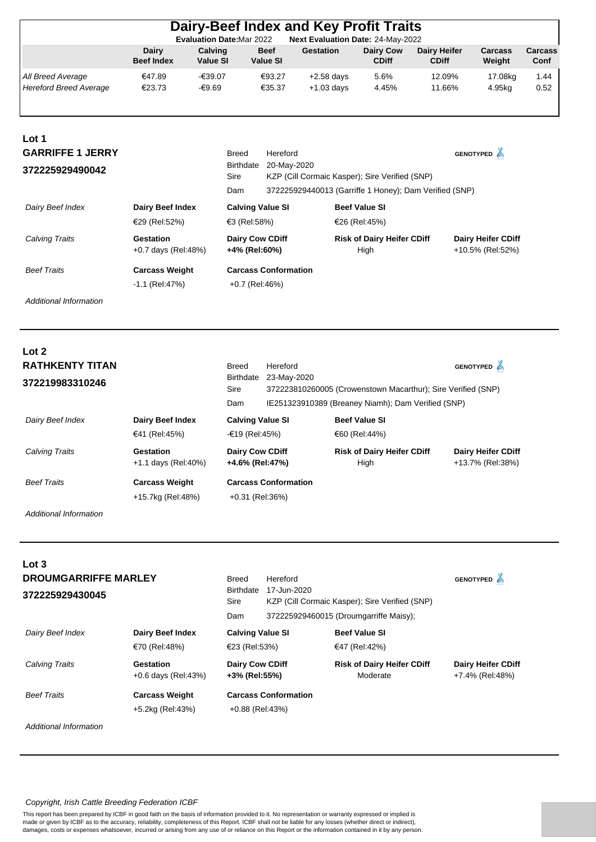|                                                    |                                          |                            | <b>Evaluation Date: Mar 2022</b>        | Dairy-Beef Index and Key Profit Traits<br>Next Evaluation Date: 24-May-2022                              |                                           |                                     |                                               |                 |
|----------------------------------------------------|------------------------------------------|----------------------------|-----------------------------------------|----------------------------------------------------------------------------------------------------------|-------------------------------------------|-------------------------------------|-----------------------------------------------|-----------------|
|                                                    | <b>Dairy</b><br><b>Beef Index</b>        | Calving<br><b>Value SI</b> | <b>Beef</b><br><b>Value SI</b>          | <b>Gestation</b>                                                                                         | Dairy Cow<br><b>CDiff</b>                 | <b>Dairy Heifer</b><br><b>CDiff</b> | Carcass<br>Weight                             | Carcass<br>Conf |
| All Breed Average<br><b>Hereford Breed Average</b> | €47.89<br>€23.73                         | $-639.07$<br>-€9.69        | €93.27<br>€35.37                        | $+2.58$ days<br>$+1.03$ days                                                                             | 5.6%<br>4.45%                             | 12.09%<br>11.66%                    | 17.08kg<br>4.95kg                             | 1.44<br>0.52    |
| Lot 1<br><b>GARRIFFE 1 JERRY</b>                   |                                          |                            | <b>Breed</b><br>Hereford                |                                                                                                          |                                           |                                     | GENOTYPED A                                   |                 |
| 372225929490042                                    |                                          | Sire                       | 20-May-2020<br>Birthdate<br>Dam         | KZP (Cill Cormaic Kasper); Sire Verified (SNP)<br>372225929440013 (Garriffe 1 Honey); Dam Verified (SNP) |                                           |                                     |                                               |                 |
| Dairy Beef Index                                   | <b>Dairy Beef Index</b><br>€29 (Rel:52%) |                            | <b>Calving Value SI</b><br>€3 (Rel:58%) |                                                                                                          | <b>Beef Value SI</b><br>€26 (Rel:45%)     |                                     |                                               |                 |
| <b>Calving Traits</b>                              | Gestation<br>$+0.7$ days (Rel:48%)       |                            | Dairy Cow CDiff<br>+4% (Rel:60%)        |                                                                                                          | <b>Risk of Dairy Heifer CDiff</b><br>High |                                     | <b>Dairy Heifer CDiff</b><br>+10.5% (Rel:52%) |                 |

| <b>Beef Traits</b> | <b>Carcass Weight</b> | <b>Carcass Conformation</b> |
|--------------------|-----------------------|-----------------------------|
|                    | -1.1 (Rel:47%)        | +0.7 (Rel:46%)              |

**Lot** 2

| LVL 4<br><b>RATHKENTY TITAN</b><br>372219983310246 |                                            | <b>Breed</b><br><b>Birthdate</b><br>Sire<br>Dam | Hereford<br>23-May-2020     | 372223810260005 (Crowenstown Macarthur); Sire Verified (SNP)<br>IE251323910389 (Breaney Niamh); Dam Verified (SNP) | <b>GENOTYPED</b>                              |
|----------------------------------------------------|--------------------------------------------|-------------------------------------------------|-----------------------------|--------------------------------------------------------------------------------------------------------------------|-----------------------------------------------|
| Dairy Beef Index                                   | Dairy Beef Index<br>€41 (Rel:45%)          | <b>Calving Value SI</b><br>-€19 (Rel:45%)       |                             | <b>Beef Value SI</b><br>€60 (Rel:44%)                                                                              |                                               |
| Calving Traits                                     | Gestation<br>$+1.1$ days (Rel:40%)         | <b>Dairy Cow CDiff</b><br>+4.6% (Rel:47%)       |                             | <b>Risk of Dairy Heifer CDiff</b><br>High                                                                          | <b>Dairy Heifer CDiff</b><br>+13.7% (Rel:38%) |
| <b>Beef Traits</b>                                 | <b>Carcass Weight</b><br>+15.7kg (Rel:48%) | $+0.31$ (Rel:36%)                               | <b>Carcass Conformation</b> |                                                                                                                    |                                               |

*Additional Information*

| Lot <sub>3</sub>            |                                    |                                         |                             |                                                                                          |                                              |  |
|-----------------------------|------------------------------------|-----------------------------------------|-----------------------------|------------------------------------------------------------------------------------------|----------------------------------------------|--|
| <b>DROUMGARRIFFE MARLEY</b> |                                    | <b>Breed</b>                            | Hereford                    |                                                                                          |                                              |  |
| 372225929430045             |                                    | <b>Birthdate</b><br>Sire<br>Dam         | 17-Jun-2020                 | KZP (Cill Cormaic Kasper); Sire Verified (SNP)<br>372225929460015 (Droumgarriffe Maisy); |                                              |  |
| Dairy Beef Index            | Dairy Beef Index                   | <b>Calving Value SI</b>                 | <b>Beef Value SI</b>        |                                                                                          |                                              |  |
|                             | €70 (Rel:48%)                      | €23 (Rel:53%)                           | €47 (Rel:42%)               |                                                                                          |                                              |  |
| <b>Calving Traits</b>       | Gestation<br>$+0.6$ days (Rel:43%) | <b>Dairy Cow CDiff</b><br>+3% (Rel:55%) |                             | <b>Risk of Dairy Heifer CDiff</b><br>Moderate                                            | <b>Dairy Heifer CDiff</b><br>+7.4% (Rel:48%) |  |
| <b>Beef Traits</b>          | <b>Carcass Weight</b>              |                                         | <b>Carcass Conformation</b> |                                                                                          |                                              |  |
|                             | +5.2kg (Rel:43%)                   | $+0.88$ (Rel:43%)                       |                             |                                                                                          |                                              |  |

*Additional Information*

## *Copyright, Irish Cattle Breeding Federation ICBF*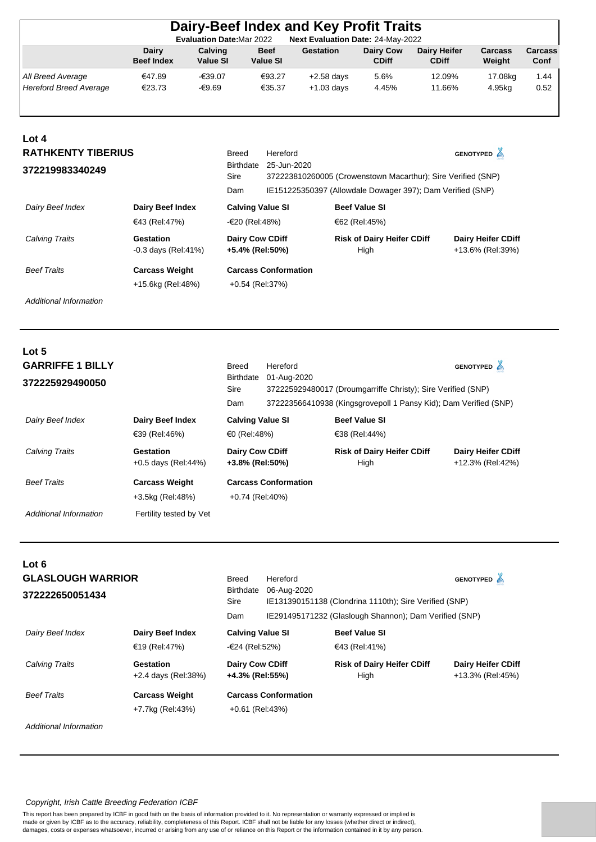| Dairy-Beef Index and Key Profit Traits                                |                            |                     |                                |                  |                                  |                                     |                          |                 |  |
|-----------------------------------------------------------------------|----------------------------|---------------------|--------------------------------|------------------|----------------------------------|-------------------------------------|--------------------------|-----------------|--|
| Next Evaluation Date: 24-May-2022<br><b>Evaluation Date: Mar 2022</b> |                            |                     |                                |                  |                                  |                                     |                          |                 |  |
|                                                                       | Dairy<br><b>Beef Index</b> | Calving<br>Value SI | <b>Beef</b><br><b>Value SI</b> | <b>Gestation</b> | <b>Dairy Cow</b><br><b>CDiff</b> | <b>Dairy Heifer</b><br><b>CDiff</b> | <b>Carcass</b><br>Weight | Carcass<br>Conf |  |
| All Breed Average                                                     | €47.89                     | -€39.07             | €93.27                         | $+2.58$ days     | 5.6%                             | 12.09%                              | 17.08kg                  | 1.44            |  |
| Hereford Breed Average                                                | €23.73                     | -€9.69              | €35.37                         | $+1.03$ days     | 4.45%                            | 11.66%                              | 4.95kg                   | 0.52            |  |
|                                                                       |                            |                     |                                |                  |                                  |                                     |                          |                 |  |

| Lot 4                     |                                     |                                           |                                                                             |                                                            |                                               |  |  |
|---------------------------|-------------------------------------|-------------------------------------------|-----------------------------------------------------------------------------|------------------------------------------------------------|-----------------------------------------------|--|--|
| <b>RATHKENTY TIBERIUS</b> |                                     | Breed                                     | Hereford                                                                    |                                                            | <b>GENOTYPED</b> A                            |  |  |
| 372219983340249           |                                     | <b>Birthdate</b><br>Sire                  | 25-Jun-2020<br>372223810260005 (Crowenstown Macarthur); Sire Verified (SNP) |                                                            |                                               |  |  |
|                           |                                     | Dam                                       |                                                                             | IE151225350397 (Allowdale Dowager 397); Dam Verified (SNP) |                                               |  |  |
| Dairy Beef Index          | <b>Dairy Beef Index</b>             | <b>Calving Value SI</b>                   |                                                                             | <b>Beef Value SI</b>                                       |                                               |  |  |
|                           | €43 (Rel:47%)                       | -€20 (Rel:48%)                            |                                                                             | €62 (Rel:45%)                                              |                                               |  |  |
| Calving Traits            | Gestation<br>$-0.3$ days (Rel: 41%) | <b>Dairy Cow CDiff</b><br>+5.4% (Rel:50%) |                                                                             | <b>Risk of Dairy Heifer CDiff</b><br>High                  | <b>Dairy Heifer CDiff</b><br>+13.6% (Rel:39%) |  |  |
| <b>Beef Traits</b>        | <b>Carcass Weight</b>               |                                           | <b>Carcass Conformation</b>                                                 |                                                            |                                               |  |  |
|                           | +15.6kg (Rel:48%)                   | +0.54 (Rel:37%)                           |                                                                             |                                                            |                                               |  |  |

| Lot 5<br><b>GARRIFFE 1 BILLY</b><br>372225929490050 |                                           | <b>Breed</b><br>Birthdate<br>Sire<br>Dam  | Hereford<br>01-Aug-2020     | 372225929480017 (Droumgarriffe Christy); Sire Verified (SNP)<br>372223566410938 (Kingsgrovepoll 1 Pansy Kid); Dam Verified (SNP) | GENOTYPED A                                   |  |
|-----------------------------------------------------|-------------------------------------------|-------------------------------------------|-----------------------------|----------------------------------------------------------------------------------------------------------------------------------|-----------------------------------------------|--|
| Dairy Beef Index                                    | Dairy Beef Index<br>€39 (Rel:46%)         | <b>Calving Value SI</b><br>€0 (Rel:48%)   |                             | <b>Beef Value SI</b><br>€38 (Rel:44%)                                                                                            |                                               |  |
| Calving Traits                                      | Gestation<br>$+0.5$ days (Rel:44%)        | <b>Dairy Cow CDiff</b><br>+3.8% (Rel:50%) |                             | <b>Risk of Dairy Heifer CDiff</b><br>High                                                                                        | <b>Dairy Heifer CDiff</b><br>+12.3% (Rel:42%) |  |
| <b>Beef Traits</b>                                  | <b>Carcass Weight</b><br>+3.5kg (Rel:48%) | $+0.74$ (Rel:40%)                         | <b>Carcass Conformation</b> |                                                                                                                                  |                                               |  |
| Additional Information                              | Fertility tested by Vet                   |                                           |                             |                                                                                                                                  |                                               |  |

| <b>GLASLOUGH WARRIOR</b>         | <b>Breed</b>     | Hereford                                               |                                                                                                                            | GENOTYPED A                                                                           |  |  |  |
|----------------------------------|------------------|--------------------------------------------------------|----------------------------------------------------------------------------------------------------------------------------|---------------------------------------------------------------------------------------|--|--|--|
|                                  | <b>Birthdate</b> |                                                        |                                                                                                                            |                                                                                       |  |  |  |
|                                  | Sire             | IE131390151138 (Clondrina 1110th); Sire Verified (SNP) |                                                                                                                            |                                                                                       |  |  |  |
|                                  | Dam              |                                                        |                                                                                                                            |                                                                                       |  |  |  |
| <b>Dairy Beef Index</b>          |                  | <b>Beef Value SI</b>                                   |                                                                                                                            |                                                                                       |  |  |  |
| €19 (Rel:47%)                    |                  | €43 (Rel:41%)                                          |                                                                                                                            |                                                                                       |  |  |  |
| Gestation<br>+2.4 days (Rel:38%) |                  |                                                        | <b>Risk of Dairy Heifer CDiff</b><br>High                                                                                  | <b>Dairy Heifer CDiff</b><br>+13.3% (Rel:45%)                                         |  |  |  |
| <b>Carcass Weight</b>            |                  |                                                        |                                                                                                                            |                                                                                       |  |  |  |
| +7.7kg (Rel:43%)                 |                  |                                                        |                                                                                                                            |                                                                                       |  |  |  |
|                                  |                  |                                                        | 06-Aug-2020<br><b>Calving Value SI</b><br>-€24 (Rel:52%)<br><b>Dairy Cow CDiff</b><br>+4.3% (Rel:55%)<br>$+0.61$ (Rel:43%) | IE291495171232 (Glaslough Shannon); Dam Verified (SNP)<br><b>Carcass Conformation</b> |  |  |  |

*Additional Information*

## *Copyright, Irish Cattle Breeding Federation ICBF*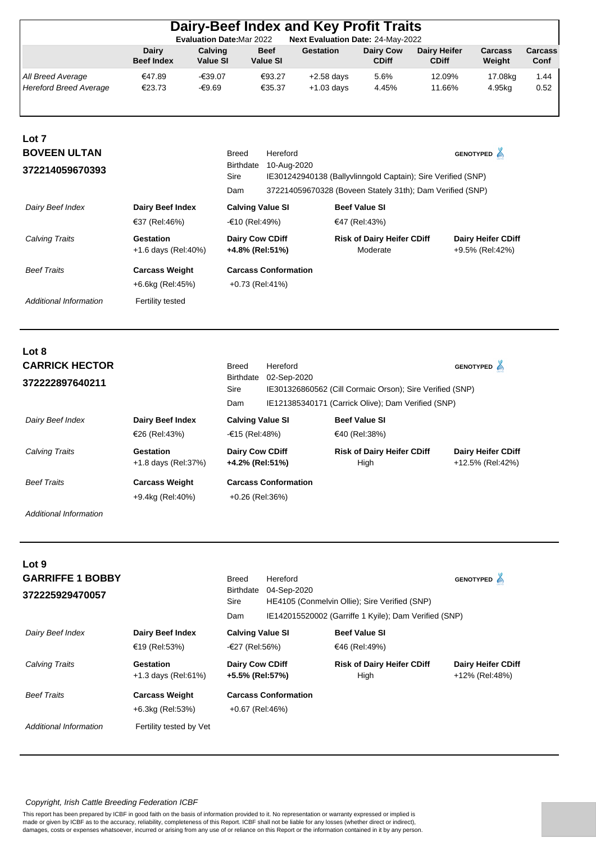|                                                    |                                           | <b>Evaluation Date:Mar 2022</b> |                                                | Dairy-Beef Index and Key Profit Traits<br>Next Evaluation Date: 24-May-2022 |                                               |                                                                                                                           |                                              |                 |
|----------------------------------------------------|-------------------------------------------|---------------------------------|------------------------------------------------|-----------------------------------------------------------------------------|-----------------------------------------------|---------------------------------------------------------------------------------------------------------------------------|----------------------------------------------|-----------------|
|                                                    | Dairy<br><b>Beef Index</b>                | Calving<br>Value SI             | <b>Beef</b><br>Value SI                        | <b>Gestation</b>                                                            | <b>Dairy Cow</b><br><b>CDiff</b>              | <b>Dairy Heifer</b><br><b>CDiff</b>                                                                                       | <b>Carcass</b><br>Weight                     | Carcass<br>Conf |
| All Breed Average<br><b>Hereford Breed Average</b> | €47.89<br>€23.73                          | -€39.07<br>$-69.69$             | €93.27<br>€35.37                               | $+2.58$ days<br>$+1.03$ days                                                | 5.6%<br>4.45%                                 | 12.09%<br>11.66%                                                                                                          | 17.08kg<br>4.95kg                            | 1.44<br>0.52    |
| Lot 7<br><b>BOVEEN ULTAN</b><br>372214059670393    |                                           | <b>Breed</b><br>Sire<br>Dam     | Hereford<br>Birthdate<br>10-Aug-2020           |                                                                             |                                               | IE301242940138 (Ballyvlinngold Captain); Sire Verified (SNP)<br>372214059670328 (Boveen Stately 31th); Dam Verified (SNP) | <b>GENOTYPED</b>                             |                 |
| Dairy Beef Index                                   | <b>Dairy Beef Index</b><br>€37 (Rel:46%)  |                                 | <b>Calving Value SI</b><br>-€10 (Rel:49%)      |                                                                             | <b>Beef Value SI</b><br>€47 (Rel:43%)         |                                                                                                                           |                                              |                 |
| <b>Calving Traits</b>                              | <b>Gestation</b><br>+1.6 days (Rel:40%)   |                                 | Dairy Cow CDiff<br>+4.8% (Rel:51%)             |                                                                             | <b>Risk of Dairy Heifer CDiff</b><br>Moderate |                                                                                                                           | <b>Dairy Heifer CDiff</b><br>+9.5% (Rel:42%) |                 |
| <b>Beef Traits</b>                                 | <b>Carcass Weight</b><br>+6.6kg (Rel:45%) |                                 | <b>Carcass Conformation</b><br>+0.73 (Rel:41%) |                                                                             |                                               |                                                                                                                           |                                              |                 |
| Additional Information                             | Fertility tested                          |                                 |                                                |                                                                             |                                               |                                                                                                                           |                                              |                 |

# **Lot 8 372222897640211** 02-Sep-2020 **CARRICK HECTOR**

|                    |                                           | Sire                                      |                                                | IE301326860562 (Cill Cormaic Orson); Sire Verified (SNP) |                                               |  |  |
|--------------------|-------------------------------------------|-------------------------------------------|------------------------------------------------|----------------------------------------------------------|-----------------------------------------------|--|--|
|                    |                                           | Dam                                       |                                                | IE121385340171 (Carrick Olive); Dam Verified (SNP)       |                                               |  |  |
| Dairy Beef Index   | Dairy Beef Index                          | <b>Calving Value SI</b><br>-€15 (Rel:48%) |                                                | <b>Beef Value SI</b>                                     |                                               |  |  |
|                    | €26 (Rel:43%)                             |                                           |                                                | €40 (Rel:38%)                                            |                                               |  |  |
| Calving Traits     | Gestation<br>$+1.8$ days (Rel: 37%)       |                                           | <b>Dairy Cow CDiff</b><br>+4.2% (Rel:51%)      | <b>Risk of Dairy Heifer CDiff</b><br>High                | <b>Dairy Heifer CDiff</b><br>+12.5% (Rel:42%) |  |  |
| <b>Beef Traits</b> | <b>Carcass Weight</b><br>+9.4kg (Rel:40%) |                                           | <b>Carcass Conformation</b><br>+0.26 (Rel:36%) |                                                          |                                               |  |  |

Hereford

Birthdate 02-Sep-2020

**GENOTYPED**

Breed

*Additional Information*

| Lot 9<br><b>GARRIFFE 1 BOBBY</b><br>372225929470057 |                                                   | <b>Breed</b><br>Birthdate<br>Sire<br>Dam             | Hereford<br>04-Sep-2020<br>HE4105 (Conmelvin Ollie); Sire Verified (SNP)<br>IE142015520002 (Garriffe 1 Kyile); Dam Verified (SNP) | <b>GENOTYPED</b>                                           |                                             |
|-----------------------------------------------------|---------------------------------------------------|------------------------------------------------------|-----------------------------------------------------------------------------------------------------------------------------------|------------------------------------------------------------|---------------------------------------------|
| Dairy Beef Index                                    | Dairy Beef Index                                  | <b>Calving Value SI</b>                              |                                                                                                                                   | <b>Beef Value SI</b>                                       |                                             |
| <b>Calving Traits</b>                               | €19 (Rel:53%)<br>Gestation<br>+1.3 days (Rel:61%) | -€27 (Rel:56%)<br>Dairy Cow CDiff<br>+5.5% (Rel:57%) |                                                                                                                                   | €46 (Rel:49%)<br><b>Risk of Dairy Heifer CDiff</b><br>High | <b>Dairy Heifer CDiff</b><br>+12% (Rel:48%) |
| <b>Beef Traits</b>                                  | <b>Carcass Weight</b><br>+6.3kg (Rel:53%)         | +0.67 (Rel:46%)                                      | <b>Carcass Conformation</b>                                                                                                       |                                                            |                                             |
| Additional Information                              | Fertility tested by Vet                           |                                                      |                                                                                                                                   |                                                            |                                             |

## *Copyright, Irish Cattle Breeding Federation ICBF*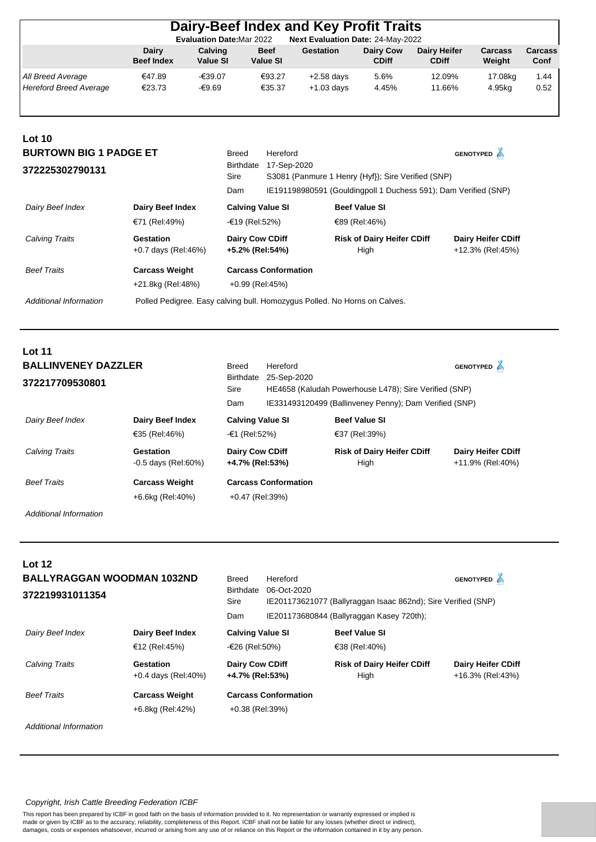|                                                            |                                   |                            | Dairy-Beef Index and Key Profit Traits                              |                                                                 |                                           |                                     |                                               |                 |
|------------------------------------------------------------|-----------------------------------|----------------------------|---------------------------------------------------------------------|-----------------------------------------------------------------|-------------------------------------------|-------------------------------------|-----------------------------------------------|-----------------|
|                                                            | <b>Dairy</b><br><b>Beef Index</b> | Calving<br><b>Value SI</b> | <b>Evaluation Date: Mar 2022</b><br><b>Beef</b><br><b>Value SI</b>  | Next Evaluation Date: 24-May-2022<br><b>Gestation</b>           | <b>Dairy Cow</b><br><b>CDiff</b>          | <b>Dairy Heifer</b><br><b>CDiff</b> | Carcass<br>Weight                             | Carcass<br>Conf |
| All Breed Average<br><b>Hereford Breed Average</b>         | €47.89<br>€23.73                  | -€39.07<br>-€9.69          | €93.27<br>€35.37                                                    | $+2.58$ days<br>$+1.03$ days                                    | 5.6%<br>4.45%                             | 12.09%<br>11.66%                    | 17.08kg<br>4.95kg                             | 1.44<br>0.52    |
| Lot 10<br><b>BURTOWN BIG 1 PADGE ET</b><br>372225302790131 |                                   |                            | <b>Breed</b><br>Hereford<br>17-Sep-2020<br><b>Birthdate</b><br>Sire | S3081 (Panmure 1 Henry {Hyf}); Sire Verified (SNP)              |                                           |                                     | <b>GENOTYPED</b>                              |                 |
|                                                            |                                   |                            | Dam                                                                 | IE191198980591 (Gouldingpoll 1 Duchess 591); Dam Verified (SNP) |                                           |                                     |                                               |                 |
| Dairy Beef Index                                           | Dairy Beef Index<br>€71 (Rel:49%) |                            | <b>Calving Value SI</b><br>-€19 (Rel:52%)                           |                                                                 | <b>Beef Value SI</b><br>€89 (Rel:46%)     |                                     |                                               |                 |
| Calving Traits                                             | Gestation<br>+0.7 days (Rel:46%)  |                            | Dairy Cow CDiff<br>+5.2% (Rel:54%)                                  |                                                                 | <b>Risk of Dairy Heifer CDiff</b><br>High |                                     | <b>Dairy Heifer CDiff</b><br>+12.3% (Rel:45%) |                 |
| <b>Beef Traits</b>                                         | <b>Carcass Weight</b>             |                            | <b>Carcass Conformation</b>                                         |                                                                 |                                           |                                     |                                               |                 |
|                                                            | +21.8kg (Rel:48%)                 |                            | +0.99 (Rel:45%)                                                     |                                                                 |                                           |                                     |                                               |                 |

*Additional Information* Polled Pedigree. Easy calving bull. Homozygus Polled. No Horns on Calves.

| <b>Lot 11</b>                               |                                    |                                           |                                                                      |                                                        |                                               |
|---------------------------------------------|------------------------------------|-------------------------------------------|----------------------------------------------------------------------|--------------------------------------------------------|-----------------------------------------------|
| <b>BALLINVENEY DAZZLER</b>                  |                                    | Breed                                     | Hereford                                                             |                                                        | <b>GENOTYPED</b>                              |
| 372217709530801                             |                                    | Birthdate<br>Sire                         | 25-Sep-2020<br>HE4658 (Kaludah Powerhouse L478); Sire Verified (SNP) |                                                        |                                               |
|                                             |                                    | Dam                                       |                                                                      | IE331493120499 (Ballinveney Penny); Dam Verified (SNP) |                                               |
| <b>Dairy Beef Index</b><br>Dairy Beef Index |                                    | <b>Calving Value SI</b>                   |                                                                      | <b>Beef Value SI</b>                                   |                                               |
|                                             | €35 (Rel:46%)                      | $-61$ (Rel:52%)                           |                                                                      | €37 (Rel:39%)                                          |                                               |
| Calving Traits                              | Gestation<br>$-0.5$ days (Rel:60%) | <b>Dairy Cow CDiff</b><br>+4.7% (Rel:53%) |                                                                      | <b>Risk of Dairy Heifer CDiff</b><br>High              | <b>Dairy Heifer CDiff</b><br>+11.9% (Rel:40%) |
| <b>Beef Traits</b>                          | <b>Carcass Weight</b>              |                                           | <b>Carcass Conformation</b>                                          |                                                        |                                               |
|                                             | +6.6kg (Rel:40%)                   | $+0.47$ (Rel:39%)                         |                                                                      |                                                        |                                               |

*Additional Information*

| Lot 12<br><b>BALLYRAGGAN WOODMAN 1032ND</b><br>372219931011354 |                                           | Breed<br><b>Birthdate</b><br>Sire         | Hereford<br>06-Oct-2020     | IE201173621077 (Ballyraggan Isaac 862nd); Sire Verified (SNP) |                                               |  |
|----------------------------------------------------------------|-------------------------------------------|-------------------------------------------|-----------------------------|---------------------------------------------------------------|-----------------------------------------------|--|
|                                                                |                                           | Dam                                       |                             | IE201173680844 (Ballyraggan Kasey 720th);                     |                                               |  |
| Dairy Beef Index                                               | Dairy Beef Index<br>€12 (Rel:45%)         | <b>Calving Value SI</b><br>-€26 (Rel:50%) |                             | <b>Beef Value SI</b><br>€38 (Rel:40%)                         |                                               |  |
| <b>Calving Traits</b>                                          | Gestation<br>$+0.4$ days (Rel:40%)        | <b>Dairy Cow CDiff</b><br>+4.7% (Rel:53%) |                             | <b>Risk of Dairy Heifer CDiff</b><br>High                     | <b>Dairy Heifer CDiff</b><br>+16.3% (Rel:43%) |  |
| <b>Beef Traits</b>                                             | <b>Carcass Weight</b><br>+6.8kg (Rel:42%) | +0.38 (Rel:39%)                           | <b>Carcass Conformation</b> |                                                               |                                               |  |

*Additional Information*

## *Copyright, Irish Cattle Breeding Federation ICBF*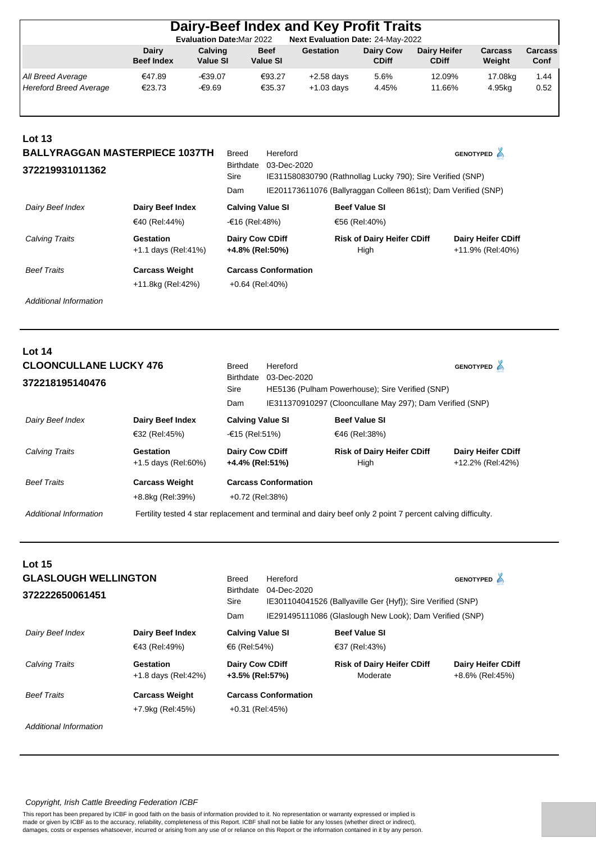| Dairy-Beef Index and Key Profit Traits                                |                            |                            |                                |                              |                           |                                     |                   |                 |  |
|-----------------------------------------------------------------------|----------------------------|----------------------------|--------------------------------|------------------------------|---------------------------|-------------------------------------|-------------------|-----------------|--|
| Next Evaluation Date: 24-May-2022<br><b>Evaluation Date: Mar 2022</b> |                            |                            |                                |                              |                           |                                     |                   |                 |  |
|                                                                       | Dairy<br><b>Beef Index</b> | Calving<br><b>Value SI</b> | <b>Beef</b><br><b>Value SI</b> | Gestation                    | Dairy Cow<br><b>CDiff</b> | <b>Dairy Heifer</b><br><b>CDiff</b> | Carcass<br>Weight | Carcass<br>Conf |  |
| All Breed Average<br><b>Hereford Breed Average</b>                    | €47.89<br>€23.73           | -€39.07<br>-€9.69          | €93.27<br>€35.37               | $+2.58$ days<br>$+1.03$ days | 5.6%<br>4.45%             | 12.09%<br>11.66%                    | 17.08kg<br>4.95kg | 1.44<br>0.52    |  |

| Lot 13<br><b>BALLYRAGGAN MASTERPIECE 1037TH</b><br>372219931011362 |                                            | <b>Breed</b><br><b>Birthdate</b><br>Sire<br>Dam | Hereford<br>03-Dec-2020     | IE311580830790 (Rathnollag Lucky 790); Sire Verified (SNP)<br>IE201173611076 (Ballyraggan Colleen 861st); Dam Verified (SNP) | <b>GENOTYPED</b>                              |
|--------------------------------------------------------------------|--------------------------------------------|-------------------------------------------------|-----------------------------|------------------------------------------------------------------------------------------------------------------------------|-----------------------------------------------|
| Dairy Beef Index                                                   | <b>Dairy Beef Index</b><br>€40 (Rel:44%)   | <b>Calving Value SI</b><br>-€16 (Rel:48%)       |                             | <b>Beef Value SI</b><br>€56 (Rel:40%)                                                                                        |                                               |
| Calving Traits                                                     | Gestation<br>$+1.1$ days (Rel: 41%)        | <b>Dairy Cow CDiff</b><br>+4.8% (Rel:50%)       |                             | <b>Risk of Dairy Heifer CDiff</b><br>High                                                                                    | <b>Dairy Heifer CDiff</b><br>+11.9% (Rel:40%) |
| <b>Beef Traits</b>                                                 | <b>Carcass Weight</b><br>+11.8kg (Rel:42%) | $+0.64$ (Rel:40%)                               | <b>Carcass Conformation</b> |                                                                                                                              |                                               |

| Lot $14$                      |                                  |                                                                                                            |                                                                |                                           |                                               |  |
|-------------------------------|----------------------------------|------------------------------------------------------------------------------------------------------------|----------------------------------------------------------------|-------------------------------------------|-----------------------------------------------|--|
| <b>CLOONCULLANE LUCKY 476</b> |                                  | Breed                                                                                                      | Hereford                                                       |                                           | GENOTYPED A                                   |  |
| 372218195140476               |                                  | <b>Birthdate</b><br>Sire                                                                                   | 03-Dec-2020<br>HE5136 (Pulham Powerhouse); Sire Verified (SNP) |                                           |                                               |  |
|                               |                                  | Dam                                                                                                        | IE311370910297 (Clooncullane May 297); Dam Verified (SNP)      |                                           |                                               |  |
| Dairy Beef Index              | Dairy Beef Index                 | <b>Calving Value SI</b>                                                                                    |                                                                | <b>Beef Value SI</b>                      |                                               |  |
|                               | €32 (Rel:45%)                    | -€15 (Rel:51%)                                                                                             | €46 (Rel:38%)                                                  |                                           |                                               |  |
| <b>Calving Traits</b>         | Gestation<br>+1.5 days (Rel:60%) | <b>Dairy Cow CDiff</b><br>+4.4% (Rel:51%)                                                                  |                                                                | <b>Risk of Dairy Heifer CDiff</b><br>High | <b>Dairy Heifer CDiff</b><br>+12.2% (Rel:42%) |  |
| <b>Beef Traits</b>            | <b>Carcass Weight</b>            |                                                                                                            | <b>Carcass Conformation</b>                                    |                                           |                                               |  |
|                               | +8.8kg (Rel:39%)                 | +0.72 (Rel:38%)                                                                                            |                                                                |                                           |                                               |  |
| Additional Information        |                                  | Fertility tested 4 star replacement and terminal and dairy beef only 2 point 7 percent calving difficulty. |                                                                |                                           |                                               |  |

| <b>Lot 15</b><br><b>GLASLOUGH WELLINGTON</b><br>372222650061451 |                                           | <b>Breed</b><br><b>Birthdate</b><br>Sire  | Hereford<br>04-Dec-2020<br>IE301104041526 (Ballyaville Ger {Hyf}); Sire Verified (SNP) | GENOTYPED <sup>4</sup>                        |                                              |  |
|-----------------------------------------------------------------|-------------------------------------------|-------------------------------------------|----------------------------------------------------------------------------------------|-----------------------------------------------|----------------------------------------------|--|
|                                                                 |                                           | Dam                                       | IE291495111086 (Glaslough New Look); Dam Verified (SNP)                                |                                               |                                              |  |
| Dairy Beef Index                                                | Dairy Beef Index                          | <b>Calving Value SI</b>                   |                                                                                        | <b>Beef Value SI</b>                          |                                              |  |
|                                                                 | €43 (Rel:49%)                             | €6 (Rel:54%)                              |                                                                                        | €37 (Rel:43%)                                 |                                              |  |
| <b>Calving Traits</b>                                           | Gestation<br>+1.8 days (Rel:42%)          | <b>Dairy Cow CDiff</b><br>+3.5% (Rel:57%) |                                                                                        | <b>Risk of Dairy Heifer CDiff</b><br>Moderate | <b>Dairy Heifer CDiff</b><br>+8.6% (Rel:45%) |  |
| <b>Beef Traits</b>                                              | <b>Carcass Weight</b><br>+7.9kg (Rel:45%) | $+0.31$ (Rel:45%)                         | <b>Carcass Conformation</b>                                                            |                                               |                                              |  |

*Additional Information*

## *Copyright, Irish Cattle Breeding Federation ICBF*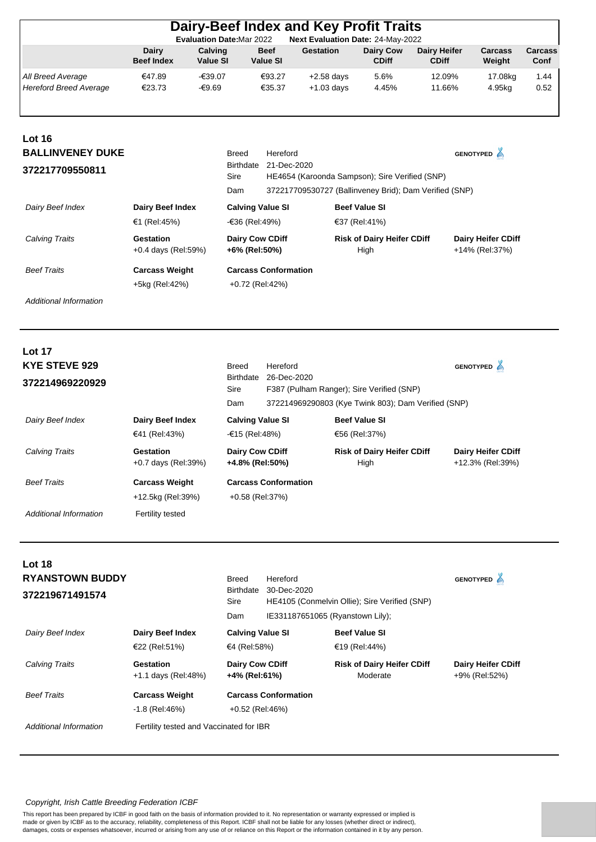|                               | <b>Dairy</b>          | Calving         | <b>Beef</b>                 | <b>Gestation</b>                                              | <b>Dairy Cow</b>                  | <b>Dairy Heifer</b>                                    | Carcass                   | Carcass |
|-------------------------------|-----------------------|-----------------|-----------------------------|---------------------------------------------------------------|-----------------------------------|--------------------------------------------------------|---------------------------|---------|
|                               | <b>Beef Index</b>     | <b>Value SI</b> | Value SI                    |                                                               | <b>CDiff</b>                      | <b>CDiff</b>                                           | Weight                    | Conf    |
| All Breed Average             | €47.89                | -€39.07         | €93.27                      | $+2.58$ days                                                  | 5.6%                              | 12.09%                                                 | 17.08kg                   | 1.44    |
| <b>Hereford Breed Average</b> | €23.73                | $-69.69$        | €35.37                      | $+1.03$ days                                                  | 4.45%                             | 11.66%                                                 | 4.95kg                    | 0.52    |
| <b>Lot 16</b>                 |                       |                 |                             |                                                               |                                   |                                                        |                           |         |
| <b>BALLINVENEY DUKE</b>       |                       |                 | <b>Breed</b>                | Hereford                                                      |                                   |                                                        | GENOTYPED <sup>4</sup>    |         |
| 372217709550811               |                       |                 | Birthdate<br>Sire           | 21-Dec-2020<br>HE4654 (Karoonda Sampson); Sire Verified (SNP) |                                   |                                                        |                           |         |
|                               |                       |                 | Dam                         |                                                               |                                   | 372217709530727 (Ballinveney Brid); Dam Verified (SNP) |                           |         |
| Dairy Beef Index              | Dairy Beef Index      |                 | <b>Calving Value SI</b>     |                                                               | <b>Beef Value SI</b>              |                                                        |                           |         |
|                               | €1 (Rel:45%)          |                 | -€36 (Rel:49%)              |                                                               | €37 (Rel:41%)                     |                                                        |                           |         |
| Calving Traits                | Gestation             |                 | <b>Dairy Cow CDiff</b>      |                                                               | <b>Risk of Dairy Heifer CDiff</b> |                                                        | <b>Dairy Heifer CDiff</b> |         |
|                               | +0.4 days (Rel:59%)   |                 | +6% (Rel:50%)               |                                                               | High                              |                                                        | +14% (Rel:37%)            |         |
| <b>Beef Traits</b>            | <b>Carcass Weight</b> |                 | <b>Carcass Conformation</b> |                                                               |                                   |                                                        |                           |         |
|                               | +5kg (Rel:42%)        |                 | +0.72 (Rel:42%)             |                                                               |                                   |                                                        |                           |         |

| <b>Lot 17</b>          |                                  |                                           |                                                          |                                                     |                                               |  |
|------------------------|----------------------------------|-------------------------------------------|----------------------------------------------------------|-----------------------------------------------------|-----------------------------------------------|--|
| <b>KYE STEVE 929</b>   |                                  | Breed                                     | Hereford                                                 |                                                     | <b>GENOTYPED</b>                              |  |
| 372214969220929        |                                  | Birthdate<br>Sire                         | 26-Dec-2020<br>F387 (Pulham Ranger); Sire Verified (SNP) |                                                     |                                               |  |
|                        |                                  | Dam                                       |                                                          | 372214969290803 (Kye Twink 803); Dam Verified (SNP) |                                               |  |
| Dairy Beef Index       | Dairy Beef Index                 | <b>Calving Value SI</b>                   |                                                          | <b>Beef Value SI</b>                                |                                               |  |
|                        | €41 (Rel:43%)                    | -€15 (Rel:48%)                            |                                                          | €56 (Rel:37%)                                       |                                               |  |
| <b>Calving Traits</b>  | Gestation<br>+0.7 days (Rel:39%) | <b>Dairy Cow CDiff</b><br>+4.8% (Rel:50%) |                                                          | <b>Risk of Dairy Heifer CDiff</b><br>High           | <b>Dairy Heifer CDiff</b><br>+12.3% (Rel:39%) |  |
| <b>Beef Traits</b>     | <b>Carcass Weight</b>            |                                           | <b>Carcass Conformation</b>                              |                                                     |                                               |  |
|                        | +12.5kg (Rel:39%)                | +0.58 (Rel:37%)                           |                                                          |                                                     |                                               |  |
| Additional Information | <b>Fertility tested</b>          |                                           |                                                          |                                                     |                                               |  |

| Lot 18<br><b>RYANSTOWN BUDDY</b><br>372219671491574 |                                           | Breed<br>Birthdate<br>Sire<br>Dam       | Hereford<br>30-Dec-2020     | HE4105 (Conmelvin Ollie); Sire Verified (SNP)<br>IE331187651065 (Ryanstown Lily); | <b>GENOTYPED</b>                           |
|-----------------------------------------------------|-------------------------------------------|-----------------------------------------|-----------------------------|-----------------------------------------------------------------------------------|--------------------------------------------|
| Dairy Beef Index                                    | Dairy Beef Index<br>€22 (Rel:51%)         | <b>Calving Value SI</b><br>€4 (Rel:58%) |                             | <b>Beef Value SI</b><br>€19 (Rel:44%)                                             |                                            |
| <b>Calving Traits</b>                               | Gestation<br>+1.1 days (Rel:48%)          | Dairy Cow CDiff<br>+4% (Rel:61%)        |                             | <b>Risk of Dairy Heifer CDiff</b><br>Moderate                                     | <b>Dairy Heifer CDiff</b><br>+9% (Rel:52%) |
| <b>Beef Traits</b>                                  | <b>Carcass Weight</b><br>$-1.8$ (Rel:46%) | +0.52 (Rel:46%)                         | <b>Carcass Conformation</b> |                                                                                   |                                            |
| Additional Information                              | Fertility tested and Vaccinated for IBR   |                                         |                             |                                                                                   |                                            |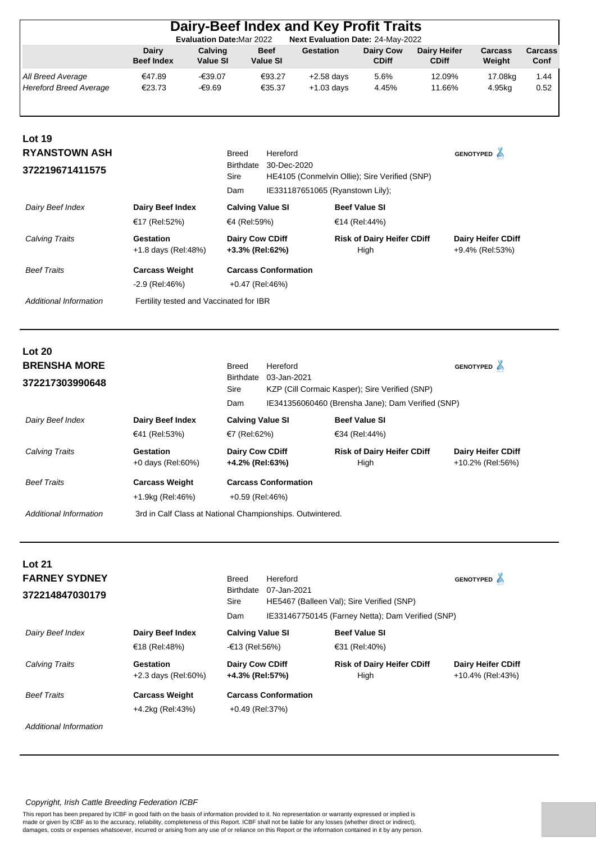|                                                                             |                                                           |                                                               |                                                                            |                                | Dairy-Beef Index and Key Profit Traits                                                              |                                                            |                                     |                                               |                 |
|-----------------------------------------------------------------------------|-----------------------------------------------------------|---------------------------------------------------------------|----------------------------------------------------------------------------|--------------------------------|-----------------------------------------------------------------------------------------------------|------------------------------------------------------------|-------------------------------------|-----------------------------------------------|-----------------|
|                                                                             | Dairy<br><b>Beef Index</b>                                | <b>Evaluation Date:Mar 2022</b><br>Calving<br><b>Value SI</b> |                                                                            | <b>Beef</b><br><b>Value SI</b> | Next Evaluation Date: 24-May-2022<br><b>Gestation</b>                                               | <b>Dairy Cow</b><br><b>CDiff</b>                           | <b>Dairy Heifer</b><br><b>CDiff</b> | Carcass<br>Weight                             | Carcass<br>Conf |
| All Breed Average<br><b>Hereford Breed Average</b>                          | €47.89<br>€23.73                                          | -€39.07<br>$-€9.69$                                           |                                                                            | €93.27<br>€35.37               | $+2.58$ days<br>$+1.03$ days                                                                        | 5.6%<br>4.45%                                              | 12.09%<br>11.66%                    | 17.08kg<br>4.95kg                             | 1.44<br>0.52    |
| <b>Lot 19</b><br><b>RYANSTOWN ASH</b>                                       |                                                           |                                                               | <b>Breed</b>                                                               | Hereford                       |                                                                                                     |                                                            |                                     | GENOTYPED <sup>4</sup>                        |                 |
| 372219671411575                                                             |                                                           |                                                               | <b>Birthdate</b><br>Sire                                                   | 30-Dec-2020                    | HE4105 (Conmelvin Ollie); Sire Verified (SNP)                                                       |                                                            |                                     |                                               |                 |
|                                                                             |                                                           |                                                               | Dam                                                                        |                                | IE331187651065 (Ryanstown Lily);                                                                    |                                                            |                                     |                                               |                 |
| Dairy Beef Index                                                            | Dairy Beef Index                                          |                                                               | <b>Calving Value SI</b>                                                    |                                |                                                                                                     | <b>Beef Value SI</b>                                       |                                     |                                               |                 |
| <b>Calving Traits</b>                                                       | €17 (Rel:52%)<br><b>Gestation</b><br>+1.8 days (Rel:48%)  |                                                               | €4 (Rel:59%)<br><b>Dairy Cow CDiff</b><br>+3.3% (Rel:62%)                  |                                |                                                                                                     | €14 (Rel:44%)<br><b>Risk of Dairy Heifer CDiff</b><br>High |                                     | <b>Dairy Heifer CDiff</b><br>+9.4% (Rel:53%)  |                 |
| <b>Beef Traits</b>                                                          | <b>Carcass Weight</b><br>-2.9 (Rel:46%)                   |                                                               | <b>Carcass Conformation</b><br>+0.47 (Rel:46%)                             |                                |                                                                                                     |                                                            |                                     |                                               |                 |
| <b>Additional Information</b>                                               | Fertility tested and Vaccinated for IBR                   |                                                               |                                                                            |                                |                                                                                                     |                                                            |                                     |                                               |                 |
| <b>Lot 20</b><br><b>BRENSHA MORE</b><br>372217303990648<br>Dairy Beef Index | Dairy Beef Index                                          |                                                               | <b>Breed</b><br><b>Birthdate</b><br>Sire<br>Dam<br><b>Calving Value SI</b> | Hereford<br>03-Jan-2021        | KZP (Cill Cormaic Kasper); Sire Verified (SNP)<br>IE341356060460 (Brensha Jane); Dam Verified (SNP) | <b>Beef Value SI</b>                                       |                                     | GENOTYPED <sup>4</sup>                        |                 |
|                                                                             | €41 (Rel:53%)                                             |                                                               | €7 (Rel:62%)                                                               |                                |                                                                                                     | €34 (Rel:44%)                                              |                                     |                                               |                 |
| <b>Calving Traits</b>                                                       | Gestation<br>+0 days (Rel:60%)                            |                                                               | Dairy Cow CDiff<br>+4.2% (Rel:63%)                                         |                                |                                                                                                     | <b>Risk of Dairy Heifer CDiff</b><br>High                  |                                     | Dairy Heifer CDiff<br>+10.2% (Rel:56%)        |                 |
| <b>Beef Traits</b>                                                          | <b>Carcass Weight</b><br>+1.9kg (Rel:46%)                 |                                                               | <b>Carcass Conformation</b><br>+0.59 (Rel:46%)                             |                                |                                                                                                     |                                                            |                                     |                                               |                 |
| <b>Additional Information</b>                                               | 3rd in Calf Class at National Championships. Outwintered. |                                                               |                                                                            |                                |                                                                                                     |                                                            |                                     |                                               |                 |
| <b>Lot 21</b><br><b>FARNEY SYDNEY</b><br>372214847030179                    |                                                           |                                                               | <b>Breed</b><br>Birthdate<br>Sire                                          | Hereford<br>07-Jan-2021        | HE5467 (Balleen Val); Sire Verified (SNP)                                                           |                                                            |                                     | GENOTYPED <sup>4</sup>                        |                 |
|                                                                             |                                                           |                                                               | Dam                                                                        |                                | IE331467750145 (Farney Netta); Dam Verified (SNP)                                                   |                                                            |                                     |                                               |                 |
| Dairy Beef Index                                                            | Dairy Beef Index<br>€18 (Rel:48%)                         |                                                               | <b>Calving Value SI</b><br>-€13 (Rel:56%)                                  |                                |                                                                                                     | <b>Beef Value SI</b><br>€31 (Rel:40%)                      |                                     |                                               |                 |
| Calving Traits                                                              | <b>Gestation</b><br>+2.3 days (Rel:60%)                   |                                                               | Dairy Cow CDiff<br>+4.3% (Rel:57%)                                         |                                |                                                                                                     | <b>Risk of Dairy Heifer CDiff</b><br>High                  |                                     | <b>Dairy Heifer CDiff</b><br>+10.4% (Rel:43%) |                 |
| <b>Beef Traits</b>                                                          | <b>Carcass Weight</b>                                     |                                                               | <b>Carcass Conformation</b>                                                |                                |                                                                                                     |                                                            |                                     |                                               |                 |

*Copyright, Irish Cattle Breeding Federation ICBF*

This report has been prepared by ICBF in good faith on the basis of information provided to it. No representation or warranty expressed or implied is made or given by ICBF as to the accuracy, reliability, completeness of this Report. ICBF shall not be liable for any losses (whether direct or indirect), damages, costs or expenses whatsoever, incurred or arising from any use of or reliance on this Report or the information contained in it by any person.

+4.2kg (Rel:43%) +0.49 (Rel:37%)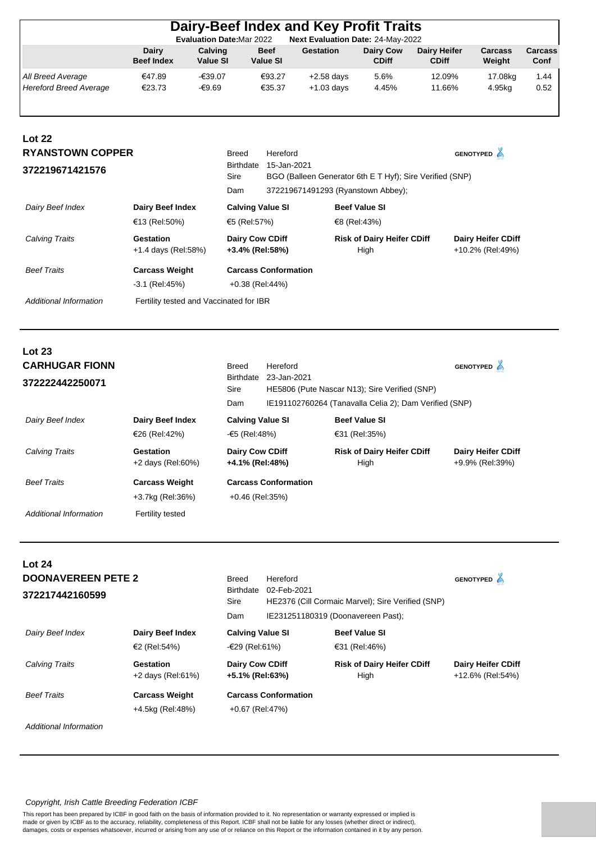|                                                    |                                            | <b>Evaluation Date: Mar 2022</b> |                                                |                                | <b>Dairy-Beef Index and Key Profit Traits</b><br>Next Evaluation Date: 24-May-2022             |                                           |                                     |                                              |                 |
|----------------------------------------------------|--------------------------------------------|----------------------------------|------------------------------------------------|--------------------------------|------------------------------------------------------------------------------------------------|-------------------------------------------|-------------------------------------|----------------------------------------------|-----------------|
|                                                    | <b>Dairy</b><br><b>Beef Index</b>          | Calving<br><b>Value SI</b>       |                                                | <b>Beef</b><br><b>Value SI</b> | <b>Gestation</b>                                                                               | <b>Dairy Cow</b><br><b>CDiff</b>          | <b>Dairy Heifer</b><br><b>CDiff</b> | Carcass<br>Weight                            | Carcass<br>Conf |
| All Breed Average<br><b>Hereford Breed Average</b> | €47.89<br>€23.73                           | -€39.07<br>$-€9.69$              |                                                | €93.27<br>€35.37               | $+2.58$ days<br>$+1.03$ days                                                                   | 5.6%<br>4.45%                             | 12.09%<br>11.66%                    | 17.08kg<br>4.95kg                            | 1.44<br>0.52    |
| <b>Lot 22</b>                                      |                                            |                                  |                                                |                                |                                                                                                |                                           |                                     |                                              |                 |
| <b>RYANSTOWN COPPER</b>                            |                                            |                                  | <b>Breed</b>                                   | Hereford                       |                                                                                                |                                           |                                     | GENOTYPED A                                  |                 |
| 372219671421576                                    |                                            |                                  | <b>Birthdate</b><br>Sire<br>Dam                | 15-Jan-2021                    | BGO (Balleen Generator 6th E T Hyf); Sire Verified (SNP)<br>372219671491293 (Ryanstown Abbey); |                                           |                                     |                                              |                 |
| Dairy Beef Index                                   | Dairy Beef Index                           |                                  | <b>Calving Value SI</b>                        |                                |                                                                                                | <b>Beef Value SI</b>                      |                                     |                                              |                 |
|                                                    | €13 (Rel:50%)                              |                                  | €5 (Rel:57%)                                   |                                |                                                                                                | €8 (Rel:43%)                              |                                     |                                              |                 |
| <b>Calving Traits</b>                              | <b>Gestation</b><br>+1.4 days (Rel:58%)    |                                  | <b>Dairy Cow CDiff</b><br>+3.4% (Rel:58%)      |                                |                                                                                                | <b>Risk of Dairy Heifer CDiff</b><br>High |                                     | Dairy Heifer CDiff<br>+10.2% (Rel:49%)       |                 |
| <b>Beef Traits</b>                                 | <b>Carcass Weight</b><br>$-3.1$ (Rel: 45%) |                                  | <b>Carcass Conformation</b><br>+0.38 (Rel:44%) |                                |                                                                                                |                                           |                                     |                                              |                 |
| <b>Additional Information</b>                      | Fertility tested and Vaccinated for IBR    |                                  |                                                |                                |                                                                                                |                                           |                                     |                                              |                 |
| <b>Lot 23</b>                                      |                                            |                                  |                                                |                                |                                                                                                |                                           |                                     |                                              |                 |
| <b>CARHUGAR FIONN</b>                              |                                            |                                  | <b>Breed</b>                                   | Hereford                       |                                                                                                |                                           |                                     | GENOTYPED <sup>4</sup>                       |                 |
| 372222442250071                                    |                                            |                                  | Birthdate<br>Sire                              | 23-Jan-2021                    | HE5806 (Pute Nascar N13); Sire Verified (SNP)                                                  |                                           |                                     |                                              |                 |
|                                                    |                                            |                                  | Dam                                            |                                | IE191102760264 (Tanavalla Celia 2); Dam Verified (SNP)                                         |                                           |                                     |                                              |                 |
| Dairy Beef Index                                   | Dairy Beef Index                           |                                  | <b>Calving Value SI</b>                        |                                |                                                                                                | <b>Beef Value SI</b>                      |                                     |                                              |                 |
|                                                    | €26 (Rel:42%)                              |                                  | -€5 (Rel:48%)                                  |                                |                                                                                                | €31 (Rel:35%)                             |                                     |                                              |                 |
| <b>Calving Traits</b>                              | Gestation<br>+2 days (Rel:60%)             |                                  | <b>Dairy Cow CDiff</b><br>+4.1% (Rel:48%)      |                                |                                                                                                | <b>Risk of Dairy Heifer CDiff</b><br>High |                                     | <b>Dairy Heifer CDiff</b><br>+9.9% (Rel:39%) |                 |
| <b>Beef Traits</b>                                 | <b>Carcass Weight</b>                      |                                  | <b>Carcass Conformation</b>                    |                                |                                                                                                |                                           |                                     |                                              |                 |
|                                                    | +3.7kg (Rel:36%)                           |                                  | +0.46 (Rel:35%)                                |                                |                                                                                                |                                           |                                     |                                              |                 |
| <b>Additional Information</b>                      | Fertility tested                           |                                  |                                                |                                |                                                                                                |                                           |                                     |                                              |                 |
| <b>Lot 24</b>                                      |                                            |                                  |                                                |                                |                                                                                                |                                           |                                     |                                              |                 |
| <b>DOONAVEREEN PETE 2</b>                          |                                            |                                  | <b>Breed</b>                                   | Hereford                       |                                                                                                |                                           |                                     | GENOTYPED <sup>2</sup>                       |                 |
| 372217442160599                                    |                                            |                                  | Birthdate<br>Sire                              | 02-Feb-2021                    | HE2376 (Cill Cormaic Marvel); Sire Verified (SNP)                                              |                                           |                                     |                                              |                 |
|                                                    |                                            |                                  | Dam                                            |                                | IE231251180319 (Doonavereen Past);                                                             |                                           |                                     |                                              |                 |

|                        |                                  | Dam                                       | IE231251180319 (Doonavereen Past);        |                                               |
|------------------------|----------------------------------|-------------------------------------------|-------------------------------------------|-----------------------------------------------|
| Dairy Beef Index       | Dairy Beef Index                 | <b>Calving Value SI</b>                   | <b>Beef Value SI</b>                      |                                               |
|                        | €2 (Rel:54%)                     | -€29 (Rel:61%)                            | €31 (Rel:46%)                             |                                               |
| Calving Traits         | Gestation<br>$+2$ days (Rel:61%) | <b>Dairy Cow CDiff</b><br>+5.1% (Rel:63%) | <b>Risk of Dairy Heifer CDiff</b><br>High | <b>Dairy Heifer CDiff</b><br>+12.6% (Rel:54%) |
| <b>Beef Traits</b>     | <b>Carcass Weight</b>            | <b>Carcass Conformation</b>               |                                           |                                               |
|                        | +4.5kg (Rel:48%)                 | +0.67 (Rel:47%)                           |                                           |                                               |
| Additional Information |                                  |                                           |                                           |                                               |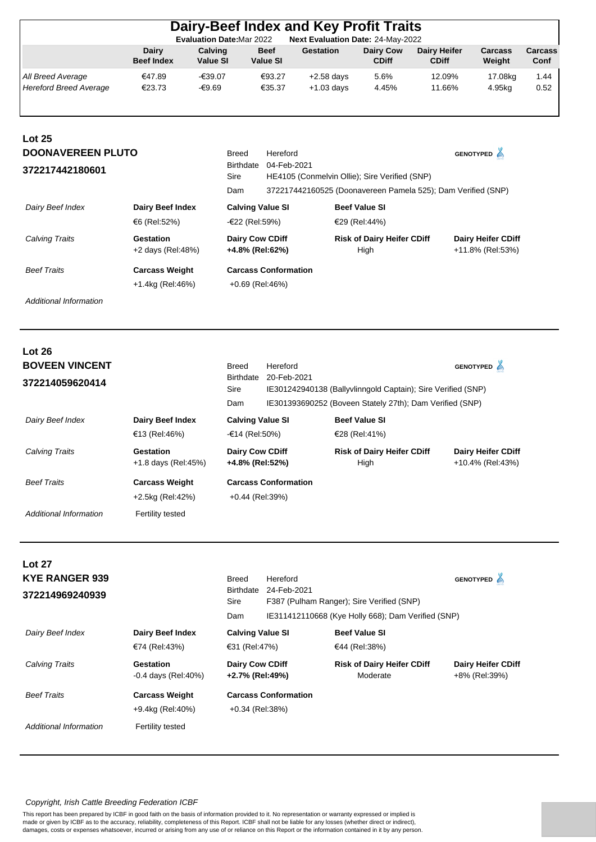|                                                    |                                         | <b>Evaluation Date: Mar 2022</b> |                                           | Dairy-Beef Index and Key Profit Traits<br>Next Evaluation Date: 24-May-2022                                   |                                           |                                     |                                               |                 |
|----------------------------------------------------|-----------------------------------------|----------------------------------|-------------------------------------------|---------------------------------------------------------------------------------------------------------------|-------------------------------------------|-------------------------------------|-----------------------------------------------|-----------------|
|                                                    | Dairy<br><b>Beef Index</b>              | Calving<br><b>Value SI</b>       | <b>Beef</b><br><b>Value SI</b>            | <b>Gestation</b>                                                                                              | <b>Dairy Cow</b><br><b>CDiff</b>          | <b>Dairy Heifer</b><br><b>CDiff</b> | Carcass<br>Weight                             | Carcass<br>Conf |
| All Breed Average<br><b>Hereford Breed Average</b> | €47.89<br>€23.73                        | $-639.07$<br>-€9.69              | €93.27<br>€35.37                          | $+2.58$ days<br>$+1.03$ days                                                                                  | 5.6%<br>4.45%                             | 12.09%<br>11.66%                    | 17.08kg<br>4.95kg                             | 1.44<br>0.52    |
| Lot 25<br><b>DOONAVEREEN PLUTO</b>                 |                                         | Breed                            | Hereford                                  |                                                                                                               |                                           |                                     | <b>GENOTYPED</b>                              |                 |
| 372217442180601                                    |                                         | Sire<br>Dam                      | 04-Feb-2021<br>Birthdate                  | HE4105 (Conmelvin Ollie); Sire Verified (SNP)<br>372217442160525 (Doonavereen Pamela 525); Dam Verified (SNP) |                                           |                                     |                                               |                 |
| Dairy Beef Index                                   | <b>Dairy Beef Index</b><br>€6 (Rel:52%) |                                  | <b>Calving Value SI</b><br>-€22 (Rel:59%) |                                                                                                               | <b>Beef Value SI</b><br>€29 (Rel:44%)     |                                     |                                               |                 |
| Calving Traits                                     | <b>Gestation</b><br>+2 days (Rel:48%)   |                                  | Dairy Cow CDiff<br>+4.8% (Rel:62%)        |                                                                                                               | <b>Risk of Dairy Heifer CDiff</b><br>High |                                     | <b>Dairy Heifer CDiff</b><br>+11.8% (Rel:53%) |                 |

| <b>Beef Traits</b> | <b>Carcass Weight</b> | <b>Carcass Conformation</b> |
|--------------------|-----------------------|-----------------------------|
|                    | +1.4kg (Rel:46%)      | +0.69 (Rel:46%)             |

| Lot 26<br><b>BOVEEN VINCENT</b><br>372214059620414 |                                           | Breed<br><b>Birthdate</b><br>Sire<br>Dam  | Hereford<br>20-Feb-2021     | IE301242940138 (Ballyvlinngold Captain); Sire Verified (SNP)<br>IE301393690252 (Boveen Stately 27th); Dam Verified (SNP) | <b>GENOTYPED</b><br>≜                         |
|----------------------------------------------------|-------------------------------------------|-------------------------------------------|-----------------------------|--------------------------------------------------------------------------------------------------------------------------|-----------------------------------------------|
| Dairy Beef Index                                   | <b>Dairy Beef Index</b><br>€13 (Rel:46%)  | <b>Calving Value SI</b><br>-€14 (Rel:50%) |                             | <b>Beef Value SI</b><br>€28 (Rel:41%)                                                                                    |                                               |
| <b>Calving Traits</b>                              | Gestation<br>+1.8 days (Rel:45%)          | <b>Dairy Cow CDiff</b><br>+4.8% (Rel:52%) |                             | <b>Risk of Dairy Heifer CDiff</b><br>High                                                                                | <b>Dairy Heifer CDiff</b><br>+10.4% (Rel:43%) |
| <b>Beef Traits</b>                                 | <b>Carcass Weight</b><br>+2.5kg (Rel:42%) | $+0.44$ (Rel:39%)                         | <b>Carcass Conformation</b> |                                                                                                                          |                                               |
| Additional Information                             | Fertility tested                          |                                           |                             |                                                                                                                          |                                               |

| <b>Lot 27</b><br><b>KYE RANGER 939</b><br>372214969240939 |                                                               | <b>Breed</b><br><b>Birthdate</b><br>Sire<br>Dam | Hereford<br>24-Feb-2021     | F387 (Pulham Ranger); Sire Verified (SNP)<br>IE311412110668 (Kye Holly 668); Dam Verified (SNP) | <b>GENOTYPED</b>                           |
|-----------------------------------------------------------|---------------------------------------------------------------|-------------------------------------------------|-----------------------------|-------------------------------------------------------------------------------------------------|--------------------------------------------|
| Dairy Beef Index                                          | Dairy Beef Index<br>€74 (Rel:43%)                             | <b>Calving Value SI</b><br>€31 (Rel:47%)        |                             | <b>Beef Value SI</b><br>€44 (Rel:38%)                                                           |                                            |
| <b>Calving Traits</b>                                     | Gestation<br>$-0.4$ days (Rel: 40%)                           | <b>Dairy Cow CDiff</b><br>+2.7% (Rel:49%)       |                             | <b>Risk of Dairy Heifer CDiff</b><br>Moderate                                                   | <b>Dairy Heifer CDiff</b><br>+8% (Rel:39%) |
| <b>Beef Traits</b><br>Additional Information              | <b>Carcass Weight</b><br>+9.4kg (Rel:40%)<br>Fertility tested | +0.34 (Rel:38%)                                 | <b>Carcass Conformation</b> |                                                                                                 |                                            |
|                                                           |                                                               |                                                 |                             |                                                                                                 |                                            |

#### *Copyright, Irish Cattle Breeding Federation ICBF*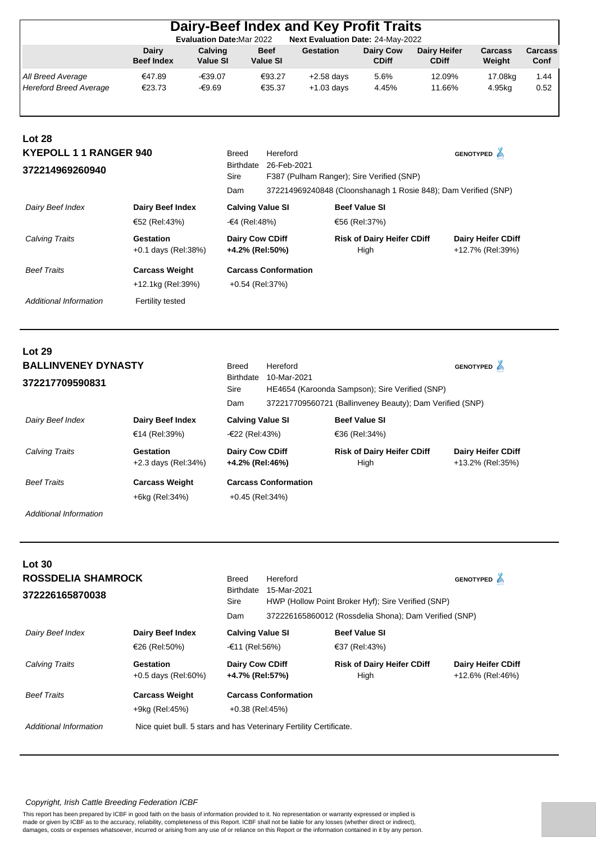| Dairy-Beef Index and Key Profit Traits                                |                            |                     |                                |                  |                                  |                                     |                          |                 |
|-----------------------------------------------------------------------|----------------------------|---------------------|--------------------------------|------------------|----------------------------------|-------------------------------------|--------------------------|-----------------|
| Next Evaluation Date: 24-May-2022<br><b>Evaluation Date: Mar 2022</b> |                            |                     |                                |                  |                                  |                                     |                          |                 |
|                                                                       | Dairy<br><b>Beef Index</b> | Calving<br>Value SI | <b>Beef</b><br><b>Value SI</b> | <b>Gestation</b> | <b>Dairy Cow</b><br><b>CDiff</b> | <b>Dairy Heifer</b><br><b>CDiff</b> | <b>Carcass</b><br>Weight | Carcass<br>Conf |
| All Breed Average                                                     | €47.89                     | -€39.07             | €93.27                         | $+2.58$ days     | 5.6%                             | 12.09%                              | 17.08kg                  | 1.44            |
| Hereford Breed Average                                                | €23.73                     | -€9.69              | €35.37                         | $+1.03$ days     | 4.45%                            | 11.66%                              | 4.95kg                   | 0.52            |

| <b>Lot 28</b>                                    |                                     |                                                                |                                                                                     |                                           |                                               |  |
|--------------------------------------------------|-------------------------------------|----------------------------------------------------------------|-------------------------------------------------------------------------------------|-------------------------------------------|-----------------------------------------------|--|
| <b>KYEPOLL 1 1 RANGER 940</b><br>372214969260940 |                                     | <b>Breed</b><br>Birthdate<br>Sire                              | Hereford<br>GENOTYPED A<br>26-Feb-2021<br>F387 (Pulham Ranger); Sire Verified (SNP) |                                           |                                               |  |
|                                                  | Dam                                 | 372214969240848 (Cloonshanagh 1 Rosie 848); Dam Verified (SNP) |                                                                                     |                                           |                                               |  |
| Dairy Beef Index<br>Dairy Beef Index             |                                     | <b>Calving Value SI</b>                                        |                                                                                     | <b>Beef Value SI</b>                      |                                               |  |
|                                                  | €52 (Rel:43%)                       | -€4 (Rel:48%)                                                  |                                                                                     | €56 (Rel:37%)                             |                                               |  |
| <b>Calving Traits</b>                            | Gestation<br>$+0.1$ days (Rel: 38%) | <b>Dairy Cow CDiff</b><br>+4.2% (Rel:50%)                      |                                                                                     | <b>Risk of Dairy Heifer CDiff</b><br>High | <b>Dairy Heifer CDiff</b><br>+12.7% (Rel:39%) |  |
| <b>Beef Traits</b>                               | <b>Carcass Weight</b>               | <b>Carcass Conformation</b>                                    |                                                                                     |                                           |                                               |  |
| +12.1kg (Rel:39%)                                |                                     | +0.54 (Rel:37%)                                                |                                                                                     |                                           |                                               |  |
| Additional Information                           | Fertility tested                    |                                                                |                                                                                     |                                           |                                               |  |

| Lot 29<br><b>BALLINVENEY DYNASTY</b><br>372217709590831 |                                         | <b>Breed</b><br><b>Birthdate</b><br>Sire<br>Dam | Hereford<br>10-Mar-2021     | HE4654 (Karoonda Sampson); Sire Verified (SNP)<br>372217709560721 (Ballinveney Beauty); Dam Verified (SNP) | <b>GENOTYPED</b>                              |
|---------------------------------------------------------|-----------------------------------------|-------------------------------------------------|-----------------------------|------------------------------------------------------------------------------------------------------------|-----------------------------------------------|
| Dairy Beef Index                                        | Dairy Beef Index<br>€14 (Rel:39%)       | <b>Calving Value SI</b><br>-€22 (Rel:43%)       |                             | <b>Beef Value SI</b><br>€36 (Rel:34%)                                                                      |                                               |
| Calving Traits                                          | Gestation<br>+2.3 days (Rel:34%)        | <b>Dairy Cow CDiff</b><br>+4.2% (Rel:46%)       |                             | <b>Risk of Dairy Heifer CDiff</b><br>High                                                                  | <b>Dairy Heifer CDiff</b><br>+13.2% (Rel:35%) |
| <b>Beef Traits</b>                                      | <b>Carcass Weight</b><br>+6kg (Rel:34%) | $+0.45$ (Rel: 34%)                              | <b>Carcass Conformation</b> |                                                                                                            |                                               |

| Lot 30                                       |                                                                    |                                                  |                                                                                                                                        |                                           |                                               |
|----------------------------------------------|--------------------------------------------------------------------|--------------------------------------------------|----------------------------------------------------------------------------------------------------------------------------------------|-------------------------------------------|-----------------------------------------------|
| <b>ROSSDELIA SHAMROCK</b><br>372226165870038 |                                                                    | <b>Breed</b><br><b>Birthdate</b><br>Sire<br>Dam  | Hereford<br>15-Mar-2021<br>HWP (Hollow Point Broker Hyf); Sire Verified (SNP)<br>372226165860012 (Rossdelia Shona); Dam Verified (SNP) | <b>GENOTYPED</b>                          |                                               |
| Dairy Beef Index                             | Dairy Beef Index<br>€26 (Rel:50%)                                  | <b>Calving Value SI</b><br>-€11 (Rel:56%)        |                                                                                                                                        | <b>Beef Value SI</b><br>€37 (Rel:43%)     |                                               |
| Calving Traits                               | Gestation<br>$+0.5$ days (Rel:60%)                                 | <b>Dairy Cow CDiff</b><br>+4.7% (Rel:57%)        |                                                                                                                                        | <b>Risk of Dairy Heifer CDiff</b><br>High | <b>Dairy Heifer CDiff</b><br>+12.6% (Rel:46%) |
| <b>Beef Traits</b>                           | <b>Carcass Weight</b><br>+9kg (Rel:45%)                            | <b>Carcass Conformation</b><br>$+0.38$ (Rel:45%) |                                                                                                                                        |                                           |                                               |
| Additional Information                       | Nice quiet bull. 5 stars and has Veterinary Fertility Certificate. |                                                  |                                                                                                                                        |                                           |                                               |

## *Copyright, Irish Cattle Breeding Federation ICBF*